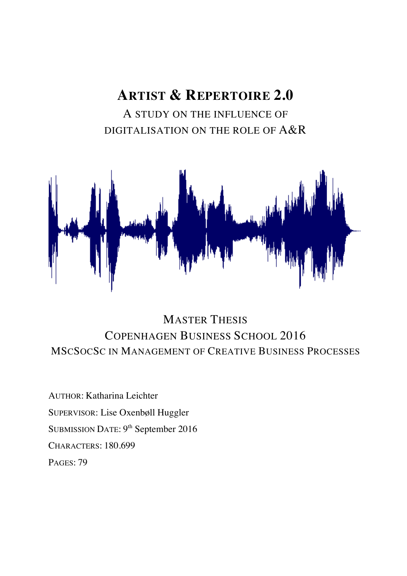# **ARTIST & REPERTOIRE 2.0**

A STUDY ON THE INFLUENCE OF DIGITALISATION ON THE ROLE OF A&R



## MASTER THESIS COPENHAGEN BUSINESS SCHOOL 2016 MSCSOCSC IN MANAGEMENT OF CREATIVE BUSINESS PROCESSES

AUTHOR: Katharina Leichter SUPERVISOR: Lise Oxenbøll Huggler SUBMISSION DATE: 9<sup>th</sup> September 2016 CHARACTERS: 180.699 PAGES: 79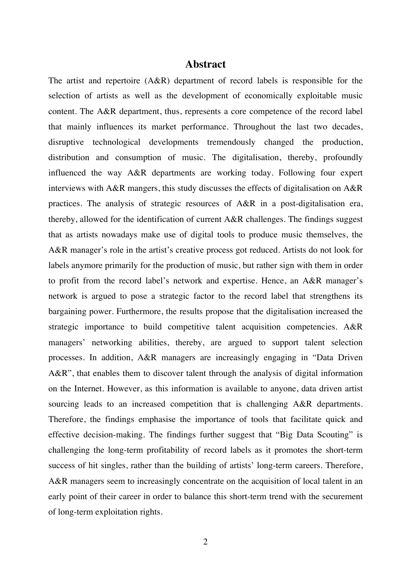### **Abstract**

The artist and repertoire (A&R) department of record labels is responsible for the selection of artists as well as the development of economically exploitable music content. The A&R department, thus, represents a core competence of the record label that mainly influences its market performance. Throughout the last two decades, disruptive technological developments tremendously changed the production, distribution and consumption of music. The digitalisation, thereby, profoundly influenced the way A&R departments are working today. Following four expert interviews with A&R mangers, this study discusses the effects of digitalisation on A&R practices. The analysis of strategic resources of A&R in a post-digitalisation era, thereby, allowed for the identification of current A&R challenges. The findings suggest that as artists nowadays make use of digital tools to produce music themselves, the A&R manager's role in the artist's creative process got reduced. Artists do not look for labels anymore primarily for the production of music, but rather sign with them in order to profit from the record label's network and expertise. Hence, an A&R manager's network is argued to pose a strategic factor to the record label that strengthens its bargaining power. Furthermore, the results propose that the digitalisation increased the strategic importance to build competitive talent acquisition competencies. A&R managers' networking abilities, thereby, are argued to support talent selection processes. In addition, A&R managers are increasingly engaging in "Data Driven A&R", that enables them to discover talent through the analysis of digital information on the Internet. However, as this information is available to anyone, data driven artist sourcing leads to an increased competition that is challenging A&R departments. Therefore, the findings emphasise the importance of tools that facilitate quick and effective decision-making. The findings further suggest that "Big Data Scouting" is challenging the long-term profitability of record labels as it promotes the short-term success of hit singles, rather than the building of artists' long-term careers. Therefore, A&R managers seem to increasingly concentrate on the acquisition of local talent in an early point of their career in order to balance this short-term trend with the securement of long-term exploitation rights.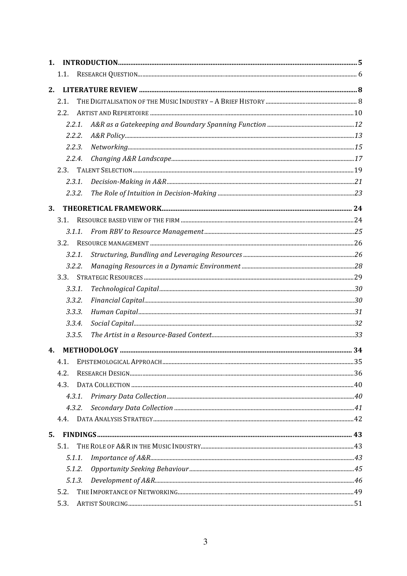| 1. |        |  |
|----|--------|--|
|    | 1.1.   |  |
| 2. |        |  |
|    | 2.1.   |  |
|    | 2.2.   |  |
|    | 2.2.1. |  |
|    | 2.2.2. |  |
|    | 2.2.3. |  |
|    | 2.2.4. |  |
|    | 2.3.   |  |
|    | 2.3.1. |  |
|    | 2.3.2. |  |
| 3. |        |  |
|    | 3.1.   |  |
|    | 3.1.1. |  |
|    | 3.2.   |  |
|    | 3.2.1. |  |
|    | 3.2.2. |  |
|    | 3.3.   |  |
|    | 3.3.1. |  |
|    | 3.3.2. |  |
|    | 3.3.3. |  |
|    | 3.3.4. |  |
|    | 3.3.5. |  |
| 4. |        |  |
|    | 4.1.   |  |
|    | 4.2.   |  |
|    | 4.3.   |  |
|    | 4.3.1. |  |
|    | 4.3.2. |  |
|    | 4.4.   |  |
| 5. |        |  |
|    | 5.1.   |  |
|    | 5.1.1. |  |
|    | 5.1.2. |  |
|    | 5.1.3. |  |
|    | 5.2.   |  |
|    | 5.3.   |  |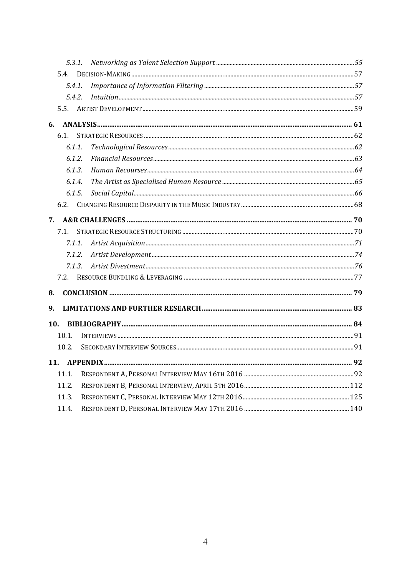| 5.3.1. |  |  |  |  |
|--------|--|--|--|--|
| 5.4.   |  |  |  |  |
| 5.4.1  |  |  |  |  |
| 5.4.2. |  |  |  |  |
|        |  |  |  |  |
| 6.     |  |  |  |  |
| 6.1.   |  |  |  |  |
| 6.1.1. |  |  |  |  |
| 6.1.2. |  |  |  |  |
| 6.1.3. |  |  |  |  |
| 6.1.4. |  |  |  |  |
| 6.1.5. |  |  |  |  |
| 6.2.   |  |  |  |  |
| 7.     |  |  |  |  |
| 7.1.   |  |  |  |  |
| 7.1.1. |  |  |  |  |
| 7.1.2. |  |  |  |  |
| 7.1.3. |  |  |  |  |
|        |  |  |  |  |
| 8.     |  |  |  |  |
| 9.     |  |  |  |  |
| 10.    |  |  |  |  |
| 10.1.  |  |  |  |  |
| 10.2.  |  |  |  |  |
| 11.    |  |  |  |  |
| 11.1.  |  |  |  |  |
| 11.2.  |  |  |  |  |
| 11.3.  |  |  |  |  |
| 11.4.  |  |  |  |  |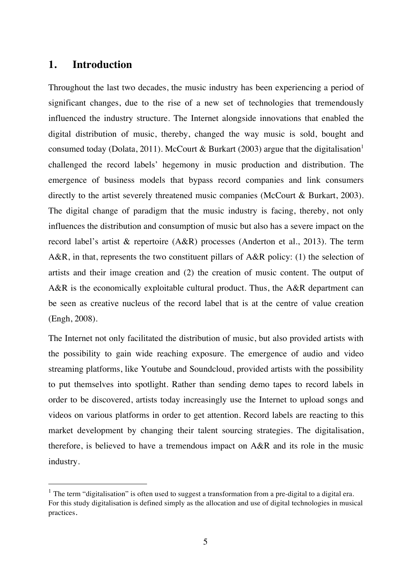### **1. Introduction**

Throughout the last two decades, the music industry has been experiencing a period of significant changes, due to the rise of a new set of technologies that tremendously influenced the industry structure. The Internet alongside innovations that enabled the digital distribution of music, thereby, changed the way music is sold, bought and consumed today (Dolata, 2011). McCourt & Burkart (2003) argue that the digitalisation<sup>1</sup> challenged the record labels' hegemony in music production and distribution. The emergence of business models that bypass record companies and link consumers directly to the artist severely threatened music companies (McCourt & Burkart, 2003). The digital change of paradigm that the music industry is facing, thereby, not only influences the distribution and consumption of music but also has a severe impact on the record label's artist & repertoire (A&R) processes (Anderton et al., 2013). The term A&R, in that, represents the two constituent pillars of A&R policy: (1) the selection of artists and their image creation and (2) the creation of music content. The output of A&R is the economically exploitable cultural product. Thus, the A&R department can be seen as creative nucleus of the record label that is at the centre of value creation (Engh, 2008).

The Internet not only facilitated the distribution of music, but also provided artists with the possibility to gain wide reaching exposure. The emergence of audio and video streaming platforms, like Youtube and Soundcloud, provided artists with the possibility to put themselves into spotlight. Rather than sending demo tapes to record labels in order to be discovered, artists today increasingly use the Internet to upload songs and videos on various platforms in order to get attention. Record labels are reacting to this market development by changing their talent sourcing strategies. The digitalisation, therefore, is believed to have a tremendous impact on A&R and its role in the music industry.

 $1$  The term "digitalisation" is often used to suggest a transformation from a pre-digital to a digital era. For this study digitalisation is defined simply as the allocation and use of digital technologies in musical practices.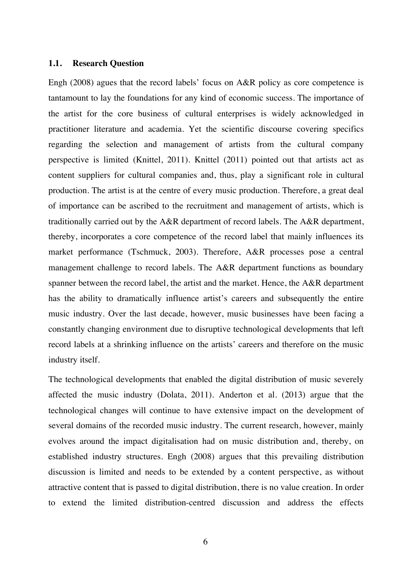#### **1.1. Research Question**

Engh (2008) agues that the record labels' focus on A&R policy as core competence is tantamount to lay the foundations for any kind of economic success. The importance of the artist for the core business of cultural enterprises is widely acknowledged in practitioner literature and academia. Yet the scientific discourse covering specifics regarding the selection and management of artists from the cultural company perspective is limited (Knittel, 2011). Knittel (2011) pointed out that artists act as content suppliers for cultural companies and, thus, play a significant role in cultural production. The artist is at the centre of every music production. Therefore, a great deal of importance can be ascribed to the recruitment and management of artists, which is traditionally carried out by the A&R department of record labels. The A&R department, thereby, incorporates a core competence of the record label that mainly influences its market performance (Tschmuck, 2003). Therefore, A&R processes pose a central management challenge to record labels. The A&R department functions as boundary spanner between the record label, the artist and the market. Hence, the A&R department has the ability to dramatically influence artist's careers and subsequently the entire music industry. Over the last decade, however, music businesses have been facing a constantly changing environment due to disruptive technological developments that left record labels at a shrinking influence on the artists' careers and therefore on the music industry itself.

The technological developments that enabled the digital distribution of music severely affected the music industry (Dolata, 2011). Anderton et al. (2013) argue that the technological changes will continue to have extensive impact on the development of several domains of the recorded music industry. The current research, however, mainly evolves around the impact digitalisation had on music distribution and, thereby, on established industry structures. Engh (2008) argues that this prevailing distribution discussion is limited and needs to be extended by a content perspective, as without attractive content that is passed to digital distribution, there is no value creation. In order to extend the limited distribution-centred discussion and address the effects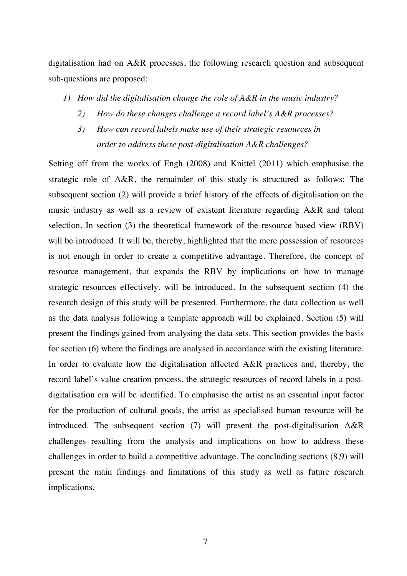digitalisation had on A&R processes, the following research question and subsequent sub-questions are proposed:

- *1) How did the digitalisation change the role of A&R in the music industry?*
	- *2) How do these changes challenge a record label's A&R processes?*
	- *3) How can record labels make use of their strategic resources in order to address these post-digitalisation A&R challenges?*

Setting off from the works of Engh (2008) and Knittel (2011) which emphasise the strategic role of A&R, the remainder of this study is structured as follows: The subsequent section (2) will provide a brief history of the effects of digitalisation on the music industry as well as a review of existent literature regarding A&R and talent selection. In section (3) the theoretical framework of the resource based view (RBV) will be introduced. It will be, thereby, highlighted that the mere possession of resources is not enough in order to create a competitive advantage. Therefore, the concept of resource management, that expands the RBV by implications on how to manage strategic resources effectively, will be introduced. In the subsequent section (4) the research design of this study will be presented. Furthermore, the data collection as well as the data analysis following a template approach will be explained. Section (5) will present the findings gained from analysing the data sets. This section provides the basis for section (6) where the findings are analysed in accordance with the existing literature. In order to evaluate how the digitalisation affected A&R practices and, thereby, the record label's value creation process, the strategic resources of record labels in a postdigitalisation era will be identified. To emphasise the artist as an essential input factor for the production of cultural goods, the artist as specialised human resource will be introduced. The subsequent section (7) will present the post-digitalisation A&R challenges resulting from the analysis and implications on how to address these challenges in order to build a competitive advantage. The concluding sections (8,9) will present the main findings and limitations of this study as well as future research implications.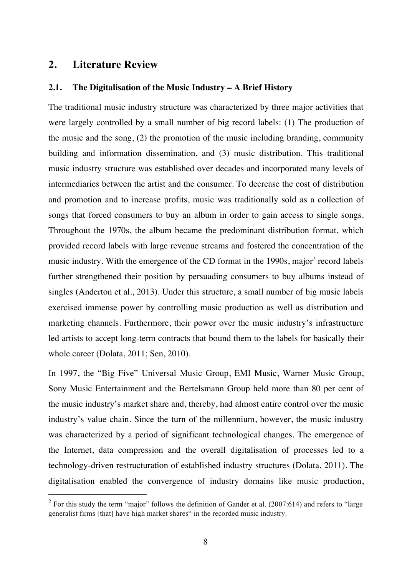### **2. Literature Review**

### **2.1. The Digitalisation of the Music Industry – A Brief History**

The traditional music industry structure was characterized by three major activities that were largely controlled by a small number of big record labels: (1) The production of the music and the song, (2) the promotion of the music including branding, community building and information dissemination, and (3) music distribution. This traditional music industry structure was established over decades and incorporated many levels of intermediaries between the artist and the consumer. To decrease the cost of distribution and promotion and to increase profits, music was traditionally sold as a collection of songs that forced consumers to buy an album in order to gain access to single songs. Throughout the 1970s, the album became the predominant distribution format, which provided record labels with large revenue streams and fostered the concentration of the music industry. With the emergence of the CD format in the 1990s, major<sup>2</sup> record labels further strengthened their position by persuading consumers to buy albums instead of singles (Anderton et al., 2013). Under this structure, a small number of big music labels exercised immense power by controlling music production as well as distribution and marketing channels. Furthermore, their power over the music industry's infrastructure led artists to accept long-term contracts that bound them to the labels for basically their whole career (Dolata, 2011; Sen, 2010).

In 1997, the "Big Five" Universal Music Group, EMI Music, Warner Music Group, Sony Music Entertainment and the Bertelsmann Group held more than 80 per cent of the music industry's market share and, thereby, had almost entire control over the music industry's value chain. Since the turn of the millennium, however, the music industry was characterized by a period of significant technological changes. The emergence of the Internet, data compression and the overall digitalisation of processes led to a technology-driven restructuration of established industry structures (Dolata, 2011). The digitalisation enabled the convergence of industry domains like music production,

 $2$  For this study the term "major" follows the definition of Gander et al. (2007:614) and refers to "large generalist firms [that] have high market shares" in the recorded music industry.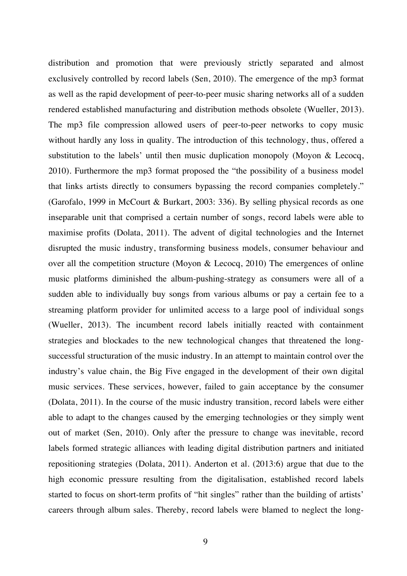distribution and promotion that were previously strictly separated and almost exclusively controlled by record labels (Sen, 2010). The emergence of the mp3 format as well as the rapid development of peer-to-peer music sharing networks all of a sudden rendered established manufacturing and distribution methods obsolete (Wueller, 2013). The mp3 file compression allowed users of peer-to-peer networks to copy music without hardly any loss in quality. The introduction of this technology, thus, offered a substitution to the labels' until then music duplication monopoly (Moyon & Lecocq, 2010). Furthermore the mp3 format proposed the "the possibility of a business model that links artists directly to consumers bypassing the record companies completely." (Garofalo, 1999 in McCourt & Burkart, 2003: 336). By selling physical records as one inseparable unit that comprised a certain number of songs, record labels were able to maximise profits (Dolata, 2011). The advent of digital technologies and the Internet disrupted the music industry, transforming business models, consumer behaviour and over all the competition structure (Moyon & Lecocq, 2010) The emergences of online music platforms diminished the album-pushing-strategy as consumers were all of a sudden able to individually buy songs from various albums or pay a certain fee to a streaming platform provider for unlimited access to a large pool of individual songs (Wueller, 2013). The incumbent record labels initially reacted with containment strategies and blockades to the new technological changes that threatened the longsuccessful structuration of the music industry. In an attempt to maintain control over the industry's value chain, the Big Five engaged in the development of their own digital music services. These services, however, failed to gain acceptance by the consumer (Dolata, 2011). In the course of the music industry transition, record labels were either able to adapt to the changes caused by the emerging technologies or they simply went out of market (Sen, 2010). Only after the pressure to change was inevitable, record labels formed strategic alliances with leading digital distribution partners and initiated repositioning strategies (Dolata, 2011). Anderton et al. (2013:6) argue that due to the high economic pressure resulting from the digitalisation, established record labels started to focus on short-term profits of "hit singles" rather than the building of artists' careers through album sales. Thereby, record labels were blamed to neglect the long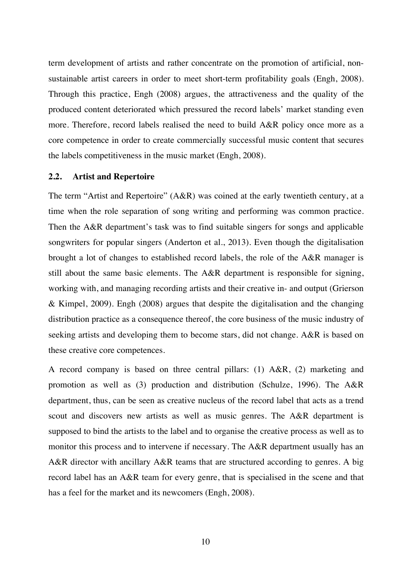term development of artists and rather concentrate on the promotion of artificial, nonsustainable artist careers in order to meet short-term profitability goals (Engh, 2008). Through this practice, Engh (2008) argues, the attractiveness and the quality of the produced content deteriorated which pressured the record labels' market standing even more. Therefore, record labels realised the need to build A&R policy once more as a core competence in order to create commercially successful music content that secures the labels competitiveness in the music market (Engh, 2008).

### **2.2. Artist and Repertoire**

The term "Artist and Repertoire" (A&R) was coined at the early twentieth century, at a time when the role separation of song writing and performing was common practice. Then the A&R department's task was to find suitable singers for songs and applicable songwriters for popular singers (Anderton et al., 2013). Even though the digitalisation brought a lot of changes to established record labels, the role of the A&R manager is still about the same basic elements. The A&R department is responsible for signing, working with, and managing recording artists and their creative in- and output (Grierson & Kimpel, 2009). Engh (2008) argues that despite the digitalisation and the changing distribution practice as a consequence thereof, the core business of the music industry of seeking artists and developing them to become stars, did not change. A&R is based on these creative core competences.

A record company is based on three central pillars: (1) A&R, (2) marketing and promotion as well as (3) production and distribution (Schulze, 1996). The A&R department, thus, can be seen as creative nucleus of the record label that acts as a trend scout and discovers new artists as well as music genres. The A&R department is supposed to bind the artists to the label and to organise the creative process as well as to monitor this process and to intervene if necessary. The A&R department usually has an A&R director with ancillary A&R teams that are structured according to genres. A big record label has an A&R team for every genre, that is specialised in the scene and that has a feel for the market and its newcomers (Engh, 2008).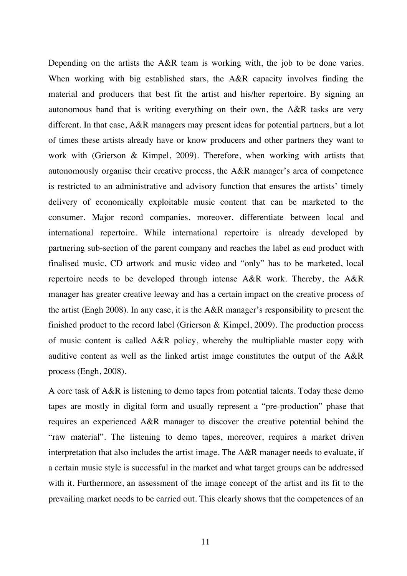Depending on the artists the A&R team is working with, the job to be done varies. When working with big established stars, the A&R capacity involves finding the material and producers that best fit the artist and his/her repertoire. By signing an autonomous band that is writing everything on their own, the A&R tasks are very different. In that case, A&R managers may present ideas for potential partners, but a lot of times these artists already have or know producers and other partners they want to work with (Grierson & Kimpel, 2009). Therefore, when working with artists that autonomously organise their creative process, the A&R manager's area of competence is restricted to an administrative and advisory function that ensures the artists' timely delivery of economically exploitable music content that can be marketed to the consumer. Major record companies, moreover, differentiate between local and international repertoire. While international repertoire is already developed by partnering sub-section of the parent company and reaches the label as end product with finalised music, CD artwork and music video and "only" has to be marketed, local repertoire needs to be developed through intense A&R work. Thereby, the A&R manager has greater creative leeway and has a certain impact on the creative process of the artist (Engh 2008). In any case, it is the A&R manager's responsibility to present the finished product to the record label (Grierson & Kimpel, 2009). The production process of music content is called A&R policy, whereby the multipliable master copy with auditive content as well as the linked artist image constitutes the output of the A&R process (Engh, 2008).

A core task of A&R is listening to demo tapes from potential talents. Today these demo tapes are mostly in digital form and usually represent a "pre-production" phase that requires an experienced A&R manager to discover the creative potential behind the "raw material". The listening to demo tapes, moreover, requires a market driven interpretation that also includes the artist image. The A&R manager needs to evaluate, if a certain music style is successful in the market and what target groups can be addressed with it. Furthermore, an assessment of the image concept of the artist and its fit to the prevailing market needs to be carried out. This clearly shows that the competences of an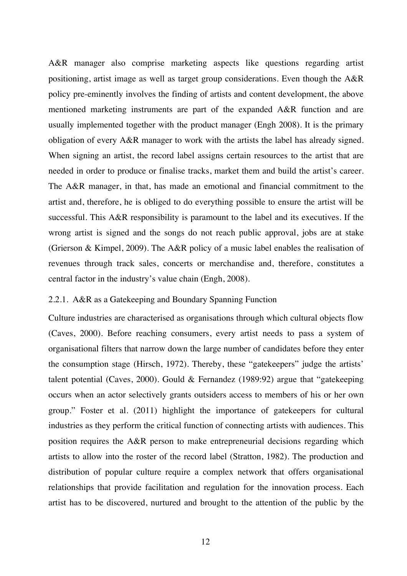A&R manager also comprise marketing aspects like questions regarding artist positioning, artist image as well as target group considerations. Even though the A&R policy pre-eminently involves the finding of artists and content development, the above mentioned marketing instruments are part of the expanded A&R function and are usually implemented together with the product manager (Engh 2008). It is the primary obligation of every A&R manager to work with the artists the label has already signed. When signing an artist, the record label assigns certain resources to the artist that are needed in order to produce or finalise tracks, market them and build the artist's career. The A&R manager, in that, has made an emotional and financial commitment to the artist and, therefore, he is obliged to do everything possible to ensure the artist will be successful. This A&R responsibility is paramount to the label and its executives. If the wrong artist is signed and the songs do not reach public approval, jobs are at stake (Grierson & Kimpel, 2009). The A&R policy of a music label enables the realisation of revenues through track sales, concerts or merchandise and, therefore, constitutes a central factor in the industry's value chain (Engh, 2008).

### 2.2.1. A&R as a Gatekeeping and Boundary Spanning Function

Culture industries are characterised as organisations through which cultural objects flow (Caves, 2000). Before reaching consumers, every artist needs to pass a system of organisational filters that narrow down the large number of candidates before they enter the consumption stage (Hirsch, 1972). Thereby, these "gatekeepers" judge the artists' talent potential (Caves, 2000). Gould & Fernandez (1989:92) argue that "gatekeeping occurs when an actor selectively grants outsiders access to members of his or her own group." Foster et al. (2011) highlight the importance of gatekeepers for cultural industries as they perform the critical function of connecting artists with audiences. This position requires the A&R person to make entrepreneurial decisions regarding which artists to allow into the roster of the record label (Stratton, 1982). The production and distribution of popular culture require a complex network that offers organisational relationships that provide facilitation and regulation for the innovation process. Each artist has to be discovered, nurtured and brought to the attention of the public by the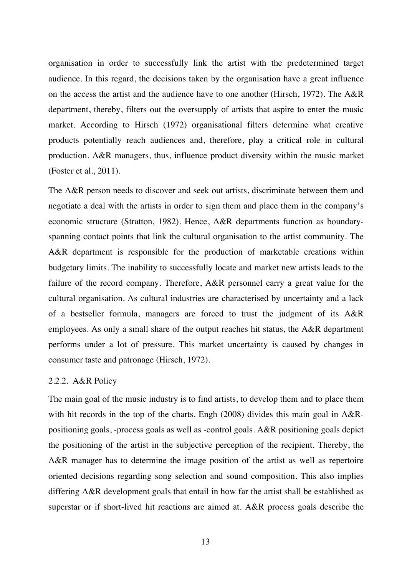organisation in order to successfully link the artist with the predetermined target audience. In this regard, the decisions taken by the organisation have a great influence on the access the artist and the audience have to one another (Hirsch, 1972). The A&R department, thereby, filters out the oversupply of artists that aspire to enter the music market. According to Hirsch (1972) organisational filters determine what creative products potentially reach audiences and, therefore, play a critical role in cultural production. A&R managers, thus, influence product diversity within the music market (Foster et al., 2011).

The A&R person needs to discover and seek out artists, discriminate between them and negotiate a deal with the artists in order to sign them and place them in the company's economic structure (Stratton, 1982). Hence, A&R departments function as boundaryspanning contact points that link the cultural organisation to the artist community. The A&R department is responsible for the production of marketable creations within budgetary limits. The inability to successfully locate and market new artists leads to the failure of the record company. Therefore, A&R personnel carry a great value for the cultural organisation. As cultural industries are characterised by uncertainty and a lack of a bestseller formula, managers are forced to trust the judgment of its A&R employees. As only a small share of the output reaches hit status, the A&R department performs under a lot of pressure. This market uncertainty is caused by changes in consumer taste and patronage (Hirsch, 1972).

### 2.2.2. A&R Policy

The main goal of the music industry is to find artists, to develop them and to place them with hit records in the top of the charts. Engh (2008) divides this main goal in A&Rpositioning goals, -process goals as well as -control goals. A&R positioning goals depict the positioning of the artist in the subjective perception of the recipient. Thereby, the A&R manager has to determine the image position of the artist as well as repertoire oriented decisions regarding song selection and sound composition. This also implies differing A&R development goals that entail in how far the artist shall be established as superstar or if short-lived hit reactions are aimed at. A&R process goals describe the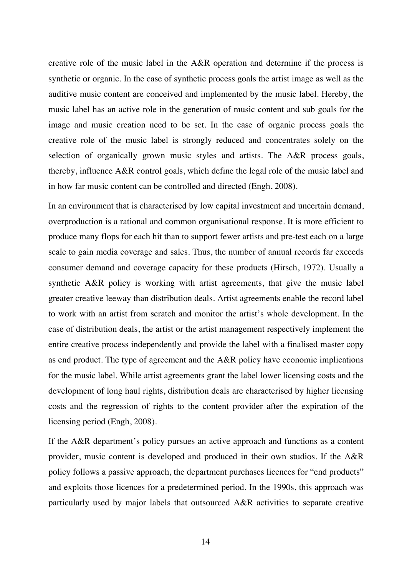creative role of the music label in the A&R operation and determine if the process is synthetic or organic. In the case of synthetic process goals the artist image as well as the auditive music content are conceived and implemented by the music label. Hereby, the music label has an active role in the generation of music content and sub goals for the image and music creation need to be set. In the case of organic process goals the creative role of the music label is strongly reduced and concentrates solely on the selection of organically grown music styles and artists. The A&R process goals, thereby, influence A&R control goals, which define the legal role of the music label and in how far music content can be controlled and directed (Engh, 2008).

In an environment that is characterised by low capital investment and uncertain demand, overproduction is a rational and common organisational response. It is more efficient to produce many flops for each hit than to support fewer artists and pre-test each on a large scale to gain media coverage and sales. Thus, the number of annual records far exceeds consumer demand and coverage capacity for these products (Hirsch, 1972). Usually a synthetic A&R policy is working with artist agreements, that give the music label greater creative leeway than distribution deals. Artist agreements enable the record label to work with an artist from scratch and monitor the artist's whole development. In the case of distribution deals, the artist or the artist management respectively implement the entire creative process independently and provide the label with a finalised master copy as end product. The type of agreement and the A&R policy have economic implications for the music label. While artist agreements grant the label lower licensing costs and the development of long haul rights, distribution deals are characterised by higher licensing costs and the regression of rights to the content provider after the expiration of the licensing period (Engh, 2008).

If the A&R department's policy pursues an active approach and functions as a content provider, music content is developed and produced in their own studios. If the A&R policy follows a passive approach, the department purchases licences for "end products" and exploits those licences for a predetermined period. In the 1990s, this approach was particularly used by major labels that outsourced A&R activities to separate creative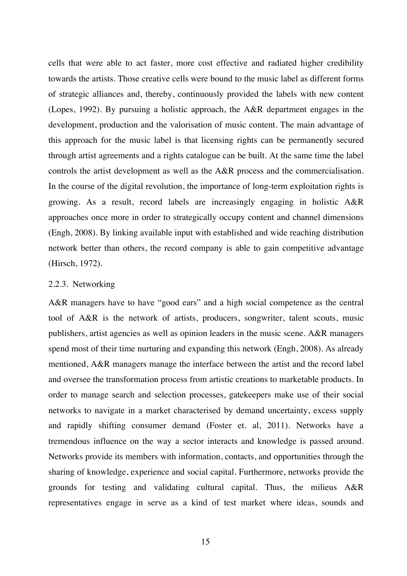cells that were able to act faster, more cost effective and radiated higher credibility towards the artists. Those creative cells were bound to the music label as different forms of strategic alliances and, thereby, continuously provided the labels with new content (Lopes, 1992). By pursuing a holistic approach, the A&R department engages in the development, production and the valorisation of music content. The main advantage of this approach for the music label is that licensing rights can be permanently secured through artist agreements and a rights catalogue can be built. At the same time the label controls the artist development as well as the A&R process and the commercialisation. In the course of the digital revolution, the importance of long-term exploitation rights is growing. As a result, record labels are increasingly engaging in holistic A&R approaches once more in order to strategically occupy content and channel dimensions (Engh, 2008). By linking available input with established and wide reaching distribution network better than others, the record company is able to gain competitive advantage (Hirsch, 1972).

#### 2.2.3. Networking

A&R managers have to have "good ears" and a high social competence as the central tool of A&R is the network of artists, producers, songwriter, talent scouts, music publishers, artist agencies as well as opinion leaders in the music scene. A&R managers spend most of their time nurturing and expanding this network (Engh, 2008). As already mentioned, A&R managers manage the interface between the artist and the record label and oversee the transformation process from artistic creations to marketable products. In order to manage search and selection processes, gatekeepers make use of their social networks to navigate in a market characterised by demand uncertainty, excess supply and rapidly shifting consumer demand (Foster et. al, 2011). Networks have a tremendous influence on the way a sector interacts and knowledge is passed around. Networks provide its members with information, contacts, and opportunities through the sharing of knowledge, experience and social capital. Furthermore, networks provide the grounds for testing and validating cultural capital. Thus, the milieus A&R representatives engage in serve as a kind of test market where ideas, sounds and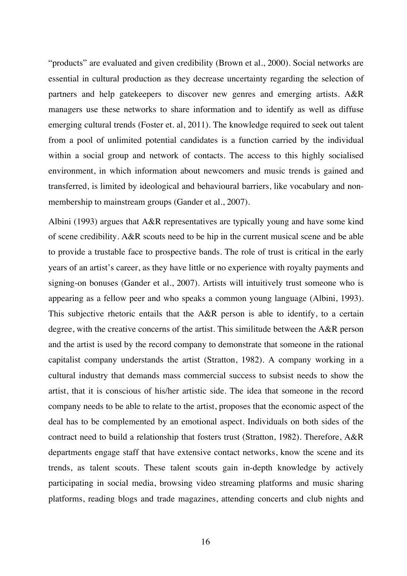"products" are evaluated and given credibility (Brown et al., 2000). Social networks are essential in cultural production as they decrease uncertainty regarding the selection of partners and help gatekeepers to discover new genres and emerging artists. A&R managers use these networks to share information and to identify as well as diffuse emerging cultural trends (Foster et. al, 2011). The knowledge required to seek out talent from a pool of unlimited potential candidates is a function carried by the individual within a social group and network of contacts. The access to this highly socialised environment, in which information about newcomers and music trends is gained and transferred, is limited by ideological and behavioural barriers, like vocabulary and nonmembership to mainstream groups (Gander et al., 2007).

Albini (1993) argues that A&R representatives are typically young and have some kind of scene credibility. A&R scouts need to be hip in the current musical scene and be able to provide a trustable face to prospective bands. The role of trust is critical in the early years of an artist's career, as they have little or no experience with royalty payments and signing-on bonuses (Gander et al., 2007). Artists will intuitively trust someone who is appearing as a fellow peer and who speaks a common young language (Albini, 1993). This subjective rhetoric entails that the A&R person is able to identify, to a certain degree, with the creative concerns of the artist. This similitude between the A&R person and the artist is used by the record company to demonstrate that someone in the rational capitalist company understands the artist (Stratton, 1982). A company working in a cultural industry that demands mass commercial success to subsist needs to show the artist, that it is conscious of his/her artistic side. The idea that someone in the record company needs to be able to relate to the artist, proposes that the economic aspect of the deal has to be complemented by an emotional aspect. Individuals on both sides of the contract need to build a relationship that fosters trust (Stratton, 1982). Therefore, A&R departments engage staff that have extensive contact networks, know the scene and its trends, as talent scouts. These talent scouts gain in-depth knowledge by actively participating in social media, browsing video streaming platforms and music sharing platforms, reading blogs and trade magazines, attending concerts and club nights and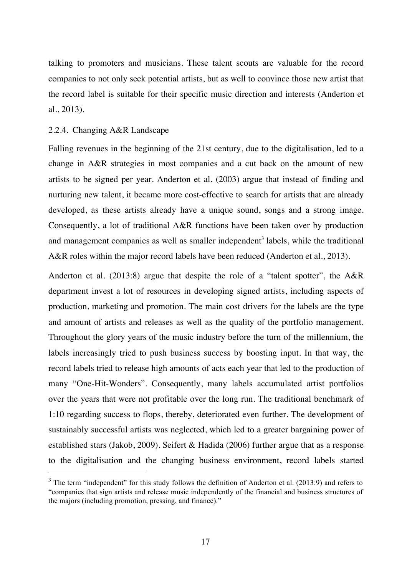talking to promoters and musicians. These talent scouts are valuable for the record companies to not only seek potential artists, but as well to convince those new artist that the record label is suitable for their specific music direction and interests (Anderton et al., 2013).

### 2.2.4. Changing A&R Landscape

Falling revenues in the beginning of the 21st century, due to the digitalisation, led to a change in A&R strategies in most companies and a cut back on the amount of new artists to be signed per year. Anderton et al. (2003) argue that instead of finding and nurturing new talent, it became more cost-effective to search for artists that are already developed, as these artists already have a unique sound, songs and a strong image. Consequently, a lot of traditional A&R functions have been taken over by production and management companies as well as smaller independent<sup>3</sup> labels, while the traditional A&R roles within the major record labels have been reduced (Anderton et al., 2013).

Anderton et al. (2013:8) argue that despite the role of a "talent spotter", the A&R department invest a lot of resources in developing signed artists, including aspects of production, marketing and promotion. The main cost drivers for the labels are the type and amount of artists and releases as well as the quality of the portfolio management. Throughout the glory years of the music industry before the turn of the millennium, the labels increasingly tried to push business success by boosting input. In that way, the record labels tried to release high amounts of acts each year that led to the production of many "One-Hit-Wonders". Consequently, many labels accumulated artist portfolios over the years that were not profitable over the long run. The traditional benchmark of 1:10 regarding success to flops, thereby, deteriorated even further. The development of sustainably successful artists was neglected, which led to a greater bargaining power of established stars (Jakob, 2009). Seifert & Hadida (2006) further argue that as a response to the digitalisation and the changing business environment, record labels started

 $3$  The term "independent" for this study follows the definition of Anderton et al. (2013:9) and refers to "companies that sign artists and release music independently of the financial and business structures of the majors (including promotion, pressing, and finance)."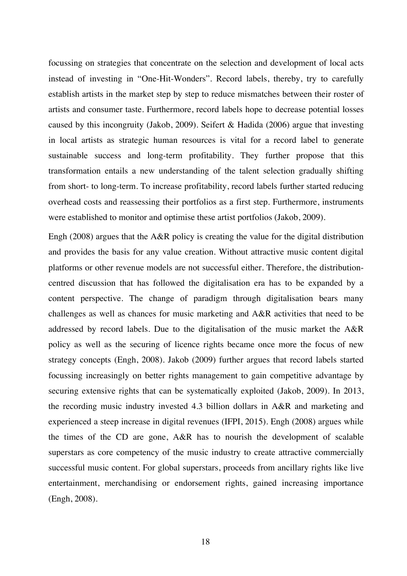focussing on strategies that concentrate on the selection and development of local acts instead of investing in "One-Hit-Wonders". Record labels, thereby, try to carefully establish artists in the market step by step to reduce mismatches between their roster of artists and consumer taste. Furthermore, record labels hope to decrease potential losses caused by this incongruity (Jakob, 2009). Seifert & Hadida (2006) argue that investing in local artists as strategic human resources is vital for a record label to generate sustainable success and long-term profitability. They further propose that this transformation entails a new understanding of the talent selection gradually shifting from short- to long-term. To increase profitability, record labels further started reducing overhead costs and reassessing their portfolios as a first step. Furthermore, instruments were established to monitor and optimise these artist portfolios (Jakob, 2009).

Engh (2008) argues that the A&R policy is creating the value for the digital distribution and provides the basis for any value creation. Without attractive music content digital platforms or other revenue models are not successful either. Therefore, the distributioncentred discussion that has followed the digitalisation era has to be expanded by a content perspective. The change of paradigm through digitalisation bears many challenges as well as chances for music marketing and A&R activities that need to be addressed by record labels. Due to the digitalisation of the music market the A&R policy as well as the securing of licence rights became once more the focus of new strategy concepts (Engh, 2008). Jakob (2009) further argues that record labels started focussing increasingly on better rights management to gain competitive advantage by securing extensive rights that can be systematically exploited (Jakob, 2009). In 2013, the recording music industry invested 4.3 billion dollars in A&R and marketing and experienced a steep increase in digital revenues (IFPI, 2015). Engh (2008) argues while the times of the CD are gone, A&R has to nourish the development of scalable superstars as core competency of the music industry to create attractive commercially successful music content. For global superstars, proceeds from ancillary rights like live entertainment, merchandising or endorsement rights, gained increasing importance (Engh, 2008).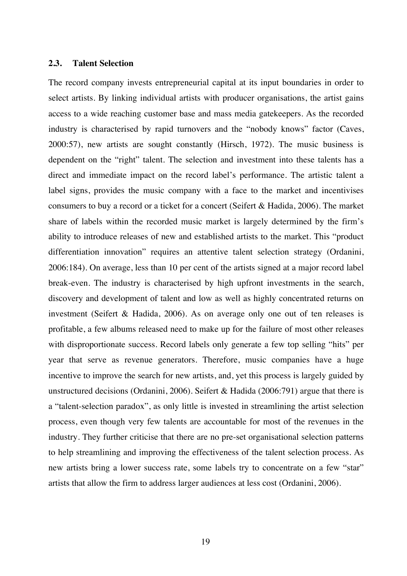#### **2.3. Talent Selection**

The record company invests entrepreneurial capital at its input boundaries in order to select artists. By linking individual artists with producer organisations, the artist gains access to a wide reaching customer base and mass media gatekeepers. As the recorded industry is characterised by rapid turnovers and the "nobody knows" factor (Caves, 2000:57), new artists are sought constantly (Hirsch, 1972). The music business is dependent on the "right" talent. The selection and investment into these talents has a direct and immediate impact on the record label's performance. The artistic talent a label signs, provides the music company with a face to the market and incentivises consumers to buy a record or a ticket for a concert (Seifert & Hadida, 2006). The market share of labels within the recorded music market is largely determined by the firm's ability to introduce releases of new and established artists to the market. This "product differentiation innovation" requires an attentive talent selection strategy (Ordanini, 2006:184). On average, less than 10 per cent of the artists signed at a major record label break-even. The industry is characterised by high upfront investments in the search, discovery and development of talent and low as well as highly concentrated returns on investment (Seifert & Hadida, 2006). As on average only one out of ten releases is profitable, a few albums released need to make up for the failure of most other releases with disproportionate success. Record labels only generate a few top selling "hits" per year that serve as revenue generators. Therefore, music companies have a huge incentive to improve the search for new artists, and, yet this process is largely guided by unstructured decisions (Ordanini, 2006). Seifert & Hadida (2006:791) argue that there is a "talent-selection paradox", as only little is invested in streamlining the artist selection process, even though very few talents are accountable for most of the revenues in the industry. They further criticise that there are no pre-set organisational selection patterns to help streamlining and improving the effectiveness of the talent selection process. As new artists bring a lower success rate, some labels try to concentrate on a few "star" artists that allow the firm to address larger audiences at less cost (Ordanini, 2006).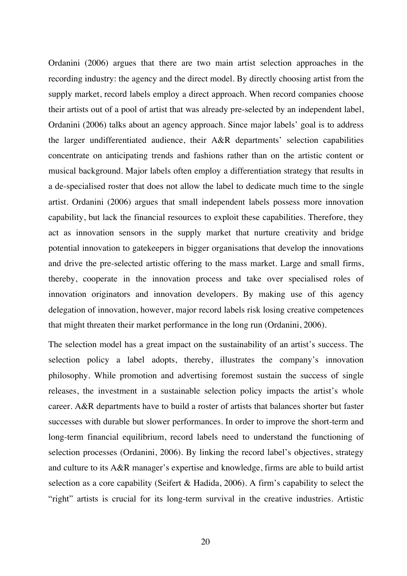Ordanini (2006) argues that there are two main artist selection approaches in the recording industry: the agency and the direct model. By directly choosing artist from the supply market, record labels employ a direct approach. When record companies choose their artists out of a pool of artist that was already pre-selected by an independent label, Ordanini (2006) talks about an agency approach. Since major labels' goal is to address the larger undifferentiated audience, their A&R departments' selection capabilities concentrate on anticipating trends and fashions rather than on the artistic content or musical background. Major labels often employ a differentiation strategy that results in a de-specialised roster that does not allow the label to dedicate much time to the single artist. Ordanini (2006) argues that small independent labels possess more innovation capability, but lack the financial resources to exploit these capabilities. Therefore, they act as innovation sensors in the supply market that nurture creativity and bridge potential innovation to gatekeepers in bigger organisations that develop the innovations and drive the pre-selected artistic offering to the mass market. Large and small firms, thereby, cooperate in the innovation process and take over specialised roles of innovation originators and innovation developers. By making use of this agency delegation of innovation, however, major record labels risk losing creative competences that might threaten their market performance in the long run (Ordanini, 2006).

The selection model has a great impact on the sustainability of an artist's success. The selection policy a label adopts, thereby, illustrates the company's innovation philosophy. While promotion and advertising foremost sustain the success of single releases, the investment in a sustainable selection policy impacts the artist's whole career. A&R departments have to build a roster of artists that balances shorter but faster successes with durable but slower performances. In order to improve the short-term and long-term financial equilibrium, record labels need to understand the functioning of selection processes (Ordanini, 2006). By linking the record label's objectives, strategy and culture to its A&R manager's expertise and knowledge, firms are able to build artist selection as a core capability (Seifert & Hadida, 2006). A firm's capability to select the "right" artists is crucial for its long-term survival in the creative industries. Artistic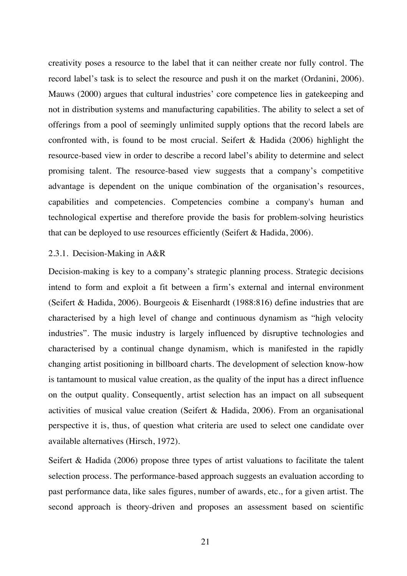creativity poses a resource to the label that it can neither create nor fully control. The record label's task is to select the resource and push it on the market (Ordanini, 2006). Mauws (2000) argues that cultural industries' core competence lies in gatekeeping and not in distribution systems and manufacturing capabilities. The ability to select a set of offerings from a pool of seemingly unlimited supply options that the record labels are confronted with, is found to be most crucial. Seifert  $\&$  Hadida (2006) highlight the resource-based view in order to describe a record label's ability to determine and select promising talent. The resource-based view suggests that a company's competitive advantage is dependent on the unique combination of the organisation's resources, capabilities and competencies. Competencies combine a company's human and technological expertise and therefore provide the basis for problem-solving heuristics that can be deployed to use resources efficiently (Seifert & Hadida, 2006).

### 2.3.1. Decision-Making in A&R

Decision-making is key to a company's strategic planning process. Strategic decisions intend to form and exploit a fit between a firm's external and internal environment (Seifert & Hadida, 2006). Bourgeois & Eisenhardt (1988:816) define industries that are characterised by a high level of change and continuous dynamism as "high velocity industries". The music industry is largely influenced by disruptive technologies and characterised by a continual change dynamism, which is manifested in the rapidly changing artist positioning in billboard charts. The development of selection know-how is tantamount to musical value creation, as the quality of the input has a direct influence on the output quality. Consequently, artist selection has an impact on all subsequent activities of musical value creation (Seifert & Hadida, 2006). From an organisational perspective it is, thus, of question what criteria are used to select one candidate over available alternatives (Hirsch, 1972).

Seifert & Hadida (2006) propose three types of artist valuations to facilitate the talent selection process. The performance-based approach suggests an evaluation according to past performance data, like sales figures, number of awards, etc., for a given artist. The second approach is theory-driven and proposes an assessment based on scientific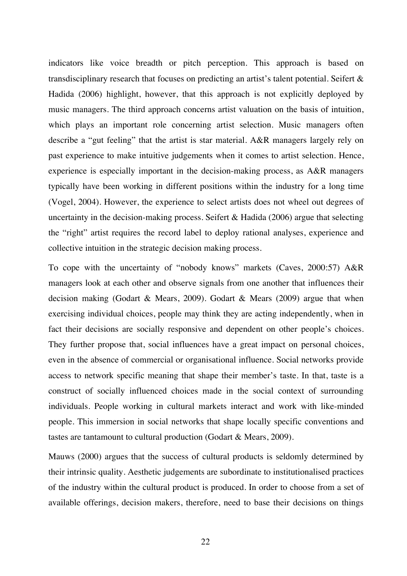indicators like voice breadth or pitch perception. This approach is based on transdisciplinary research that focuses on predicting an artist's talent potential. Seifert & Hadida (2006) highlight, however, that this approach is not explicitly deployed by music managers. The third approach concerns artist valuation on the basis of intuition, which plays an important role concerning artist selection. Music managers often describe a "gut feeling" that the artist is star material. A&R managers largely rely on past experience to make intuitive judgements when it comes to artist selection. Hence, experience is especially important in the decision-making process, as A&R managers typically have been working in different positions within the industry for a long time (Vogel, 2004). However, the experience to select artists does not wheel out degrees of uncertainty in the decision-making process. Seifert & Hadida (2006) argue that selecting the "right" artist requires the record label to deploy rational analyses, experience and collective intuition in the strategic decision making process.

To cope with the uncertainty of "nobody knows" markets (Caves, 2000:57) A&R managers look at each other and observe signals from one another that influences their decision making (Godart & Mears, 2009). Godart & Mears (2009) argue that when exercising individual choices, people may think they are acting independently, when in fact their decisions are socially responsive and dependent on other people's choices. They further propose that, social influences have a great impact on personal choices, even in the absence of commercial or organisational influence. Social networks provide access to network specific meaning that shape their member's taste. In that, taste is a construct of socially influenced choices made in the social context of surrounding individuals. People working in cultural markets interact and work with like-minded people. This immersion in social networks that shape locally specific conventions and tastes are tantamount to cultural production (Godart & Mears, 2009).

Mauws (2000) argues that the success of cultural products is seldomly determined by their intrinsic quality. Aesthetic judgements are subordinate to institutionalised practices of the industry within the cultural product is produced. In order to choose from a set of available offerings, decision makers, therefore, need to base their decisions on things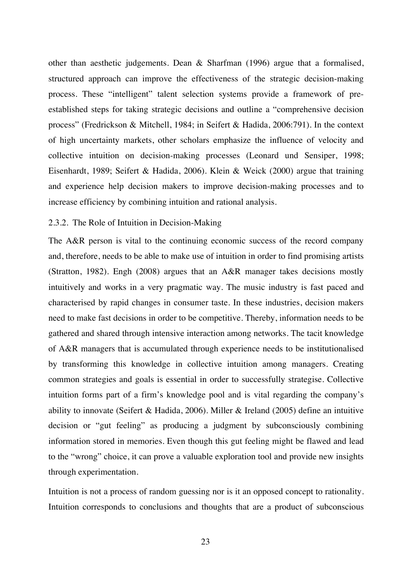other than aesthetic judgements. Dean & Sharfman (1996) argue that a formalised, structured approach can improve the effectiveness of the strategic decision-making process. These "intelligent" talent selection systems provide a framework of preestablished steps for taking strategic decisions and outline a "comprehensive decision process" (Fredrickson & Mitchell, 1984; in Seifert & Hadida, 2006:791). In the context of high uncertainty markets, other scholars emphasize the influence of velocity and collective intuition on decision-making processes (Leonard und Sensiper, 1998; Eisenhardt, 1989; Seifert & Hadida, 2006). Klein & Weick (2000) argue that training and experience help decision makers to improve decision-making processes and to increase efficiency by combining intuition and rational analysis.

### 2.3.2. The Role of Intuition in Decision-Making

The A&R person is vital to the continuing economic success of the record company and, therefore, needs to be able to make use of intuition in order to find promising artists (Stratton, 1982). Engh (2008) argues that an A&R manager takes decisions mostly intuitively and works in a very pragmatic way. The music industry is fast paced and characterised by rapid changes in consumer taste. In these industries, decision makers need to make fast decisions in order to be competitive. Thereby, information needs to be gathered and shared through intensive interaction among networks. The tacit knowledge of A&R managers that is accumulated through experience needs to be institutionalised by transforming this knowledge in collective intuition among managers. Creating common strategies and goals is essential in order to successfully strategise. Collective intuition forms part of a firm's knowledge pool and is vital regarding the company's ability to innovate (Seifert & Hadida, 2006). Miller & Ireland (2005) define an intuitive decision or "gut feeling" as producing a judgment by subconsciously combining information stored in memories. Even though this gut feeling might be flawed and lead to the "wrong" choice, it can prove a valuable exploration tool and provide new insights through experimentation.

Intuition is not a process of random guessing nor is it an opposed concept to rationality. Intuition corresponds to conclusions and thoughts that are a product of subconscious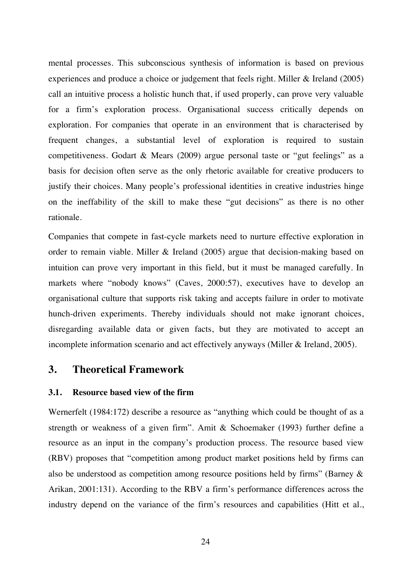mental processes. This subconscious synthesis of information is based on previous experiences and produce a choice or judgement that feels right. Miller & Ireland (2005) call an intuitive process a holistic hunch that, if used properly, can prove very valuable for a firm's exploration process. Organisational success critically depends on exploration. For companies that operate in an environment that is characterised by frequent changes, a substantial level of exploration is required to sustain competitiveness. Godart & Mears (2009) argue personal taste or "gut feelings" as a basis for decision often serve as the only rhetoric available for creative producers to justify their choices. Many people's professional identities in creative industries hinge on the ineffability of the skill to make these "gut decisions" as there is no other rationale.

Companies that compete in fast-cycle markets need to nurture effective exploration in order to remain viable. Miller & Ireland (2005) argue that decision-making based on intuition can prove very important in this field, but it must be managed carefully. In markets where "nobody knows" (Caves, 2000:57), executives have to develop an organisational culture that supports risk taking and accepts failure in order to motivate hunch-driven experiments. Thereby individuals should not make ignorant choices, disregarding available data or given facts, but they are motivated to accept an incomplete information scenario and act effectively anyways (Miller & Ireland, 2005).

### **3. Theoretical Framework**

### **3.1. Resource based view of the firm**

Wernerfelt (1984:172) describe a resource as "anything which could be thought of as a strength or weakness of a given firm". Amit & Schoemaker (1993) further define a resource as an input in the company's production process. The resource based view (RBV) proposes that "competition among product market positions held by firms can also be understood as competition among resource positions held by firms" (Barney & Arikan, 2001:131). According to the RBV a firm's performance differences across the industry depend on the variance of the firm's resources and capabilities (Hitt et al.,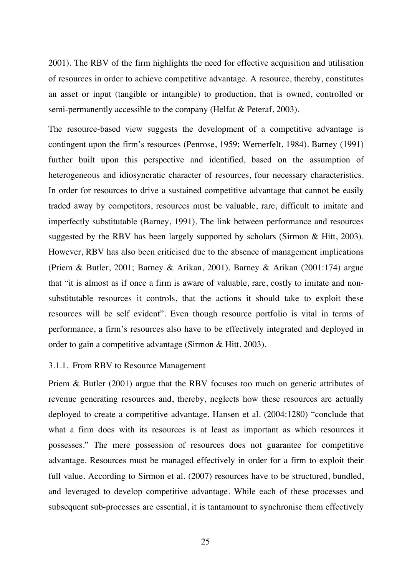2001). The RBV of the firm highlights the need for effective acquisition and utilisation of resources in order to achieve competitive advantage. A resource, thereby, constitutes an asset or input (tangible or intangible) to production, that is owned, controlled or semi-permanently accessible to the company (Helfat & Peteraf, 2003).

The resource-based view suggests the development of a competitive advantage is contingent upon the firm's resources (Penrose, 1959; Wernerfelt, 1984). Barney (1991) further built upon this perspective and identified, based on the assumption of heterogeneous and idiosyncratic character of resources, four necessary characteristics. In order for resources to drive a sustained competitive advantage that cannot be easily traded away by competitors, resources must be valuable, rare, difficult to imitate and imperfectly substitutable (Barney, 1991). The link between performance and resources suggested by the RBV has been largely supported by scholars (Sirmon & Hitt, 2003). However, RBV has also been criticised due to the absence of management implications (Priem & Butler, 2001; Barney & Arikan, 2001). Barney & Arikan (2001:174) argue that "it is almost as if once a firm is aware of valuable, rare, costly to imitate and nonsubstitutable resources it controls, that the actions it should take to exploit these resources will be self evident". Even though resource portfolio is vital in terms of performance, a firm's resources also have to be effectively integrated and deployed in order to gain a competitive advantage (Sirmon & Hitt, 2003).

### 3.1.1. From RBV to Resource Management

Priem & Butler (2001) argue that the RBV focuses too much on generic attributes of revenue generating resources and, thereby, neglects how these resources are actually deployed to create a competitive advantage. Hansen et al. (2004:1280) "conclude that what a firm does with its resources is at least as important as which resources it possesses." The mere possession of resources does not guarantee for competitive advantage. Resources must be managed effectively in order for a firm to exploit their full value. According to Sirmon et al. (2007) resources have to be structured, bundled, and leveraged to develop competitive advantage. While each of these processes and subsequent sub-processes are essential, it is tantamount to synchronise them effectively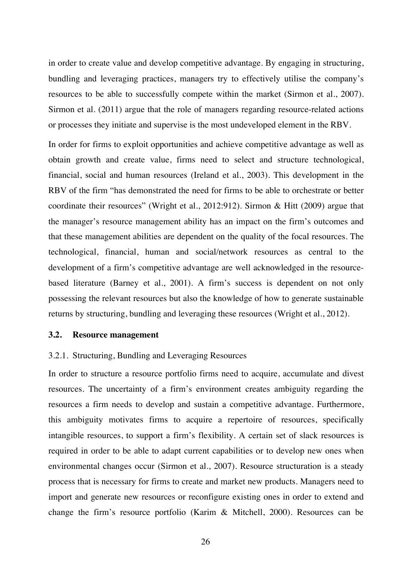in order to create value and develop competitive advantage. By engaging in structuring, bundling and leveraging practices, managers try to effectively utilise the company's resources to be able to successfully compete within the market (Sirmon et al., 2007). Sirmon et al. (2011) argue that the role of managers regarding resource-related actions or processes they initiate and supervise is the most undeveloped element in the RBV.

In order for firms to exploit opportunities and achieve competitive advantage as well as obtain growth and create value, firms need to select and structure technological, financial, social and human resources (Ireland et al., 2003). This development in the RBV of the firm "has demonstrated the need for firms to be able to orchestrate or better coordinate their resources" (Wright et al., 2012:912). Sirmon & Hitt (2009) argue that the manager's resource management ability has an impact on the firm's outcomes and that these management abilities are dependent on the quality of the focal resources. The technological, financial, human and social/network resources as central to the development of a firm's competitive advantage are well acknowledged in the resourcebased literature (Barney et al., 2001). A firm's success is dependent on not only possessing the relevant resources but also the knowledge of how to generate sustainable returns by structuring, bundling and leveraging these resources (Wright et al., 2012).

### **3.2. Resource management**

### 3.2.1. Structuring, Bundling and Leveraging Resources

In order to structure a resource portfolio firms need to acquire, accumulate and divest resources. The uncertainty of a firm's environment creates ambiguity regarding the resources a firm needs to develop and sustain a competitive advantage. Furthermore, this ambiguity motivates firms to acquire a repertoire of resources, specifically intangible resources, to support a firm's flexibility. A certain set of slack resources is required in order to be able to adapt current capabilities or to develop new ones when environmental changes occur (Sirmon et al., 2007). Resource structuration is a steady process that is necessary for firms to create and market new products. Managers need to import and generate new resources or reconfigure existing ones in order to extend and change the firm's resource portfolio (Karim & Mitchell, 2000). Resources can be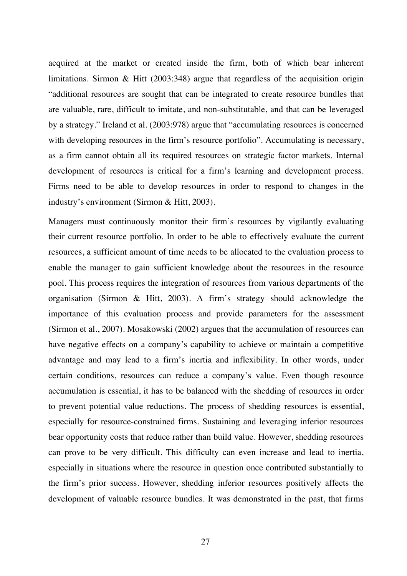acquired at the market or created inside the firm, both of which bear inherent limitations. Sirmon & Hitt (2003:348) argue that regardless of the acquisition origin "additional resources are sought that can be integrated to create resource bundles that are valuable, rare, difficult to imitate, and non-substitutable, and that can be leveraged by a strategy." Ireland et al. (2003:978) argue that "accumulating resources is concerned with developing resources in the firm's resource portfolio". Accumulating is necessary, as a firm cannot obtain all its required resources on strategic factor markets. Internal development of resources is critical for a firm's learning and development process. Firms need to be able to develop resources in order to respond to changes in the industry's environment (Sirmon & Hitt, 2003).

Managers must continuously monitor their firm's resources by vigilantly evaluating their current resource portfolio. In order to be able to effectively evaluate the current resources, a sufficient amount of time needs to be allocated to the evaluation process to enable the manager to gain sufficient knowledge about the resources in the resource pool. This process requires the integration of resources from various departments of the organisation (Sirmon & Hitt, 2003). A firm's strategy should acknowledge the importance of this evaluation process and provide parameters for the assessment (Sirmon et al., 2007). Mosakowski (2002) argues that the accumulation of resources can have negative effects on a company's capability to achieve or maintain a competitive advantage and may lead to a firm's inertia and inflexibility. In other words, under certain conditions, resources can reduce a company's value. Even though resource accumulation is essential, it has to be balanced with the shedding of resources in order to prevent potential value reductions. The process of shedding resources is essential, especially for resource-constrained firms. Sustaining and leveraging inferior resources bear opportunity costs that reduce rather than build value. However, shedding resources can prove to be very difficult. This difficulty can even increase and lead to inertia, especially in situations where the resource in question once contributed substantially to the firm's prior success. However, shedding inferior resources positively affects the development of valuable resource bundles. It was demonstrated in the past, that firms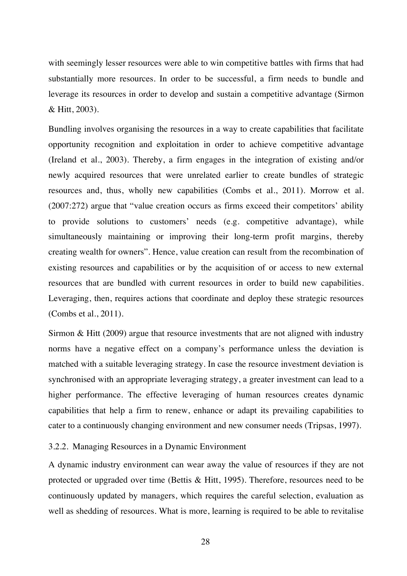with seemingly lesser resources were able to win competitive battles with firms that had substantially more resources. In order to be successful, a firm needs to bundle and leverage its resources in order to develop and sustain a competitive advantage (Sirmon & Hitt, 2003).

Bundling involves organising the resources in a way to create capabilities that facilitate opportunity recognition and exploitation in order to achieve competitive advantage (Ireland et al., 2003). Thereby, a firm engages in the integration of existing and/or newly acquired resources that were unrelated earlier to create bundles of strategic resources and, thus, wholly new capabilities (Combs et al., 2011). Morrow et al. (2007:272) argue that "value creation occurs as firms exceed their competitors' ability to provide solutions to customers' needs (e.g. competitive advantage), while simultaneously maintaining or improving their long-term profit margins, thereby creating wealth for owners". Hence, value creation can result from the recombination of existing resources and capabilities or by the acquisition of or access to new external resources that are bundled with current resources in order to build new capabilities. Leveraging, then, requires actions that coordinate and deploy these strategic resources (Combs et al., 2011).

Sirmon & Hitt (2009) argue that resource investments that are not aligned with industry norms have a negative effect on a company's performance unless the deviation is matched with a suitable leveraging strategy. In case the resource investment deviation is synchronised with an appropriate leveraging strategy, a greater investment can lead to a higher performance. The effective leveraging of human resources creates dynamic capabilities that help a firm to renew, enhance or adapt its prevailing capabilities to cater to a continuously changing environment and new consumer needs (Tripsas, 1997).

3.2.2. Managing Resources in a Dynamic Environment

A dynamic industry environment can wear away the value of resources if they are not protected or upgraded over time (Bettis & Hitt, 1995). Therefore, resources need to be continuously updated by managers, which requires the careful selection, evaluation as well as shedding of resources. What is more, learning is required to be able to revitalise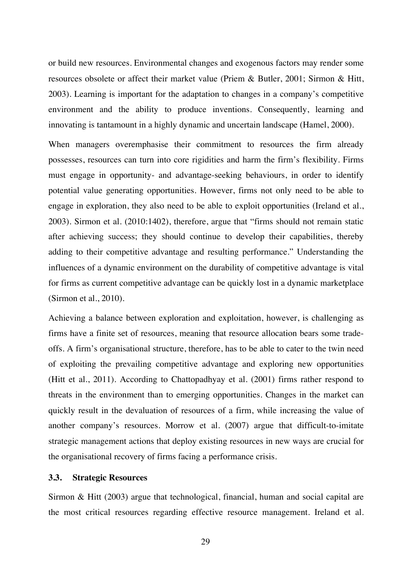or build new resources. Environmental changes and exogenous factors may render some resources obsolete or affect their market value (Priem & Butler, 2001; Sirmon & Hitt, 2003). Learning is important for the adaptation to changes in a company's competitive environment and the ability to produce inventions. Consequently, learning and innovating is tantamount in a highly dynamic and uncertain landscape (Hamel, 2000).

When managers overemphasise their commitment to resources the firm already possesses, resources can turn into core rigidities and harm the firm's flexibility. Firms must engage in opportunity- and advantage-seeking behaviours, in order to identify potential value generating opportunities. However, firms not only need to be able to engage in exploration, they also need to be able to exploit opportunities (Ireland et al., 2003). Sirmon et al. (2010:1402), therefore, argue that "firms should not remain static after achieving success; they should continue to develop their capabilities, thereby adding to their competitive advantage and resulting performance." Understanding the influences of a dynamic environment on the durability of competitive advantage is vital for firms as current competitive advantage can be quickly lost in a dynamic marketplace (Sirmon et al., 2010).

Achieving a balance between exploration and exploitation, however, is challenging as firms have a finite set of resources, meaning that resource allocation bears some tradeoffs. A firm's organisational structure, therefore, has to be able to cater to the twin need of exploiting the prevailing competitive advantage and exploring new opportunities (Hitt et al., 2011). According to Chattopadhyay et al. (2001) firms rather respond to threats in the environment than to emerging opportunities. Changes in the market can quickly result in the devaluation of resources of a firm, while increasing the value of another company's resources. Morrow et al. (2007) argue that difficult-to-imitate strategic management actions that deploy existing resources in new ways are crucial for the organisational recovery of firms facing a performance crisis.

### **3.3. Strategic Resources**

Sirmon & Hitt (2003) argue that technological, financial, human and social capital are the most critical resources regarding effective resource management. Ireland et al.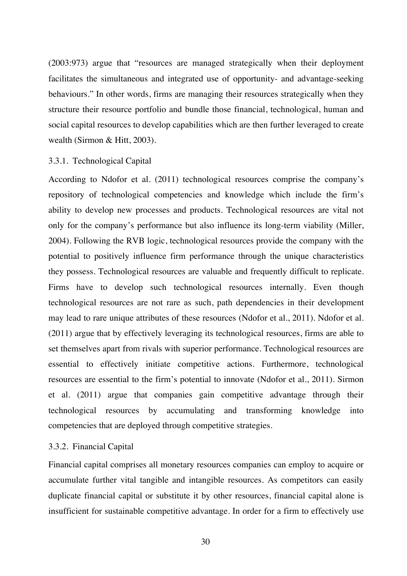(2003:973) argue that "resources are managed strategically when their deployment facilitates the simultaneous and integrated use of opportunity- and advantage-seeking behaviours." In other words, firms are managing their resources strategically when they structure their resource portfolio and bundle those financial, technological, human and social capital resources to develop capabilities which are then further leveraged to create wealth (Sirmon & Hitt, 2003).

### 3.3.1. Technological Capital

According to Ndofor et al. (2011) technological resources comprise the company's repository of technological competencies and knowledge which include the firm's ability to develop new processes and products. Technological resources are vital not only for the company's performance but also influence its long-term viability (Miller, 2004). Following the RVB logic, technological resources provide the company with the potential to positively influence firm performance through the unique characteristics they possess. Technological resources are valuable and frequently difficult to replicate. Firms have to develop such technological resources internally. Even though technological resources are not rare as such, path dependencies in their development may lead to rare unique attributes of these resources (Ndofor et al., 2011). Ndofor et al. (2011) argue that by effectively leveraging its technological resources, firms are able to set themselves apart from rivals with superior performance. Technological resources are essential to effectively initiate competitive actions. Furthermore, technological resources are essential to the firm's potential to innovate (Ndofor et al., 2011). Sirmon et al. (2011) argue that companies gain competitive advantage through their technological resources by accumulating and transforming knowledge into competencies that are deployed through competitive strategies.

### 3.3.2. Financial Capital

Financial capital comprises all monetary resources companies can employ to acquire or accumulate further vital tangible and intangible resources. As competitors can easily duplicate financial capital or substitute it by other resources, financial capital alone is insufficient for sustainable competitive advantage. In order for a firm to effectively use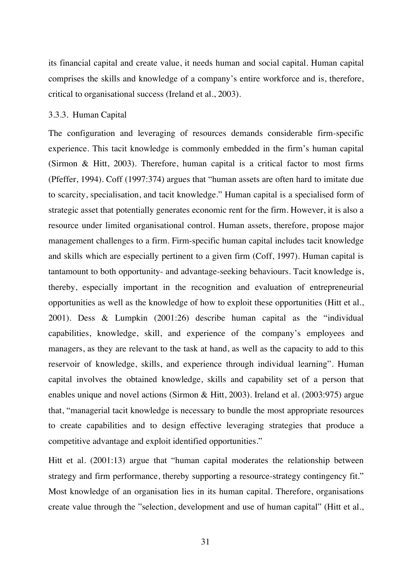its financial capital and create value, it needs human and social capital. Human capital comprises the skills and knowledge of a company's entire workforce and is, therefore, critical to organisational success (Ireland et al., 2003).

#### 3.3.3. Human Capital

The configuration and leveraging of resources demands considerable firm-specific experience. This tacit knowledge is commonly embedded in the firm's human capital (Sirmon & Hitt, 2003). Therefore, human capital is a critical factor to most firms (Pfeffer, 1994). Coff (1997:374) argues that "human assets are often hard to imitate due to scarcity, specialisation, and tacit knowledge." Human capital is a specialised form of strategic asset that potentially generates economic rent for the firm. However, it is also a resource under limited organisational control. Human assets, therefore, propose major management challenges to a firm. Firm-specific human capital includes tacit knowledge and skills which are especially pertinent to a given firm (Coff, 1997). Human capital is tantamount to both opportunity- and advantage-seeking behaviours. Tacit knowledge is, thereby, especially important in the recognition and evaluation of entrepreneurial opportunities as well as the knowledge of how to exploit these opportunities (Hitt et al., 2001). Dess & Lumpkin (2001:26) describe human capital as the "individual capabilities, knowledge, skill, and experience of the company's employees and managers, as they are relevant to the task at hand, as well as the capacity to add to this reservoir of knowledge, skills, and experience through individual learning". Human capital involves the obtained knowledge, skills and capability set of a person that enables unique and novel actions (Sirmon & Hitt, 2003). Ireland et al. (2003:975) argue that, "managerial tacit knowledge is necessary to bundle the most appropriate resources to create capabilities and to design effective leveraging strategies that produce a competitive advantage and exploit identified opportunities."

Hitt et al. (2001:13) argue that "human capital moderates the relationship between strategy and firm performance, thereby supporting a resource-strategy contingency fit." Most knowledge of an organisation lies in its human capital. Therefore, organisations create value through the "selection, development and use of human capital" (Hitt et al.,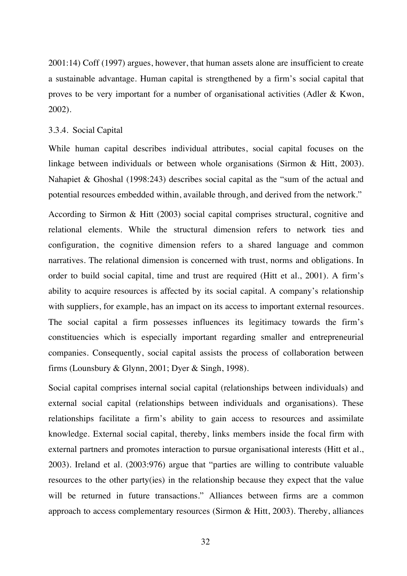2001:14) Coff (1997) argues, however, that human assets alone are insufficient to create a sustainable advantage. Human capital is strengthened by a firm's social capital that proves to be very important for a number of organisational activities (Adler & Kwon, 2002).

### 3.3.4. Social Capital

While human capital describes individual attributes, social capital focuses on the linkage between individuals or between whole organisations (Sirmon & Hitt, 2003). Nahapiet & Ghoshal (1998:243) describes social capital as the "sum of the actual and potential resources embedded within, available through, and derived from the network."

According to Sirmon & Hitt (2003) social capital comprises structural, cognitive and relational elements. While the structural dimension refers to network ties and configuration, the cognitive dimension refers to a shared language and common narratives. The relational dimension is concerned with trust, norms and obligations. In order to build social capital, time and trust are required (Hitt et al., 2001). A firm's ability to acquire resources is affected by its social capital. A company's relationship with suppliers, for example, has an impact on its access to important external resources. The social capital a firm possesses influences its legitimacy towards the firm's constituencies which is especially important regarding smaller and entrepreneurial companies. Consequently, social capital assists the process of collaboration between firms (Lounsbury & Glynn, 2001; Dyer & Singh, 1998).

Social capital comprises internal social capital (relationships between individuals) and external social capital (relationships between individuals and organisations). These relationships facilitate a firm's ability to gain access to resources and assimilate knowledge. External social capital, thereby, links members inside the focal firm with external partners and promotes interaction to pursue organisational interests (Hitt et al., 2003). Ireland et al. (2003:976) argue that "parties are willing to contribute valuable resources to the other party(ies) in the relationship because they expect that the value will be returned in future transactions." Alliances between firms are a common approach to access complementary resources (Sirmon & Hitt, 2003). Thereby, alliances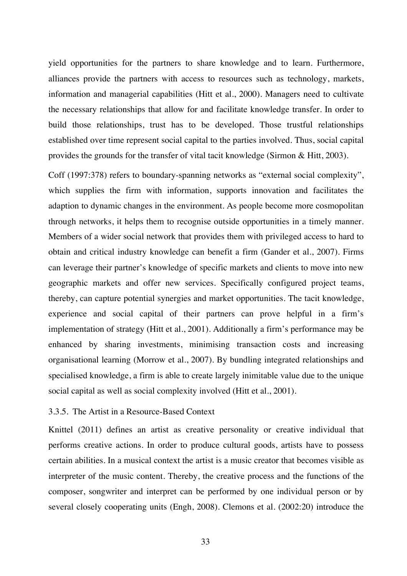yield opportunities for the partners to share knowledge and to learn. Furthermore, alliances provide the partners with access to resources such as technology, markets, information and managerial capabilities (Hitt et al., 2000). Managers need to cultivate the necessary relationships that allow for and facilitate knowledge transfer. In order to build those relationships, trust has to be developed. Those trustful relationships established over time represent social capital to the parties involved. Thus, social capital provides the grounds for the transfer of vital tacit knowledge (Sirmon & Hitt, 2003).

Coff (1997:378) refers to boundary-spanning networks as "external social complexity", which supplies the firm with information, supports innovation and facilitates the adaption to dynamic changes in the environment. As people become more cosmopolitan through networks, it helps them to recognise outside opportunities in a timely manner. Members of a wider social network that provides them with privileged access to hard to obtain and critical industry knowledge can benefit a firm (Gander et al., 2007). Firms can leverage their partner's knowledge of specific markets and clients to move into new geographic markets and offer new services. Specifically configured project teams, thereby, can capture potential synergies and market opportunities. The tacit knowledge, experience and social capital of their partners can prove helpful in a firm's implementation of strategy (Hitt et al., 2001). Additionally a firm's performance may be enhanced by sharing investments, minimising transaction costs and increasing organisational learning (Morrow et al., 2007). By bundling integrated relationships and specialised knowledge, a firm is able to create largely inimitable value due to the unique social capital as well as social complexity involved (Hitt et al., 2001).

### 3.3.5. The Artist in a Resource-Based Context

Knittel (2011) defines an artist as creative personality or creative individual that performs creative actions. In order to produce cultural goods, artists have to possess certain abilities. In a musical context the artist is a music creator that becomes visible as interpreter of the music content. Thereby, the creative process and the functions of the composer, songwriter and interpret can be performed by one individual person or by several closely cooperating units (Engh, 2008). Clemons et al. (2002:20) introduce the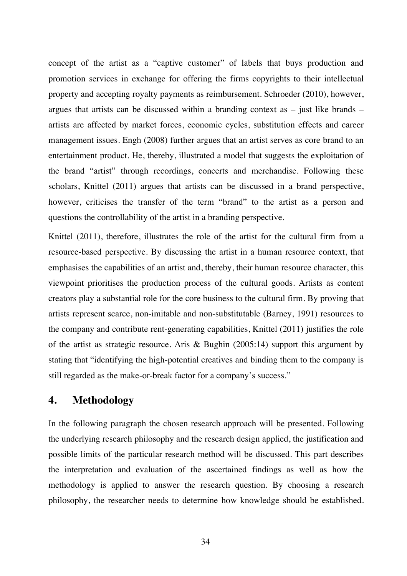concept of the artist as a "captive customer" of labels that buys production and promotion services in exchange for offering the firms copyrights to their intellectual property and accepting royalty payments as reimbursement. Schroeder (2010), however, argues that artists can be discussed within a branding context as  $-$  just like brands  $$ artists are affected by market forces, economic cycles, substitution effects and career management issues. Engh (2008) further argues that an artist serves as core brand to an entertainment product. He, thereby, illustrated a model that suggests the exploitation of the brand "artist" through recordings, concerts and merchandise. Following these scholars, Knittel (2011) argues that artists can be discussed in a brand perspective, however, criticises the transfer of the term "brand" to the artist as a person and questions the controllability of the artist in a branding perspective.

Knittel (2011), therefore, illustrates the role of the artist for the cultural firm from a resource-based perspective. By discussing the artist in a human resource context, that emphasises the capabilities of an artist and, thereby, their human resource character, this viewpoint prioritises the production process of the cultural goods. Artists as content creators play a substantial role for the core business to the cultural firm. By proving that artists represent scarce, non-imitable and non-substitutable (Barney, 1991) resources to the company and contribute rent-generating capabilities, Knittel (2011) justifies the role of the artist as strategic resource. Aris & Bughin (2005:14) support this argument by stating that "identifying the high-potential creatives and binding them to the company is still regarded as the make-or-break factor for a company's success."

### **4. Methodology**

In the following paragraph the chosen research approach will be presented. Following the underlying research philosophy and the research design applied, the justification and possible limits of the particular research method will be discussed. This part describes the interpretation and evaluation of the ascertained findings as well as how the methodology is applied to answer the research question. By choosing a research philosophy, the researcher needs to determine how knowledge should be established.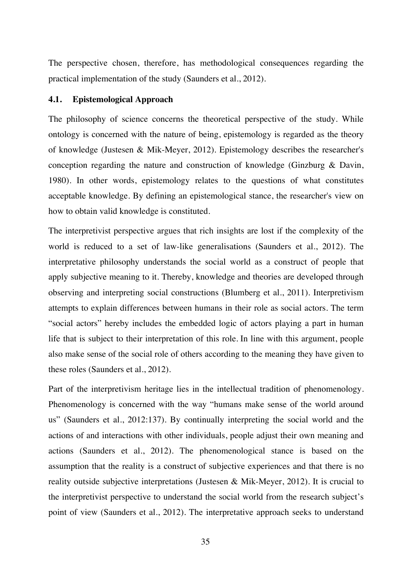The perspective chosen, therefore, has methodological consequences regarding the practical implementation of the study (Saunders et al., 2012).

### **4.1. Epistemological Approach**

The philosophy of science concerns the theoretical perspective of the study. While ontology is concerned with the nature of being, epistemology is regarded as the theory of knowledge (Justesen & Mik-Meyer, 2012). Epistemology describes the researcher's conception regarding the nature and construction of knowledge (Ginzburg & Davin, 1980). In other words, epistemology relates to the questions of what constitutes acceptable knowledge. By defining an epistemological stance, the researcher's view on how to obtain valid knowledge is constituted.

The interpretivist perspective argues that rich insights are lost if the complexity of the world is reduced to a set of law-like generalisations (Saunders et al., 2012). The interpretative philosophy understands the social world as a construct of people that apply subjective meaning to it. Thereby, knowledge and theories are developed through observing and interpreting social constructions (Blumberg et al., 2011). Interpretivism attempts to explain differences between humans in their role as social actors. The term "social actors" hereby includes the embedded logic of actors playing a part in human life that is subject to their interpretation of this role. In line with this argument, people also make sense of the social role of others according to the meaning they have given to these roles (Saunders et al., 2012).

Part of the interpretivism heritage lies in the intellectual tradition of phenomenology. Phenomenology is concerned with the way "humans make sense of the world around us" (Saunders et al., 2012:137). By continually interpreting the social world and the actions of and interactions with other individuals, people adjust their own meaning and actions (Saunders et al., 2012). The phenomenological stance is based on the assumption that the reality is a construct of subjective experiences and that there is no reality outside subjective interpretations (Justesen & Mik-Meyer, 2012). It is crucial to the interpretivist perspective to understand the social world from the research subject's point of view (Saunders et al., 2012). The interpretative approach seeks to understand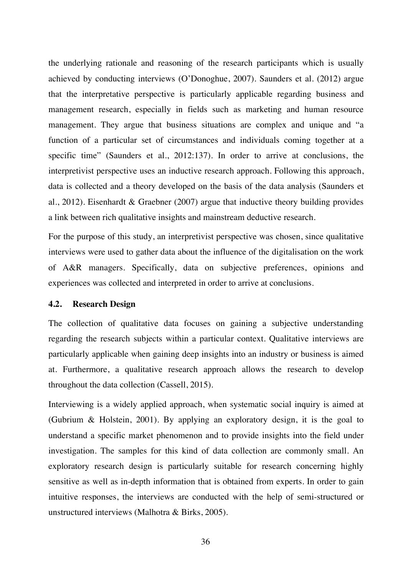the underlying rationale and reasoning of the research participants which is usually achieved by conducting interviews (O'Donoghue, 2007). Saunders et al. (2012) argue that the interpretative perspective is particularly applicable regarding business and management research, especially in fields such as marketing and human resource management. They argue that business situations are complex and unique and "a function of a particular set of circumstances and individuals coming together at a specific time" (Saunders et al., 2012:137). In order to arrive at conclusions, the interpretivist perspective uses an inductive research approach. Following this approach, data is collected and a theory developed on the basis of the data analysis (Saunders et al., 2012). Eisenhardt & Graebner (2007) argue that inductive theory building provides a link between rich qualitative insights and mainstream deductive research.

For the purpose of this study, an interpretivist perspective was chosen, since qualitative interviews were used to gather data about the influence of the digitalisation on the work of A&R managers. Specifically, data on subjective preferences, opinions and experiences was collected and interpreted in order to arrive at conclusions.

### **4.2. Research Design**

The collection of qualitative data focuses on gaining a subjective understanding regarding the research subjects within a particular context. Qualitative interviews are particularly applicable when gaining deep insights into an industry or business is aimed at. Furthermore, a qualitative research approach allows the research to develop throughout the data collection (Cassell, 2015).

Interviewing is a widely applied approach, when systematic social inquiry is aimed at (Gubrium & Holstein, 2001). By applying an exploratory design, it is the goal to understand a specific market phenomenon and to provide insights into the field under investigation. The samples for this kind of data collection are commonly small. An exploratory research design is particularly suitable for research concerning highly sensitive as well as in-depth information that is obtained from experts. In order to gain intuitive responses, the interviews are conducted with the help of semi-structured or unstructured interviews (Malhotra & Birks, 2005).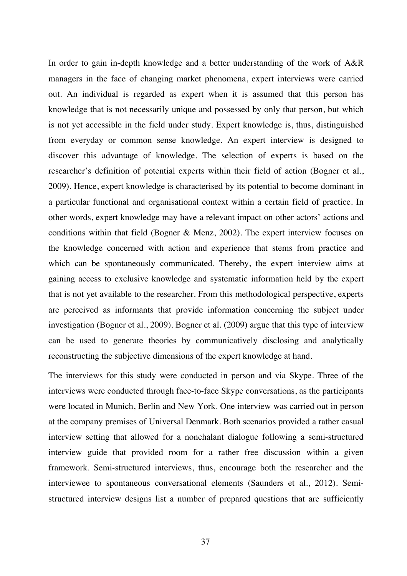In order to gain in-depth knowledge and a better understanding of the work of A&R managers in the face of changing market phenomena, expert interviews were carried out. An individual is regarded as expert when it is assumed that this person has knowledge that is not necessarily unique and possessed by only that person, but which is not yet accessible in the field under study. Expert knowledge is, thus, distinguished from everyday or common sense knowledge. An expert interview is designed to discover this advantage of knowledge. The selection of experts is based on the researcher's definition of potential experts within their field of action (Bogner et al., 2009). Hence, expert knowledge is characterised by its potential to become dominant in a particular functional and organisational context within a certain field of practice. In other words, expert knowledge may have a relevant impact on other actors' actions and conditions within that field (Bogner & Menz, 2002). The expert interview focuses on the knowledge concerned with action and experience that stems from practice and which can be spontaneously communicated. Thereby, the expert interview aims at gaining access to exclusive knowledge and systematic information held by the expert that is not yet available to the researcher. From this methodological perspective, experts are perceived as informants that provide information concerning the subject under investigation (Bogner et al., 2009). Bogner et al. (2009) argue that this type of interview can be used to generate theories by communicatively disclosing and analytically reconstructing the subjective dimensions of the expert knowledge at hand.

The interviews for this study were conducted in person and via Skype. Three of the interviews were conducted through face-to-face Skype conversations, as the participants were located in Munich, Berlin and New York. One interview was carried out in person at the company premises of Universal Denmark. Both scenarios provided a rather casual interview setting that allowed for a nonchalant dialogue following a semi-structured interview guide that provided room for a rather free discussion within a given framework. Semi-structured interviews, thus, encourage both the researcher and the interviewee to spontaneous conversational elements (Saunders et al., 2012). Semistructured interview designs list a number of prepared questions that are sufficiently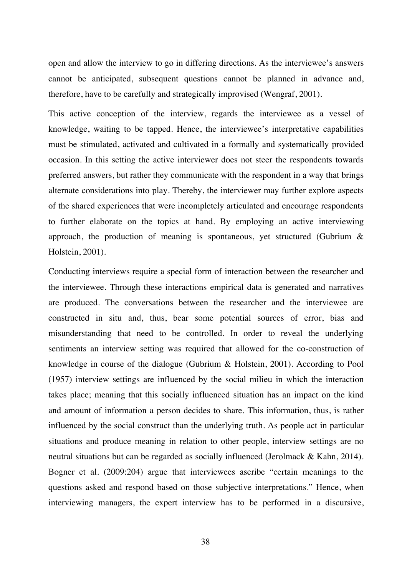open and allow the interview to go in differing directions. As the interviewee's answers cannot be anticipated, subsequent questions cannot be planned in advance and, therefore, have to be carefully and strategically improvised (Wengraf, 2001).

This active conception of the interview, regards the interviewee as a vessel of knowledge, waiting to be tapped. Hence, the interviewee's interpretative capabilities must be stimulated, activated and cultivated in a formally and systematically provided occasion. In this setting the active interviewer does not steer the respondents towards preferred answers, but rather they communicate with the respondent in a way that brings alternate considerations into play. Thereby, the interviewer may further explore aspects of the shared experiences that were incompletely articulated and encourage respondents to further elaborate on the topics at hand. By employing an active interviewing approach, the production of meaning is spontaneous, yet structured (Gubrium  $\&$ Holstein, 2001).

Conducting interviews require a special form of interaction between the researcher and the interviewee. Through these interactions empirical data is generated and narratives are produced. The conversations between the researcher and the interviewee are constructed in situ and, thus, bear some potential sources of error, bias and misunderstanding that need to be controlled. In order to reveal the underlying sentiments an interview setting was required that allowed for the co-construction of knowledge in course of the dialogue (Gubrium & Holstein, 2001). According to Pool (1957) interview settings are influenced by the social milieu in which the interaction takes place; meaning that this socially influenced situation has an impact on the kind and amount of information a person decides to share. This information, thus, is rather influenced by the social construct than the underlying truth. As people act in particular situations and produce meaning in relation to other people, interview settings are no neutral situations but can be regarded as socially influenced (Jerolmack & Kahn, 2014). Bogner et al. (2009:204) argue that interviewees ascribe "certain meanings to the questions asked and respond based on those subjective interpretations." Hence, when interviewing managers, the expert interview has to be performed in a discursive,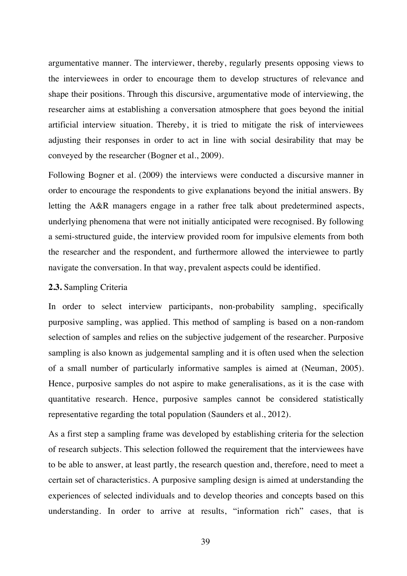argumentative manner. The interviewer, thereby, regularly presents opposing views to the interviewees in order to encourage them to develop structures of relevance and shape their positions. Through this discursive, argumentative mode of interviewing, the researcher aims at establishing a conversation atmosphere that goes beyond the initial artificial interview situation. Thereby, it is tried to mitigate the risk of interviewees adjusting their responses in order to act in line with social desirability that may be conveyed by the researcher (Bogner et al., 2009).

Following Bogner et al. (2009) the interviews were conducted a discursive manner in order to encourage the respondents to give explanations beyond the initial answers. By letting the A&R managers engage in a rather free talk about predetermined aspects, underlying phenomena that were not initially anticipated were recognised. By following a semi-structured guide, the interview provided room for impulsive elements from both the researcher and the respondent, and furthermore allowed the interviewee to partly navigate the conversation. In that way, prevalent aspects could be identified.

#### **2.3.** Sampling Criteria

In order to select interview participants, non-probability sampling, specifically purposive sampling, was applied. This method of sampling is based on a non-random selection of samples and relies on the subjective judgement of the researcher. Purposive sampling is also known as judgemental sampling and it is often used when the selection of a small number of particularly informative samples is aimed at (Neuman, 2005). Hence, purposive samples do not aspire to make generalisations, as it is the case with quantitative research. Hence, purposive samples cannot be considered statistically representative regarding the total population (Saunders et al., 2012).

As a first step a sampling frame was developed by establishing criteria for the selection of research subjects. This selection followed the requirement that the interviewees have to be able to answer, at least partly, the research question and, therefore, need to meet a certain set of characteristics. A purposive sampling design is aimed at understanding the experiences of selected individuals and to develop theories and concepts based on this understanding. In order to arrive at results, "information rich" cases, that is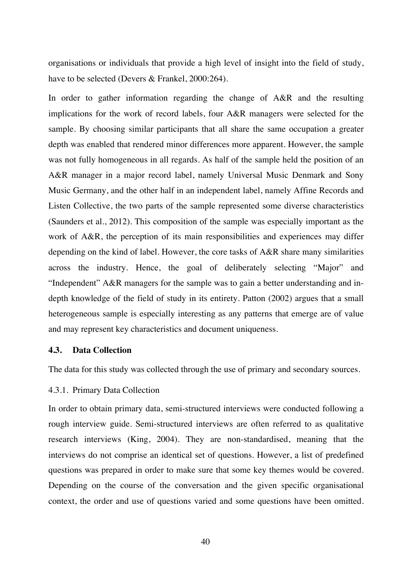organisations or individuals that provide a high level of insight into the field of study, have to be selected (Devers & Frankel, 2000:264).

In order to gather information regarding the change of A&R and the resulting implications for the work of record labels, four A&R managers were selected for the sample. By choosing similar participants that all share the same occupation a greater depth was enabled that rendered minor differences more apparent. However, the sample was not fully homogeneous in all regards. As half of the sample held the position of an A&R manager in a major record label, namely Universal Music Denmark and Sony Music Germany, and the other half in an independent label, namely Affine Records and Listen Collective, the two parts of the sample represented some diverse characteristics (Saunders et al., 2012). This composition of the sample was especially important as the work of A&R, the perception of its main responsibilities and experiences may differ depending on the kind of label. However, the core tasks of A&R share many similarities across the industry. Hence, the goal of deliberately selecting "Major" and "Independent" A&R managers for the sample was to gain a better understanding and indepth knowledge of the field of study in its entirety. Patton (2002) argues that a small heterogeneous sample is especially interesting as any patterns that emerge are of value and may represent key characteristics and document uniqueness.

#### **4.3. Data Collection**

The data for this study was collected through the use of primary and secondary sources.

## 4.3.1. Primary Data Collection

In order to obtain primary data, semi-structured interviews were conducted following a rough interview guide. Semi-structured interviews are often referred to as qualitative research interviews (King, 2004). They are non-standardised, meaning that the interviews do not comprise an identical set of questions. However, a list of predefined questions was prepared in order to make sure that some key themes would be covered. Depending on the course of the conversation and the given specific organisational context, the order and use of questions varied and some questions have been omitted.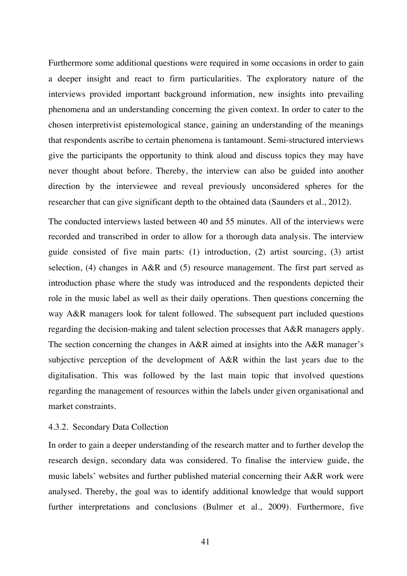Furthermore some additional questions were required in some occasions in order to gain a deeper insight and react to firm particularities. The exploratory nature of the interviews provided important background information, new insights into prevailing phenomena and an understanding concerning the given context. In order to cater to the chosen interpretivist epistemological stance, gaining an understanding of the meanings that respondents ascribe to certain phenomena is tantamount. Semi-structured interviews give the participants the opportunity to think aloud and discuss topics they may have never thought about before. Thereby, the interview can also be guided into another direction by the interviewee and reveal previously unconsidered spheres for the researcher that can give significant depth to the obtained data (Saunders et al., 2012).

The conducted interviews lasted between 40 and 55 minutes. All of the interviews were recorded and transcribed in order to allow for a thorough data analysis. The interview guide consisted of five main parts: (1) introduction, (2) artist sourcing, (3) artist selection, (4) changes in A&R and (5) resource management. The first part served as introduction phase where the study was introduced and the respondents depicted their role in the music label as well as their daily operations. Then questions concerning the way A&R managers look for talent followed. The subsequent part included questions regarding the decision-making and talent selection processes that A&R managers apply. The section concerning the changes in A&R aimed at insights into the A&R manager's subjective perception of the development of A&R within the last years due to the digitalisation. This was followed by the last main topic that involved questions regarding the management of resources within the labels under given organisational and market constraints.

#### 4.3.2. Secondary Data Collection

In order to gain a deeper understanding of the research matter and to further develop the research design, secondary data was considered. To finalise the interview guide, the music labels' websites and further published material concerning their A&R work were analysed. Thereby, the goal was to identify additional knowledge that would support further interpretations and conclusions (Bulmer et al., 2009). Furthermore, five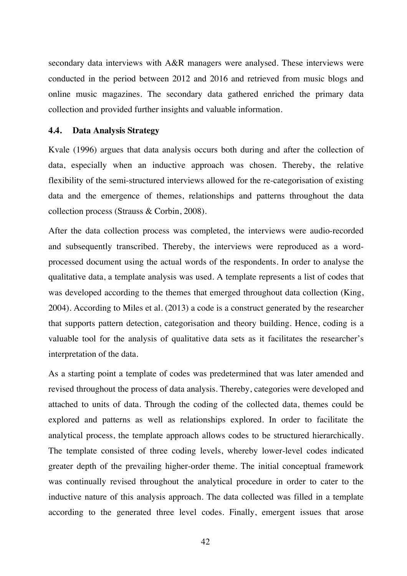secondary data interviews with A&R managers were analysed. These interviews were conducted in the period between 2012 and 2016 and retrieved from music blogs and online music magazines. The secondary data gathered enriched the primary data collection and provided further insights and valuable information.

#### **4.4. Data Analysis Strategy**

Kvale (1996) argues that data analysis occurs both during and after the collection of data, especially when an inductive approach was chosen. Thereby, the relative flexibility of the semi-structured interviews allowed for the re-categorisation of existing data and the emergence of themes, relationships and patterns throughout the data collection process (Strauss & Corbin, 2008).

After the data collection process was completed, the interviews were audio-recorded and subsequently transcribed. Thereby, the interviews were reproduced as a wordprocessed document using the actual words of the respondents. In order to analyse the qualitative data, a template analysis was used. A template represents a list of codes that was developed according to the themes that emerged throughout data collection (King, 2004). According to Miles et al. (2013) a code is a construct generated by the researcher that supports pattern detection, categorisation and theory building. Hence, coding is a valuable tool for the analysis of qualitative data sets as it facilitates the researcher's interpretation of the data.

As a starting point a template of codes was predetermined that was later amended and revised throughout the process of data analysis. Thereby, categories were developed and attached to units of data. Through the coding of the collected data, themes could be explored and patterns as well as relationships explored. In order to facilitate the analytical process, the template approach allows codes to be structured hierarchically. The template consisted of three coding levels, whereby lower-level codes indicated greater depth of the prevailing higher-order theme. The initial conceptual framework was continually revised throughout the analytical procedure in order to cater to the inductive nature of this analysis approach. The data collected was filled in a template according to the generated three level codes. Finally, emergent issues that arose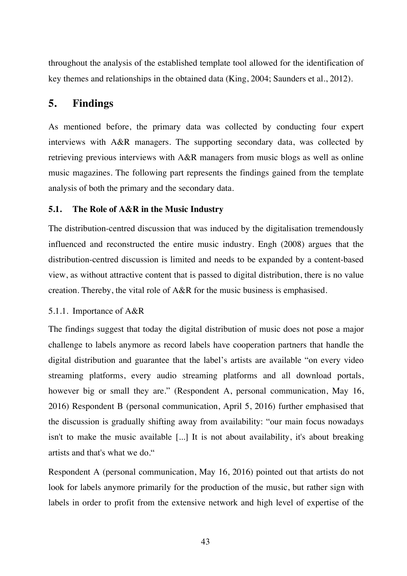throughout the analysis of the established template tool allowed for the identification of key themes and relationships in the obtained data (King, 2004; Saunders et al., 2012).

# **5. Findings**

As mentioned before, the primary data was collected by conducting four expert interviews with A&R managers. The supporting secondary data, was collected by retrieving previous interviews with A&R managers from music blogs as well as online music magazines. The following part represents the findings gained from the template analysis of both the primary and the secondary data.

## **5.1. The Role of A&R in the Music Industry**

The distribution-centred discussion that was induced by the digitalisation tremendously influenced and reconstructed the entire music industry. Engh (2008) argues that the distribution-centred discussion is limited and needs to be expanded by a content-based view, as without attractive content that is passed to digital distribution, there is no value creation. Thereby, the vital role of A&R for the music business is emphasised.

## 5.1.1. Importance of A&R

The findings suggest that today the digital distribution of music does not pose a major challenge to labels anymore as record labels have cooperation partners that handle the digital distribution and guarantee that the label's artists are available "on every video streaming platforms, every audio streaming platforms and all download portals, however big or small they are." (Respondent A, personal communication, May 16, 2016) Respondent B (personal communication, April 5, 2016) further emphasised that the discussion is gradually shifting away from availability: "our main focus nowadays isn't to make the music available [...] It is not about availability, it's about breaking artists and that's what we do."

Respondent A (personal communication, May 16, 2016) pointed out that artists do not look for labels anymore primarily for the production of the music, but rather sign with labels in order to profit from the extensive network and high level of expertise of the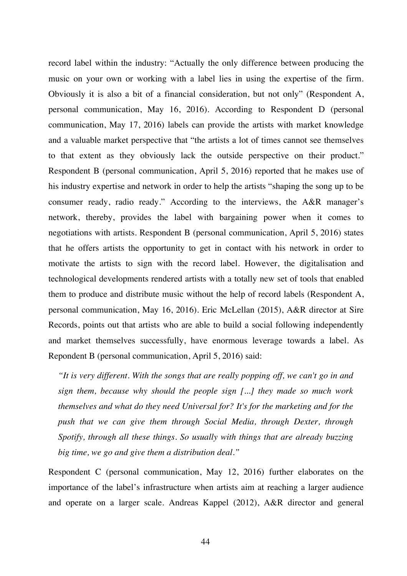record label within the industry: "Actually the only difference between producing the music on your own or working with a label lies in using the expertise of the firm. Obviously it is also a bit of a financial consideration, but not only" (Respondent A, personal communication, May 16, 2016). According to Respondent D (personal communication, May 17, 2016) labels can provide the artists with market knowledge and a valuable market perspective that "the artists a lot of times cannot see themselves to that extent as they obviously lack the outside perspective on their product." Respondent B (personal communication, April 5, 2016) reported that he makes use of his industry expertise and network in order to help the artists "shaping the song up to be consumer ready, radio ready." According to the interviews, the A&R manager's network, thereby, provides the label with bargaining power when it comes to negotiations with artists. Respondent B (personal communication, April 5, 2016) states that he offers artists the opportunity to get in contact with his network in order to motivate the artists to sign with the record label. However, the digitalisation and technological developments rendered artists with a totally new set of tools that enabled them to produce and distribute music without the help of record labels (Respondent A, personal communication, May 16, 2016). Eric McLellan (2015), A&R director at Sire Records, points out that artists who are able to build a social following independently and market themselves successfully, have enormous leverage towards a label. As Repondent B (personal communication, April 5, 2016) said:

*"It is very different. With the songs that are really popping off, we can't go in and sign them, because why should the people sign [...] they made so much work themselves and what do they need Universal for? It's for the marketing and for the push that we can give them through Social Media, through Dexter, through Spotify, through all these things. So usually with things that are already buzzing big time, we go and give them a distribution deal."* 

Respondent C (personal communication, May 12, 2016) further elaborates on the importance of the label's infrastructure when artists aim at reaching a larger audience and operate on a larger scale. Andreas Kappel (2012), A&R director and general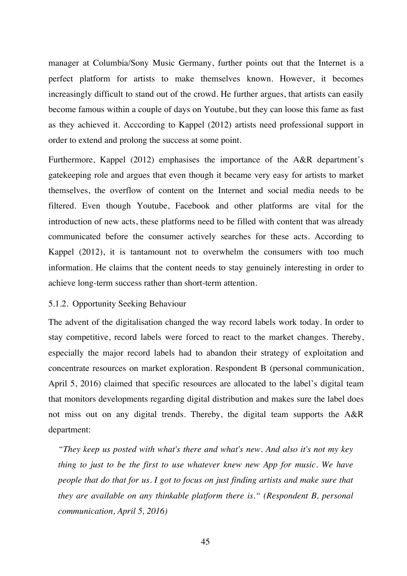manager at Columbia/Sony Music Germany, further points out that the Internet is a perfect platform for artists to make themselves known. However, it becomes increasingly difficult to stand out of the crowd. He further argues, that artists can easily become famous within a couple of days on Youtube, but they can loose this fame as fast as they achieved it. Acccording to Kappel (2012) artists need professional support in order to extend and prolong the success at some point.

Furthermore, Kappel (2012) emphasises the importance of the A&R department's gatekeeping role and argues that even though it became very easy for artists to market themselves, the overflow of content on the Internet and social media needs to be filtered. Even though Youtube, Facebook and other platforms are vital for the introduction of new acts, these platforms need to be filled with content that was already communicated before the consumer actively searches for these acts. According to Kappel (2012), it is tantamount not to overwhelm the consumers with too much information. He claims that the content needs to stay genuinely interesting in order to achieve long-term success rather than short-term attention.

#### 5.1.2. Opportunity Seeking Behaviour

The advent of the digitalisation changed the way record labels work today. In order to stay competitive, record labels were forced to react to the market changes. Thereby, especially the major record labels had to abandon their strategy of exploitation and concentrate resources on market exploration. Respondent B (personal communication, April 5, 2016) claimed that specific resources are allocated to the label's digital team that monitors developments regarding digital distribution and makes sure the label does not miss out on any digital trends. Thereby, the digital team supports the A&R department:

*"They keep us posted with what's there and what's new. And also it's not my key thing to just to be the first to use whatever knew new App for music. We have people that do that for us. I got to focus on just finding artists and make sure that they are available on any thinkable platform there is." (Respondent B, personal communication, April 5, 2016)*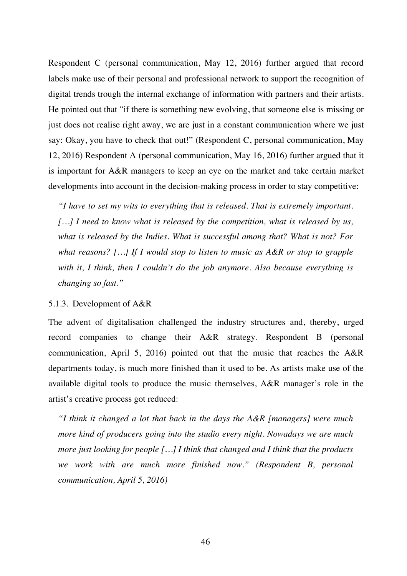Respondent C (personal communication, May 12, 2016) further argued that record labels make use of their personal and professional network to support the recognition of digital trends trough the internal exchange of information with partners and their artists. He pointed out that "if there is something new evolving, that someone else is missing or just does not realise right away, we are just in a constant communication where we just say: Okay, you have to check that out!" (Respondent C, personal communication, May 12, 2016) Respondent A (personal communication, May 16, 2016) further argued that it is important for A&R managers to keep an eye on the market and take certain market developments into account in the decision-making process in order to stay competitive:

*"I have to set my wits to everything that is released. That is extremely important. […] I need to know what is released by the competition, what is released by us, what is released by the Indies. What is successful among that? What is not? For what reasons? […] If I would stop to listen to music as A&R or stop to grapple with it, I think, then I couldn't do the job anymore. Also because everything is changing so fast."* 

#### 5.1.3. Development of A&R

The advent of digitalisation challenged the industry structures and, thereby, urged record companies to change their A&R strategy. Respondent B (personal communication, April 5, 2016) pointed out that the music that reaches the A&R departments today, is much more finished than it used to be. As artists make use of the available digital tools to produce the music themselves, A&R manager's role in the artist's creative process got reduced:

*"I think it changed a lot that back in the days the A&R [managers] were much more kind of producers going into the studio every night. Nowadays we are much more just looking for people […] I think that changed and I think that the products we work with are much more finished now." (Respondent B, personal communication, April 5, 2016)*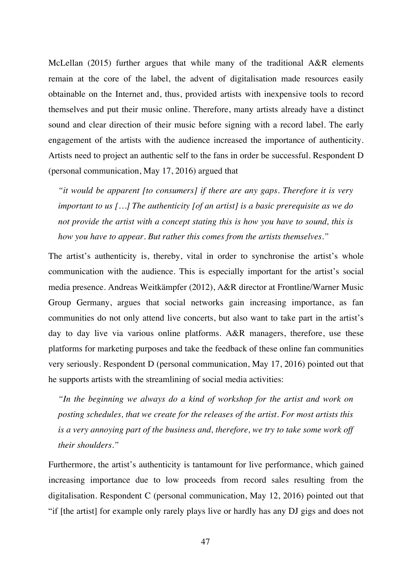McLellan (2015) further argues that while many of the traditional A&R elements remain at the core of the label, the advent of digitalisation made resources easily obtainable on the Internet and, thus, provided artists with inexpensive tools to record themselves and put their music online. Therefore, many artists already have a distinct sound and clear direction of their music before signing with a record label. The early engagement of the artists with the audience increased the importance of authenticity. Artists need to project an authentic self to the fans in order be successful. Respondent D (personal communication, May 17, 2016) argued that

*"it would be apparent [to consumers] if there are any gaps. Therefore it is very important to us […] The authenticity [of an artist] is a basic prerequisite as we do not provide the artist with a concept stating this is how you have to sound, this is how you have to appear. But rather this comes from the artists themselves."*

The artist's authenticity is, thereby, vital in order to synchronise the artist's whole communication with the audience. This is especially important for the artist's social media presence. Andreas Weitkämpfer (2012), A&R director at Frontline/Warner Music Group Germany, argues that social networks gain increasing importance, as fan communities do not only attend live concerts, but also want to take part in the artist's day to day live via various online platforms. A&R managers, therefore, use these platforms for marketing purposes and take the feedback of these online fan communities very seriously. Respondent D (personal communication, May 17, 2016) pointed out that he supports artists with the streamlining of social media activities:

*"In the beginning we always do a kind of workshop for the artist and work on posting schedules, that we create for the releases of the artist. For most artists this is a very annoying part of the business and, therefore, we try to take some work off their shoulders."*

Furthermore, the artist's authenticity is tantamount for live performance, which gained increasing importance due to low proceeds from record sales resulting from the digitalisation. Respondent C (personal communication, May 12, 2016) pointed out that "if [the artist] for example only rarely plays live or hardly has any DJ gigs and does not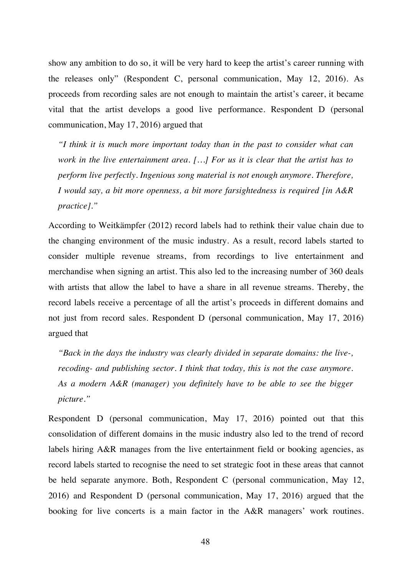show any ambition to do so, it will be very hard to keep the artist's career running with the releases only" (Respondent C, personal communication, May 12, 2016). As proceeds from recording sales are not enough to maintain the artist's career, it became vital that the artist develops a good live performance. Respondent D (personal communication, May 17, 2016) argued that

*"I think it is much more important today than in the past to consider what can work in the live entertainment area. […] For us it is clear that the artist has to perform live perfectly. Ingenious song material is not enough anymore. Therefore, I would say, a bit more openness, a bit more farsightedness is required [in A&R practice]."*

According to Weitkämpfer (2012) record labels had to rethink their value chain due to the changing environment of the music industry. As a result, record labels started to consider multiple revenue streams, from recordings to live entertainment and merchandise when signing an artist. This also led to the increasing number of 360 deals with artists that allow the label to have a share in all revenue streams. Thereby, the record labels receive a percentage of all the artist's proceeds in different domains and not just from record sales. Respondent D (personal communication, May 17, 2016) argued that

*"Back in the days the industry was clearly divided in separate domains: the live-, recoding- and publishing sector. I think that today, this is not the case anymore. As a modern A&R (manager) you definitely have to be able to see the bigger picture."*

Respondent D (personal communication, May 17, 2016) pointed out that this consolidation of different domains in the music industry also led to the trend of record labels hiring A&R manages from the live entertainment field or booking agencies, as record labels started to recognise the need to set strategic foot in these areas that cannot be held separate anymore. Both, Respondent C (personal communication, May 12, 2016) and Respondent D (personal communication, May 17, 2016) argued that the booking for live concerts is a main factor in the A&R managers' work routines.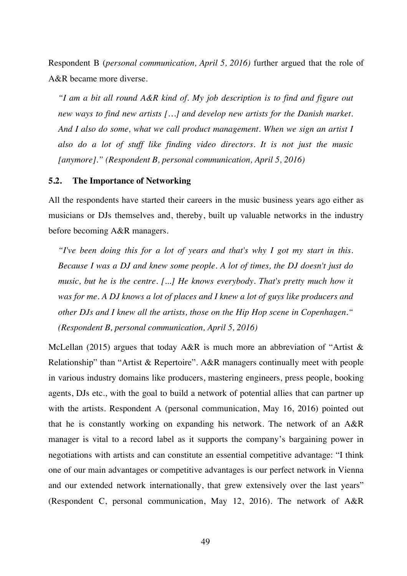Respondent B (*personal communication, April 5, 2016)* further argued that the role of A&R became more diverse.

*"I am a bit all round A&R kind of. My job description is to find and figure out new ways to find new artists […] and develop new artists for the Danish market. And I also do some, what we call product management. When we sign an artist I also do a lot of stuff like finding video directors. It is not just the music [anymore]." (Respondent B, personal communication, April 5, 2016)*

#### **5.2. The Importance of Networking**

All the respondents have started their careers in the music business years ago either as musicians or DJs themselves and, thereby, built up valuable networks in the industry before becoming A&R managers.

*"I've been doing this for a lot of years and that's why I got my start in this. Because I was a DJ and knew some people. A lot of times, the DJ doesn't just do music, but he is the centre. [...] He knows everybody. That's pretty much how it was for me. A DJ knows a lot of places and I knew a lot of guys like producers and other DJs and I knew all the artists, those on the Hip Hop scene in Copenhagen." (Respondent B, personal communication, April 5, 2016)*

McLellan (2015) argues that today A&R is much more an abbreviation of "Artist & Relationship" than "Artist & Repertoire". A&R managers continually meet with people in various industry domains like producers, mastering engineers, press people, booking agents, DJs etc., with the goal to build a network of potential allies that can partner up with the artists. Respondent A (personal communication, May 16, 2016) pointed out that he is constantly working on expanding his network. The network of an A&R manager is vital to a record label as it supports the company's bargaining power in negotiations with artists and can constitute an essential competitive advantage: "I think one of our main advantages or competitive advantages is our perfect network in Vienna and our extended network internationally, that grew extensively over the last years" (Respondent C, personal communication, May 12, 2016). The network of A&R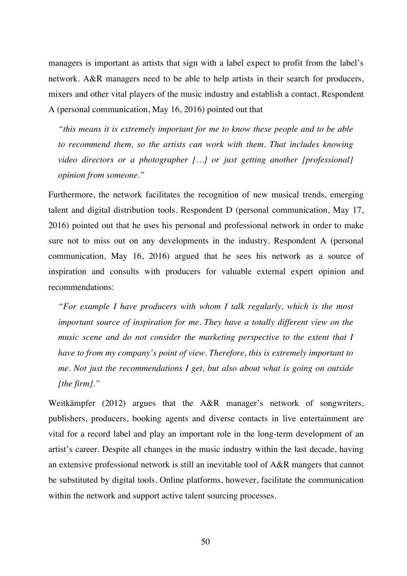managers is important as artists that sign with a label expect to profit from the label's network. A&R managers need to be able to help artists in their search for producers, mixers and other vital players of the music industry and establish a contact. Respondent A (personal communication, May 16, 2016) pointed out that

*"this means it is extremely important for me to know these people and to be able to recommend them, so the artists can work with them. That includes knowing video directors or a photographer […] or just getting another [professional] opinion from someone."*

Furthermore, the network facilitates the recognition of new musical trends, emerging talent and digital distribution tools. Respondent D (personal communication, May 17, 2016) pointed out that he uses his personal and professional network in order to make sure not to miss out on any developments in the industry. Respondent A (personal communication, May 16, 2016) argued that he sees his network as a source of inspiration and consults with producers for valuable external expert opinion and recommendations:

*"For example I have producers with whom I talk regularly, which is the most important source of inspiration for me. They have a totally different view on the music scene and do not consider the marketing perspective to the extent that I have to from my company's point of view. Therefore, this is extremely important to me. Not just the recommendations I get, but also about what is going on outside [the firm]."*

Weitkämpfer (2012) argues that the A&R manager's network of songwriters, publishers, producers, booking agents and diverse contacts in live entertainment are vital for a record label and play an important role in the long-term development of an artist's career. Despite all changes in the music industry within the last decade, having an extensive professional network is still an inevitable tool of A&R mangers that cannot be substituted by digital tools. Online platforms, however, facilitate the communication within the network and support active talent sourcing processes.

50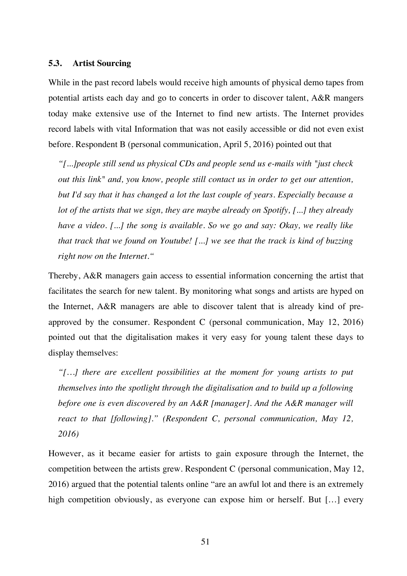#### **5.3. Artist Sourcing**

While in the past record labels would receive high amounts of physical demo tapes from potential artists each day and go to concerts in order to discover talent, A&R mangers today make extensive use of the Internet to find new artists. The Internet provides record labels with vital Information that was not easily accessible or did not even exist before. Respondent B (personal communication, April 5, 2016) pointed out that

*"[...]people still send us physical CDs and people send us e-mails with "just check out this link" and, you know, people still contact us in order to get our attention, but I'd say that it has changed a lot the last couple of years. Especially because a lot of the artists that we sign, they are maybe already on Spotify, [...] they already have a video. [...] the song is available. So we go and say: Okay, we really like that track that we found on Youtube! [...] we see that the track is kind of buzzing right now on the Internet."* 

Thereby, A&R managers gain access to essential information concerning the artist that facilitates the search for new talent. By monitoring what songs and artists are hyped on the Internet, A&R managers are able to discover talent that is already kind of preapproved by the consumer. Respondent C (personal communication, May 12, 2016) pointed out that the digitalisation makes it very easy for young talent these days to display themselves:

*"[…] there are excellent possibilities at the moment for young artists to put themselves into the spotlight through the digitalisation and to build up a following before one is even discovered by an A&R [manager]. And the A&R manager will react to that [following]." (Respondent C, personal communication, May 12, 2016)*

However, as it became easier for artists to gain exposure through the Internet, the competition between the artists grew. Respondent C (personal communication, May 12, 2016) argued that the potential talents online "are an awful lot and there is an extremely high competition obviously, as everyone can expose him or herself. But [...] every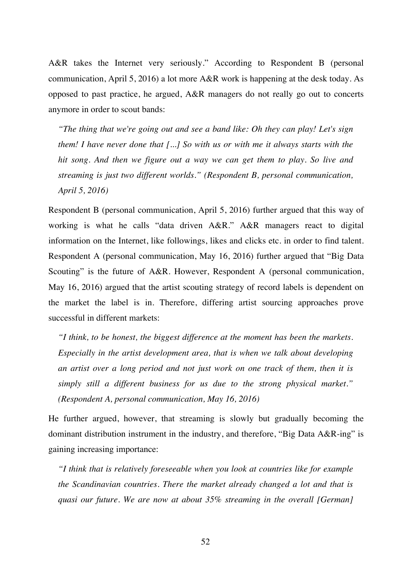A&R takes the Internet very seriously." According to Respondent B (personal communication, April 5, 2016) a lot more A&R work is happening at the desk today. As opposed to past practice, he argued, A&R managers do not really go out to concerts anymore in order to scout bands:

*"The thing that we're going out and see a band like: Oh they can play! Let's sign them! I have never done that [...] So with us or with me it always starts with the hit song. And then we figure out a way we can get them to play. So live and streaming is just two different worlds." (Respondent B, personal communication, April 5, 2016)*

Respondent B (personal communication, April 5, 2016) further argued that this way of working is what he calls "data driven A&R." A&R managers react to digital information on the Internet, like followings, likes and clicks etc. in order to find talent. Respondent A (personal communication, May 16, 2016) further argued that "Big Data Scouting" is the future of A&R. However, Respondent A (personal communication, May 16, 2016) argued that the artist scouting strategy of record labels is dependent on the market the label is in. Therefore, differing artist sourcing approaches prove successful in different markets:

*"I think, to be honest, the biggest difference at the moment has been the markets. Especially in the artist development area, that is when we talk about developing an artist over a long period and not just work on one track of them, then it is simply still a different business for us due to the strong physical market." (Respondent A, personal communication, May 16, 2016)*

He further argued, however, that streaming is slowly but gradually becoming the dominant distribution instrument in the industry, and therefore, "Big Data A&R-ing" is gaining increasing importance:

*"I think that is relatively foreseeable when you look at countries like for example the Scandinavian countries. There the market already changed a lot and that is quasi our future. We are now at about 35% streaming in the overall [German]*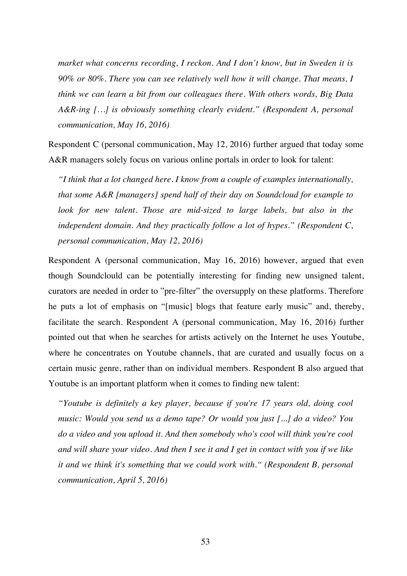*market what concerns recording, I reckon. And I don't know, but in Sweden it is 90% or 80%. There you can see relatively well how it will change. That means, I think we can learn a bit from our colleagues there. With others words, Big Data A&R-ing […] is obviously something clearly evident." (Respondent A, personal communication, May 16, 2016)*

Respondent C (personal communication, May 12, 2016) further argued that today some A&R managers solely focus on various online portals in order to look for talent:

*"I think that a lot changed here. I know from a couple of examples internationally, that some A&R [managers] spend half of their day on Soundcloud for example to*  look for new talent. Those are mid-sized to large labels, but also in the *independent domain. And they practically follow a lot of hypes." (Respondent C, personal communication, May 12, 2016)*

Respondent A (personal communication, May 16, 2016) however, argued that even though Soundclould can be potentially interesting for finding new unsigned talent, curators are needed in order to "pre-filter" the oversupply on these platforms. Therefore he puts a lot of emphasis on "[music] blogs that feature early music" and, thereby, facilitate the search. Respondent A (personal communication, May 16, 2016) further pointed out that when he searches for artists actively on the Internet he uses Youtube, where he concentrates on Youtube channels, that are curated and usually focus on a certain music genre, rather than on individual members. Respondent B also argued that Youtube is an important platform when it comes to finding new talent:

*"Youtube is definitely a key player, because if you're 17 years old, doing cool music: Would you send us a demo tape? Or would you just [...] do a video? You do a video and you upload it. And then somebody who's cool will think you're cool and will share your video. And then I see it and I get in contact with you if we like it and we think it's something that we could work with." (Respondent B, personal communication, April 5, 2016)*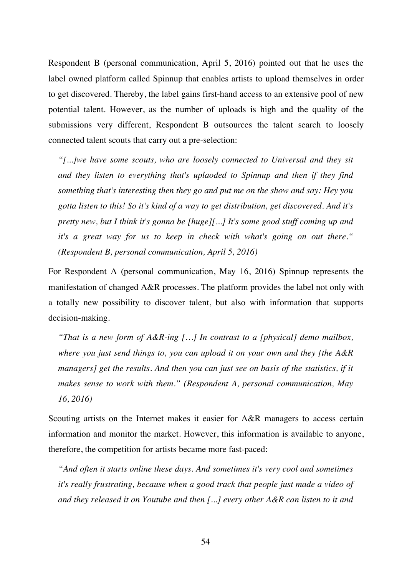Respondent B (personal communication, April 5, 2016) pointed out that he uses the label owned platform called Spinnup that enables artists to upload themselves in order to get discovered. Thereby, the label gains first-hand access to an extensive pool of new potential talent. However, as the number of uploads is high and the quality of the submissions very different, Respondent B outsources the talent search to loosely connected talent scouts that carry out a pre-selection:

*"[...]we have some scouts, who are loosely connected to Universal and they sit and they listen to everything that's uplaoded to Spinnup and then if they find something that's interesting then they go and put me on the show and say: Hey you gotta listen to this! So it's kind of a way to get distribution, get discovered. And it's pretty new, but I think it's gonna be [huge][...] It's some good stuff coming up and it's a great way for us to keep in check with what's going on out there." (Respondent B, personal communication, April 5, 2016)*

For Respondent A (personal communication, May 16, 2016) Spinnup represents the manifestation of changed A&R processes. The platform provides the label not only with a totally new possibility to discover talent, but also with information that supports decision-making.

*"That is a new form of A&R-ing […] In contrast to a [physical] demo mailbox, where you just send things to, you can upload it on your own and they [the A&R managers] get the results. And then you can just see on basis of the statistics, if it makes sense to work with them." (Respondent A, personal communication, May 16, 2016)*

Scouting artists on the Internet makes it easier for A&R managers to access certain information and monitor the market. However, this information is available to anyone, therefore, the competition for artists became more fast-paced:

*"And often it starts online these days. And sometimes it's very cool and sometimes it's really frustrating, because when a good track that people just made a video of and they released it on Youtube and then [...] every other A&R can listen to it and*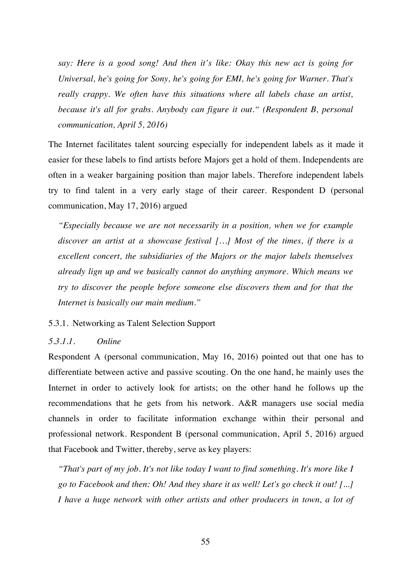*say: Here is a good song! And then it's like: Okay this new act is going for Universal, he's going for Sony, he's going for EMI, he's going for Warner. That's really crappy. We often have this situations where all labels chase an artist, because it's all for grabs. Anybody can figure it out." (Respondent B, personal communication, April 5, 2016)*

The Internet facilitates talent sourcing especially for independent labels as it made it easier for these labels to find artists before Majors get a hold of them. Independents are often in a weaker bargaining position than major labels. Therefore independent labels try to find talent in a very early stage of their career. Respondent D (personal communication, May 17, 2016) argued

*"Especially because we are not necessarily in a position, when we for example discover an artist at a showcase festival […] Most of the times, if there is a excellent concert, the subsidiaries of the Majors or the major labels themselves already lign up and we basically cannot do anything anymore. Which means we try to discover the people before someone else discovers them and for that the Internet is basically our main medium."*

#### 5.3.1. Networking as Talent Selection Support

## *5.3.1.1. Online*

Respondent A (personal communication, May 16, 2016) pointed out that one has to differentiate between active and passive scouting. On the one hand, he mainly uses the Internet in order to actively look for artists; on the other hand he follows up the recommendations that he gets from his network. A&R managers use social media channels in order to facilitate information exchange within their personal and professional network. Respondent B (personal communication, April 5, 2016) argued that Facebook and Twitter, thereby, serve as key players:

*"That's part of my job. It's not like today I want to find something. It's more like I go to Facebook and then: Oh! And they share it as well! Let's go check it out! [...] I have a huge network with other artists and other producers in town, a lot of*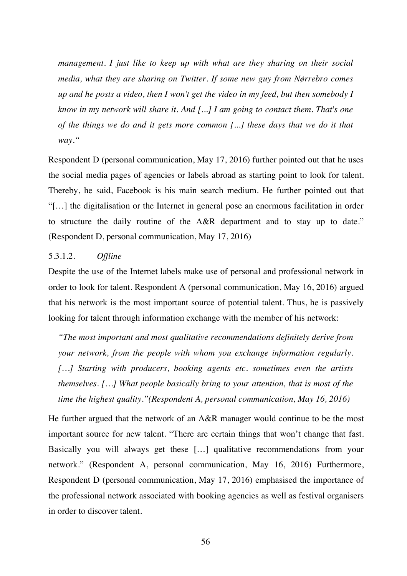*management. I just like to keep up with what are they sharing on their social media, what they are sharing on Twitter. If some new guy from Nørrebro comes up and he posts a video, then I won't get the video in my feed, but then somebody I know in my network will share it. And [...] I am going to contact them. That's one of the things we do and it gets more common [...] these days that we do it that way."*

Respondent D (personal communication, May 17, 2016) further pointed out that he uses the social media pages of agencies or labels abroad as starting point to look for talent. Thereby, he said, Facebook is his main search medium. He further pointed out that "[…] the digitalisation or the Internet in general pose an enormous facilitation in order to structure the daily routine of the A&R department and to stay up to date." (Respondent D, personal communication, May 17, 2016)

### 5.3.1.2. *Offline*

Despite the use of the Internet labels make use of personal and professional network in order to look for talent. Respondent A (personal communication, May 16, 2016) argued that his network is the most important source of potential talent. Thus, he is passively looking for talent through information exchange with the member of his network:

*"The most important and most qualitative recommendations definitely derive from your network, from the people with whom you exchange information regularly. […] Starting with producers, booking agents etc. sometimes even the artists themselves. […] What people basically bring to your attention, that is most of the time the highest quality."(Respondent A, personal communication, May 16, 2016)*

He further argued that the network of an A&R manager would continue to be the most important source for new talent. "There are certain things that won't change that fast. Basically you will always get these […] qualitative recommendations from your network." (Respondent A, personal communication, May 16, 2016) Furthermore, Respondent D (personal communication, May 17, 2016) emphasised the importance of the professional network associated with booking agencies as well as festival organisers in order to discover talent.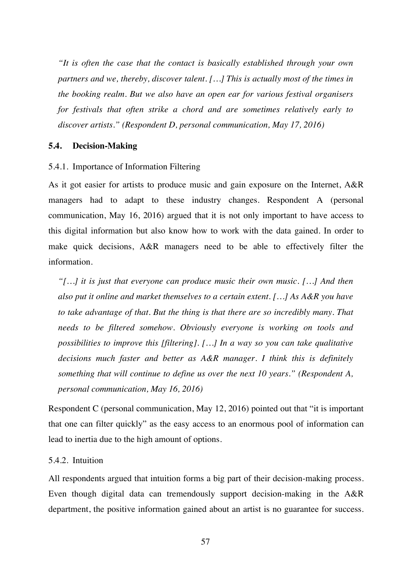*"It is often the case that the contact is basically established through your own partners and we, thereby, discover talent. […] This is actually most of the times in the booking realm. But we also have an open ear for various festival organisers for festivals that often strike a chord and are sometimes relatively early to discover artists." (Respondent D, personal communication, May 17, 2016)*

#### **5.4. Decision-Making**

#### 5.4.1. Importance of Information Filtering

As it got easier for artists to produce music and gain exposure on the Internet, A&R managers had to adapt to these industry changes. Respondent A (personal communication, May 16, 2016) argued that it is not only important to have access to this digital information but also know how to work with the data gained. In order to make quick decisions, A&R managers need to be able to effectively filter the information.

*"[…] it is just that everyone can produce music their own music. […] And then also put it online and market themselves to a certain extent. […] As A&R you have to take advantage of that. But the thing is that there are so incredibly many. That needs to be filtered somehow. Obviously everyone is working on tools and possibilities to improve this [filtering]. […] In a way so you can take qualitative decisions much faster and better as A&R manager. I think this is definitely something that will continue to define us over the next 10 years." (Respondent A, personal communication, May 16, 2016)*

Respondent C (personal communication, May 12, 2016) pointed out that "it is important that one can filter quickly" as the easy access to an enormous pool of information can lead to inertia due to the high amount of options.

## 5.4.2. Intuition

All respondents argued that intuition forms a big part of their decision-making process. Even though digital data can tremendously support decision-making in the A&R department, the positive information gained about an artist is no guarantee for success.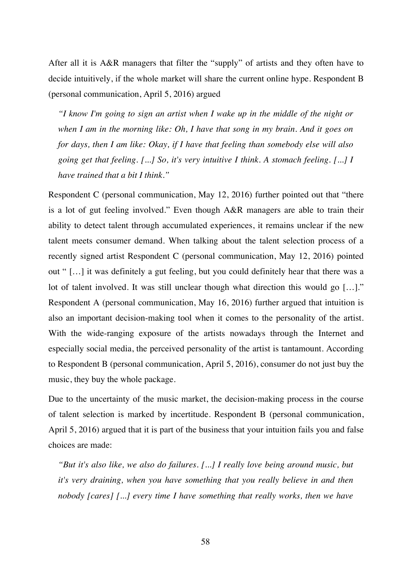After all it is A&R managers that filter the "supply" of artists and they often have to decide intuitively, if the whole market will share the current online hype. Respondent B (personal communication, April 5, 2016) argued

*"I know I'm going to sign an artist when I wake up in the middle of the night or when I am in the morning like: Oh, I have that song in my brain. And it goes on for days, then I am like: Okay, if I have that feeling than somebody else will also going get that feeling. [...] So, it's very intuitive I think. A stomach feeling. [...] I have trained that a bit I think."* 

Respondent C (personal communication, May 12, 2016) further pointed out that "there is a lot of gut feeling involved." Even though A&R managers are able to train their ability to detect talent through accumulated experiences, it remains unclear if the new talent meets consumer demand. When talking about the talent selection process of a recently signed artist Respondent C (personal communication, May 12, 2016) pointed out " […] it was definitely a gut feeling, but you could definitely hear that there was a lot of talent involved. It was still unclear though what direction this would go […]." Respondent A (personal communication, May 16, 2016) further argued that intuition is also an important decision-making tool when it comes to the personality of the artist. With the wide-ranging exposure of the artists nowadays through the Internet and especially social media, the perceived personality of the artist is tantamount. According to Respondent B (personal communication, April 5, 2016), consumer do not just buy the music, they buy the whole package.

Due to the uncertainty of the music market, the decision-making process in the course of talent selection is marked by incertitude. Respondent B (personal communication, April 5, 2016) argued that it is part of the business that your intuition fails you and false choices are made:

*"But it's also like, we also do failures. [...] I really love being around music, but it's very draining, when you have something that you really believe in and then nobody [cares] [...] every time I have something that really works, then we have*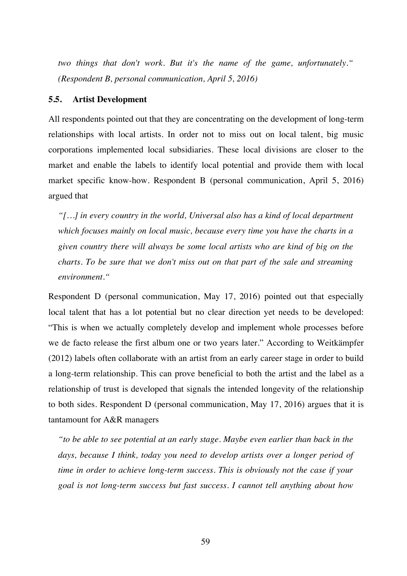*two things that don't work. But it's the name of the game, unfortunately." (Respondent B, personal communication, April 5, 2016)*

### **5.5. Artist Development**

All respondents pointed out that they are concentrating on the development of long-term relationships with local artists. In order not to miss out on local talent, big music corporations implemented local subsidiaries. These local divisions are closer to the market and enable the labels to identify local potential and provide them with local market specific know-how. Respondent B (personal communication, April 5, 2016) argued that

*"[…] in every country in the world, Universal also has a kind of local department which focuses mainly on local music, because every time you have the charts in a given country there will always be some local artists who are kind of big on the charts. To be sure that we don't miss out on that part of the sale and streaming environment."*

Respondent D (personal communication, May 17, 2016) pointed out that especially local talent that has a lot potential but no clear direction yet needs to be developed: "This is when we actually completely develop and implement whole processes before we de facto release the first album one or two years later." According to Weitkämpfer (2012) labels often collaborate with an artist from an early career stage in order to build a long-term relationship. This can prove beneficial to both the artist and the label as a relationship of trust is developed that signals the intended longevity of the relationship to both sides. Respondent D (personal communication, May 17, 2016) argues that it is tantamount for A&R managers

*"to be able to see potential at an early stage. Maybe even earlier than back in the days, because I think, today you need to develop artists over a longer period of time in order to achieve long-term success. This is obviously not the case if your goal is not long-term success but fast success. I cannot tell anything about how*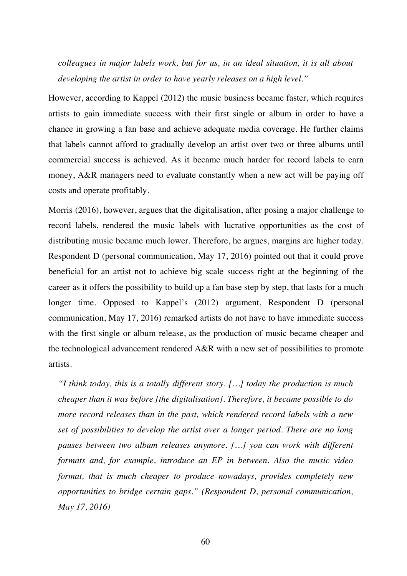*colleagues in major labels work, but for us, in an ideal situation, it is all about developing the artist in order to have yearly releases on a high level."*

However, according to Kappel (2012) the music business became faster, which requires artists to gain immediate success with their first single or album in order to have a chance in growing a fan base and achieve adequate media coverage. He further claims that labels cannot afford to gradually develop an artist over two or three albums until commercial success is achieved. As it became much harder for record labels to earn money, A&R managers need to evaluate constantly when a new act will be paying off costs and operate profitably.

Morris (2016), however, argues that the digitalisation, after posing a major challenge to record labels, rendered the music labels with lucrative opportunities as the cost of distributing music became much lower. Therefore, he argues, margins are higher today. Respondent D (personal communication, May 17, 2016) pointed out that it could prove beneficial for an artist not to achieve big scale success right at the beginning of the career as it offers the possibility to build up a fan base step by step, that lasts for a much longer time. Opposed to Kappel's (2012) argument, Respondent D (personal communication, May 17, 2016) remarked artists do not have to have immediate success with the first single or album release, as the production of music became cheaper and the technological advancement rendered A&R with a new set of possibilities to promote artists.

*"I think today, this is a totally different story. […] today the production is much cheaper than it was before [the digitalisation]. Therefore, it became possible to do more record releases than in the past, which rendered record labels with a new set of possibilities to develop the artist over a longer period. There are no long pauses between two album releases anymore. […] you can work with different formats and, for example, introduce an EP in between. Also the music video format, that is much cheaper to produce nowadays, provides completely new opportunities to bridge certain gaps." (Respondent D, personal communication, May 17, 2016)*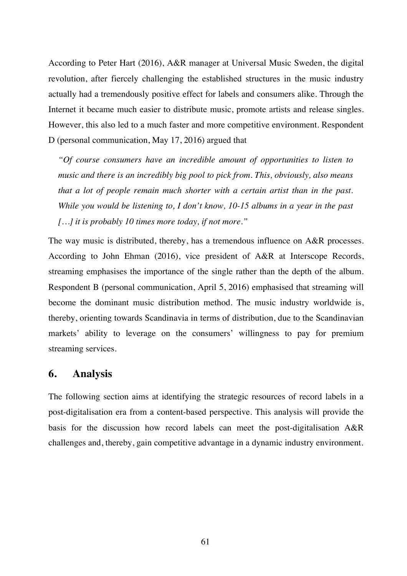According to Peter Hart (2016), A&R manager at Universal Music Sweden, the digital revolution, after fiercely challenging the established structures in the music industry actually had a tremendously positive effect for labels and consumers alike. Through the Internet it became much easier to distribute music, promote artists and release singles. However, this also led to a much faster and more competitive environment. Respondent D (personal communication, May 17, 2016) argued that

*"Of course consumers have an incredible amount of opportunities to listen to music and there is an incredibly big pool to pick from. This, obviously, also means that a lot of people remain much shorter with a certain artist than in the past. While you would be listening to, I don't know, 10-15 albums in a year in the past […] it is probably 10 times more today, if not more."*

The way music is distributed, thereby, has a tremendous influence on A&R processes. According to John Ehman (2016), vice president of A&R at Interscope Records, streaming emphasises the importance of the single rather than the depth of the album. Respondent B (personal communication, April 5, 2016) emphasised that streaming will become the dominant music distribution method. The music industry worldwide is, thereby, orienting towards Scandinavia in terms of distribution, due to the Scandinavian markets' ability to leverage on the consumers' willingness to pay for premium streaming services.

## **6. Analysis**

The following section aims at identifying the strategic resources of record labels in a post-digitalisation era from a content-based perspective. This analysis will provide the basis for the discussion how record labels can meet the post-digitalisation A&R challenges and, thereby, gain competitive advantage in a dynamic industry environment.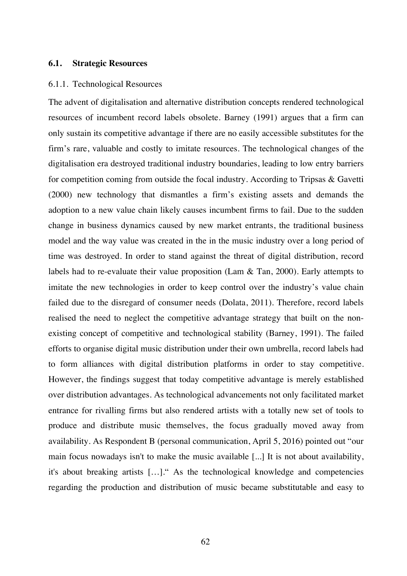#### **6.1. Strategic Resources**

#### 6.1.1. Technological Resources

The advent of digitalisation and alternative distribution concepts rendered technological resources of incumbent record labels obsolete. Barney (1991) argues that a firm can only sustain its competitive advantage if there are no easily accessible substitutes for the firm's rare, valuable and costly to imitate resources. The technological changes of the digitalisation era destroyed traditional industry boundaries, leading to low entry barriers for competition coming from outside the focal industry. According to Tripsas & Gavetti (2000) new technology that dismantles a firm's existing assets and demands the adoption to a new value chain likely causes incumbent firms to fail. Due to the sudden change in business dynamics caused by new market entrants, the traditional business model and the way value was created in the in the music industry over a long period of time was destroyed. In order to stand against the threat of digital distribution, record labels had to re-evaluate their value proposition (Lam & Tan, 2000). Early attempts to imitate the new technologies in order to keep control over the industry's value chain failed due to the disregard of consumer needs (Dolata, 2011). Therefore, record labels realised the need to neglect the competitive advantage strategy that built on the nonexisting concept of competitive and technological stability (Barney, 1991). The failed efforts to organise digital music distribution under their own umbrella, record labels had to form alliances with digital distribution platforms in order to stay competitive. However, the findings suggest that today competitive advantage is merely established over distribution advantages. As technological advancements not only facilitated market entrance for rivalling firms but also rendered artists with a totally new set of tools to produce and distribute music themselves, the focus gradually moved away from availability. As Respondent B (personal communication, April 5, 2016) pointed out "our main focus nowadays isn't to make the music available [...] It is not about availability, it's about breaking artists […]." As the technological knowledge and competencies regarding the production and distribution of music became substitutable and easy to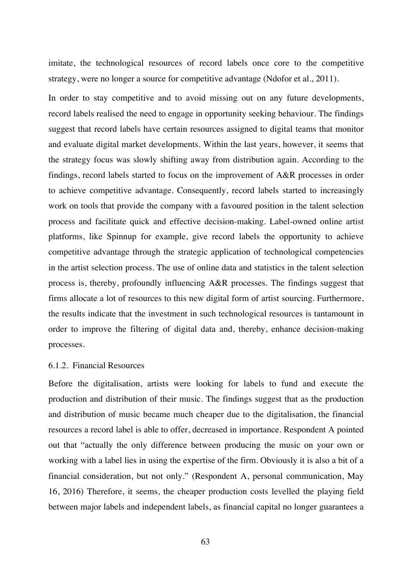imitate, the technological resources of record labels once core to the competitive strategy, were no longer a source for competitive advantage (Ndofor et al., 2011).

In order to stay competitive and to avoid missing out on any future developments, record labels realised the need to engage in opportunity seeking behaviour. The findings suggest that record labels have certain resources assigned to digital teams that monitor and evaluate digital market developments. Within the last years, however, it seems that the strategy focus was slowly shifting away from distribution again. According to the findings, record labels started to focus on the improvement of A&R processes in order to achieve competitive advantage. Consequently, record labels started to increasingly work on tools that provide the company with a favoured position in the talent selection process and facilitate quick and effective decision-making. Label-owned online artist platforms, like Spinnup for example, give record labels the opportunity to achieve competitive advantage through the strategic application of technological competencies in the artist selection process. The use of online data and statistics in the talent selection process is, thereby, profoundly influencing A&R processes. The findings suggest that firms allocate a lot of resources to this new digital form of artist sourcing. Furthermore, the results indicate that the investment in such technological resources is tantamount in order to improve the filtering of digital data and, thereby, enhance decision-making processes.

#### 6.1.2. Financial Resources

Before the digitalisation, artists were looking for labels to fund and execute the production and distribution of their music. The findings suggest that as the production and distribution of music became much cheaper due to the digitalisation, the financial resources a record label is able to offer, decreased in importance. Respondent A pointed out that "actually the only difference between producing the music on your own or working with a label lies in using the expertise of the firm. Obviously it is also a bit of a financial consideration, but not only." (Respondent A, personal communication, May 16, 2016) Therefore, it seems, the cheaper production costs levelled the playing field between major labels and independent labels, as financial capital no longer guarantees a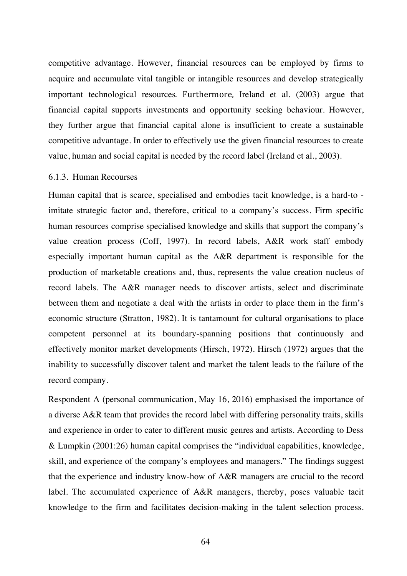competitive advantage. However, financial resources can be employed by firms to acquire and accumulate vital tangible or intangible resources and develop strategically important technological resources. Furthermore, Ireland et al. (2003) argue that financial capital supports investments and opportunity seeking behaviour. However, they further argue that financial capital alone is insufficient to create a sustainable competitive advantage. In order to effectively use the given financial resources to create value, human and social capital is needed by the record label (Ireland et al., 2003).

#### 6.1.3. Human Recourses

Human capital that is scarce, specialised and embodies tacit knowledge, is a hard-to imitate strategic factor and, therefore, critical to a company's success. Firm specific human resources comprise specialised knowledge and skills that support the company's value creation process (Coff, 1997). In record labels, A&R work staff embody especially important human capital as the A&R department is responsible for the production of marketable creations and, thus, represents the value creation nucleus of record labels. The A&R manager needs to discover artists, select and discriminate between them and negotiate a deal with the artists in order to place them in the firm's economic structure (Stratton, 1982). It is tantamount for cultural organisations to place competent personnel at its boundary-spanning positions that continuously and effectively monitor market developments (Hirsch, 1972). Hirsch (1972) argues that the inability to successfully discover talent and market the talent leads to the failure of the record company.

Respondent A (personal communication, May 16, 2016) emphasised the importance of a diverse A&R team that provides the record label with differing personality traits, skills and experience in order to cater to different music genres and artists. According to Dess & Lumpkin (2001:26) human capital comprises the "individual capabilities, knowledge, skill, and experience of the company's employees and managers." The findings suggest that the experience and industry know-how of A&R managers are crucial to the record label. The accumulated experience of A&R managers, thereby, poses valuable tacit knowledge to the firm and facilitates decision-making in the talent selection process.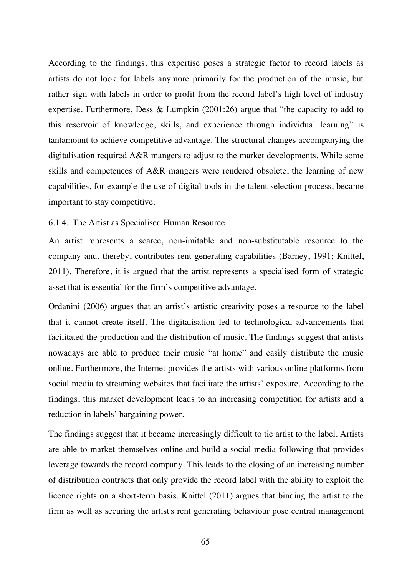According to the findings, this expertise poses a strategic factor to record labels as artists do not look for labels anymore primarily for the production of the music, but rather sign with labels in order to profit from the record label's high level of industry expertise. Furthermore, Dess & Lumpkin (2001:26) argue that "the capacity to add to this reservoir of knowledge, skills, and experience through individual learning" is tantamount to achieve competitive advantage. The structural changes accompanying the digitalisation required A&R mangers to adjust to the market developments. While some skills and competences of A&R mangers were rendered obsolete, the learning of new capabilities, for example the use of digital tools in the talent selection process, became important to stay competitive.

#### 6.1.4. The Artist as Specialised Human Resource

An artist represents a scarce, non-imitable and non-substitutable resource to the company and, thereby, contributes rent-generating capabilities (Barney, 1991; Knittel, 2011). Therefore, it is argued that the artist represents a specialised form of strategic asset that is essential for the firm's competitive advantage.

Ordanini (2006) argues that an artist's artistic creativity poses a resource to the label that it cannot create itself. The digitalisation led to technological advancements that facilitated the production and the distribution of music. The findings suggest that artists nowadays are able to produce their music "at home" and easily distribute the music online. Furthermore, the Internet provides the artists with various online platforms from social media to streaming websites that facilitate the artists' exposure. According to the findings, this market development leads to an increasing competition for artists and a reduction in labels' bargaining power.

The findings suggest that it became increasingly difficult to tie artist to the label. Artists are able to market themselves online and build a social media following that provides leverage towards the record company. This leads to the closing of an increasing number of distribution contracts that only provide the record label with the ability to exploit the licence rights on a short-term basis. Knittel (2011) argues that binding the artist to the firm as well as securing the artist's rent generating behaviour pose central management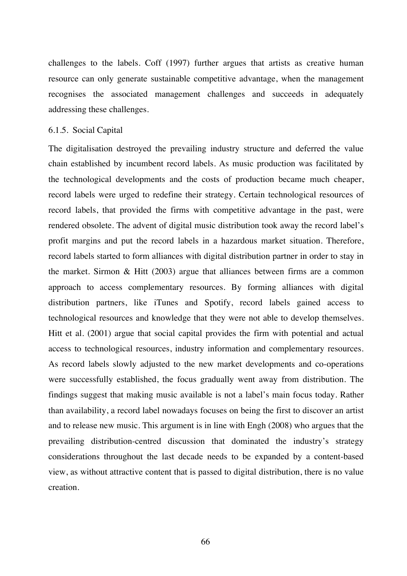challenges to the labels. Coff (1997) further argues that artists as creative human resource can only generate sustainable competitive advantage, when the management recognises the associated management challenges and succeeds in adequately addressing these challenges.

#### 6.1.5. Social Capital

The digitalisation destroyed the prevailing industry structure and deferred the value chain established by incumbent record labels. As music production was facilitated by the technological developments and the costs of production became much cheaper, record labels were urged to redefine their strategy. Certain technological resources of record labels, that provided the firms with competitive advantage in the past, were rendered obsolete. The advent of digital music distribution took away the record label's profit margins and put the record labels in a hazardous market situation. Therefore, record labels started to form alliances with digital distribution partner in order to stay in the market. Sirmon & Hitt (2003) argue that alliances between firms are a common approach to access complementary resources. By forming alliances with digital distribution partners, like iTunes and Spotify, record labels gained access to technological resources and knowledge that they were not able to develop themselves. Hitt et al. (2001) argue that social capital provides the firm with potential and actual access to technological resources, industry information and complementary resources. As record labels slowly adjusted to the new market developments and co-operations were successfully established, the focus gradually went away from distribution. The findings suggest that making music available is not a label's main focus today. Rather than availability, a record label nowadays focuses on being the first to discover an artist and to release new music. This argument is in line with Engh (2008) who argues that the prevailing distribution-centred discussion that dominated the industry's strategy considerations throughout the last decade needs to be expanded by a content-based view, as without attractive content that is passed to digital distribution, there is no value creation.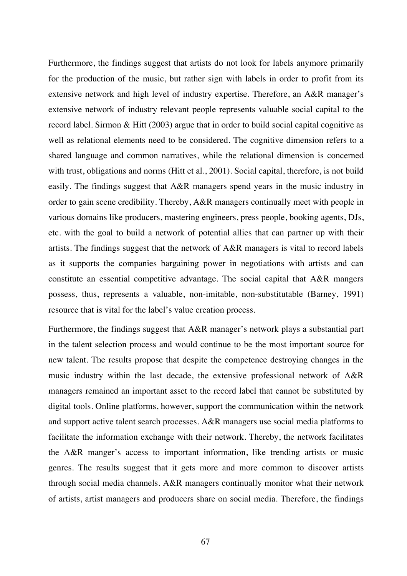Furthermore, the findings suggest that artists do not look for labels anymore primarily for the production of the music, but rather sign with labels in order to profit from its extensive network and high level of industry expertise. Therefore, an A&R manager's extensive network of industry relevant people represents valuable social capital to the record label. Sirmon & Hitt (2003) argue that in order to build social capital cognitive as well as relational elements need to be considered. The cognitive dimension refers to a shared language and common narratives, while the relational dimension is concerned with trust, obligations and norms (Hitt et al., 2001). Social capital, therefore, is not build easily. The findings suggest that A&R managers spend years in the music industry in order to gain scene credibility. Thereby, A&R managers continually meet with people in various domains like producers, mastering engineers, press people, booking agents, DJs, etc. with the goal to build a network of potential allies that can partner up with their artists. The findings suggest that the network of A&R managers is vital to record labels as it supports the companies bargaining power in negotiations with artists and can constitute an essential competitive advantage. The social capital that A&R mangers possess, thus, represents a valuable, non-imitable, non-substitutable (Barney, 1991) resource that is vital for the label's value creation process.

Furthermore, the findings suggest that A&R manager's network plays a substantial part in the talent selection process and would continue to be the most important source for new talent. The results propose that despite the competence destroying changes in the music industry within the last decade, the extensive professional network of A&R managers remained an important asset to the record label that cannot be substituted by digital tools. Online platforms, however, support the communication within the network and support active talent search processes. A&R managers use social media platforms to facilitate the information exchange with their network. Thereby, the network facilitates the A&R manger's access to important information, like trending artists or music genres. The results suggest that it gets more and more common to discover artists through social media channels. A&R managers continually monitor what their network of artists, artist managers and producers share on social media. Therefore, the findings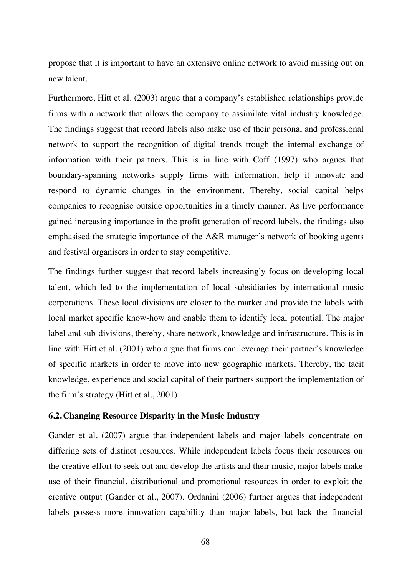propose that it is important to have an extensive online network to avoid missing out on new talent.

Furthermore, Hitt et al. (2003) argue that a company's established relationships provide firms with a network that allows the company to assimilate vital industry knowledge. The findings suggest that record labels also make use of their personal and professional network to support the recognition of digital trends trough the internal exchange of information with their partners. This is in line with Coff (1997) who argues that boundary-spanning networks supply firms with information, help it innovate and respond to dynamic changes in the environment. Thereby, social capital helps companies to recognise outside opportunities in a timely manner. As live performance gained increasing importance in the profit generation of record labels, the findings also emphasised the strategic importance of the A&R manager's network of booking agents and festival organisers in order to stay competitive.

The findings further suggest that record labels increasingly focus on developing local talent, which led to the implementation of local subsidiaries by international music corporations. These local divisions are closer to the market and provide the labels with local market specific know-how and enable them to identify local potential. The major label and sub-divisions, thereby, share network, knowledge and infrastructure. This is in line with Hitt et al. (2001) who argue that firms can leverage their partner's knowledge of specific markets in order to move into new geographic markets. Thereby, the tacit knowledge, experience and social capital of their partners support the implementation of the firm's strategy (Hitt et al., 2001).

## **6.2. Changing Resource Disparity in the Music Industry**

Gander et al. (2007) argue that independent labels and major labels concentrate on differing sets of distinct resources. While independent labels focus their resources on the creative effort to seek out and develop the artists and their music, major labels make use of their financial, distributional and promotional resources in order to exploit the creative output (Gander et al., 2007). Ordanini (2006) further argues that independent labels possess more innovation capability than major labels, but lack the financial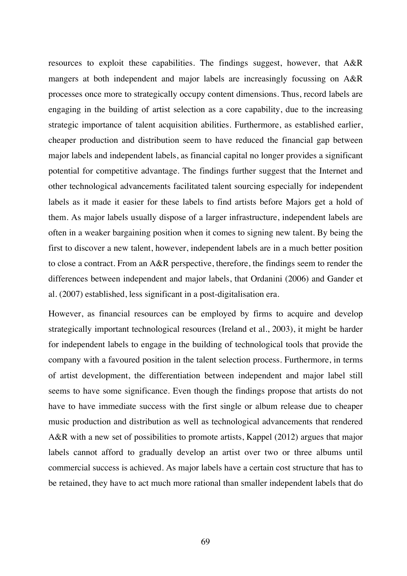resources to exploit these capabilities. The findings suggest, however, that A&R mangers at both independent and major labels are increasingly focussing on A&R processes once more to strategically occupy content dimensions. Thus, record labels are engaging in the building of artist selection as a core capability, due to the increasing strategic importance of talent acquisition abilities. Furthermore, as established earlier, cheaper production and distribution seem to have reduced the financial gap between major labels and independent labels, as financial capital no longer provides a significant potential for competitive advantage. The findings further suggest that the Internet and other technological advancements facilitated talent sourcing especially for independent labels as it made it easier for these labels to find artists before Majors get a hold of them. As major labels usually dispose of a larger infrastructure, independent labels are often in a weaker bargaining position when it comes to signing new talent. By being the first to discover a new talent, however, independent labels are in a much better position to close a contract. From an A&R perspective, therefore, the findings seem to render the differences between independent and major labels, that Ordanini (2006) and Gander et al. (2007) established, less significant in a post-digitalisation era.

However, as financial resources can be employed by firms to acquire and develop strategically important technological resources (Ireland et al., 2003), it might be harder for independent labels to engage in the building of technological tools that provide the company with a favoured position in the talent selection process. Furthermore, in terms of artist development, the differentiation between independent and major label still seems to have some significance. Even though the findings propose that artists do not have to have immediate success with the first single or album release due to cheaper music production and distribution as well as technological advancements that rendered A&R with a new set of possibilities to promote artists, Kappel (2012) argues that major labels cannot afford to gradually develop an artist over two or three albums until commercial success is achieved. As major labels have a certain cost structure that has to be retained, they have to act much more rational than smaller independent labels that do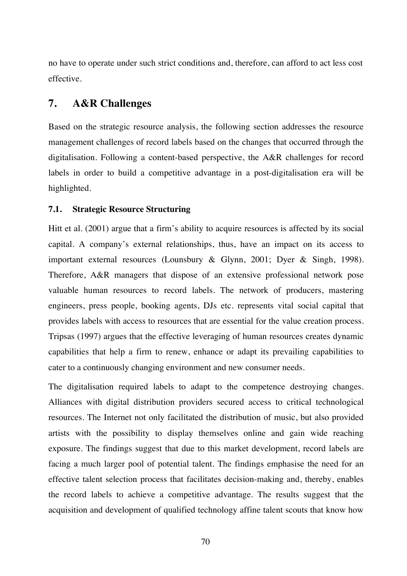no have to operate under such strict conditions and, therefore, can afford to act less cost effective.

# **7. A&R Challenges**

Based on the strategic resource analysis, the following section addresses the resource management challenges of record labels based on the changes that occurred through the digitalisation. Following a content-based perspective, the A&R challenges for record labels in order to build a competitive advantage in a post-digitalisation era will be highlighted.

## **7.1. Strategic Resource Structuring**

Hitt et al. (2001) argue that a firm's ability to acquire resources is affected by its social capital. A company's external relationships, thus, have an impact on its access to important external resources (Lounsbury & Glynn, 2001; Dyer & Singh, 1998). Therefore, A&R managers that dispose of an extensive professional network pose valuable human resources to record labels. The network of producers, mastering engineers, press people, booking agents, DJs etc. represents vital social capital that provides labels with access to resources that are essential for the value creation process. Tripsas (1997) argues that the effective leveraging of human resources creates dynamic capabilities that help a firm to renew, enhance or adapt its prevailing capabilities to cater to a continuously changing environment and new consumer needs.

The digitalisation required labels to adapt to the competence destroying changes. Alliances with digital distribution providers secured access to critical technological resources. The Internet not only facilitated the distribution of music, but also provided artists with the possibility to display themselves online and gain wide reaching exposure. The findings suggest that due to this market development, record labels are facing a much larger pool of potential talent. The findings emphasise the need for an effective talent selection process that facilitates decision-making and, thereby, enables the record labels to achieve a competitive advantage. The results suggest that the acquisition and development of qualified technology affine talent scouts that know how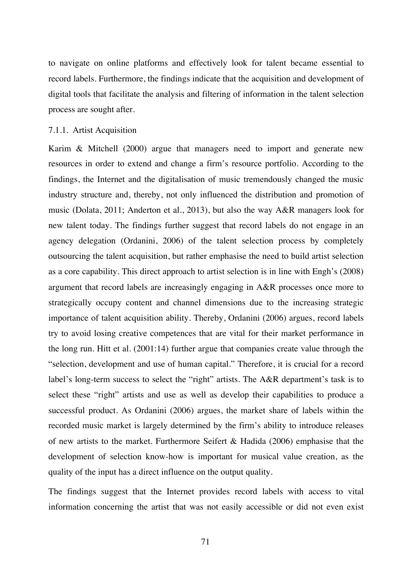to navigate on online platforms and effectively look for talent became essential to record labels. Furthermore, the findings indicate that the acquisition and development of digital tools that facilitate the analysis and filtering of information in the talent selection process are sought after.

#### 7.1.1. Artist Acquisition

Karim & Mitchell (2000) argue that managers need to import and generate new resources in order to extend and change a firm's resource portfolio. According to the findings, the Internet and the digitalisation of music tremendously changed the music industry structure and, thereby, not only influenced the distribution and promotion of music (Dolata, 2011; Anderton et al., 2013), but also the way A&R managers look for new talent today. The findings further suggest that record labels do not engage in an agency delegation (Ordanini, 2006) of the talent selection process by completely outsourcing the talent acquisition, but rather emphasise the need to build artist selection as a core capability. This direct approach to artist selection is in line with Engh's (2008) argument that record labels are increasingly engaging in A&R processes once more to strategically occupy content and channel dimensions due to the increasing strategic importance of talent acquisition ability. Thereby, Ordanini (2006) argues, record labels try to avoid losing creative competences that are vital for their market performance in the long run. Hitt et al. (2001:14) further argue that companies create value through the "selection, development and use of human capital." Therefore, it is crucial for a record label's long-term success to select the "right" artists. The A&R department's task is to select these "right" artists and use as well as develop their capabilities to produce a successful product. As Ordanini (2006) argues, the market share of labels within the recorded music market is largely determined by the firm's ability to introduce releases of new artists to the market. Furthermore Seifert & Hadida (2006) emphasise that the development of selection know-how is important for musical value creation, as the quality of the input has a direct influence on the output quality.

The findings suggest that the Internet provides record labels with access to vital information concerning the artist that was not easily accessible or did not even exist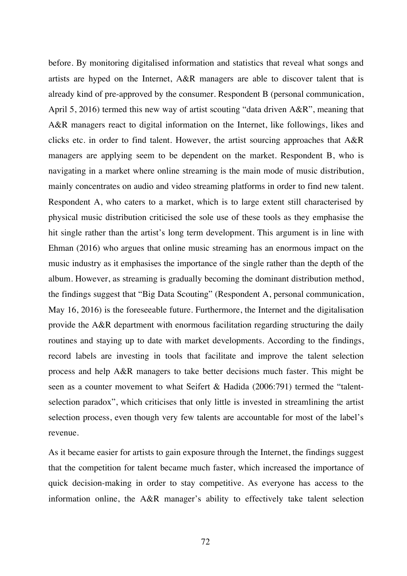before. By monitoring digitalised information and statistics that reveal what songs and artists are hyped on the Internet, A&R managers are able to discover talent that is already kind of pre-approved by the consumer. Respondent B (personal communication, April 5, 2016) termed this new way of artist scouting "data driven A&R", meaning that A&R managers react to digital information on the Internet, like followings, likes and clicks etc. in order to find talent. However, the artist sourcing approaches that A&R managers are applying seem to be dependent on the market. Respondent B, who is navigating in a market where online streaming is the main mode of music distribution, mainly concentrates on audio and video streaming platforms in order to find new talent. Respondent A, who caters to a market, which is to large extent still characterised by physical music distribution criticised the sole use of these tools as they emphasise the hit single rather than the artist's long term development. This argument is in line with Ehman (2016) who argues that online music streaming has an enormous impact on the music industry as it emphasises the importance of the single rather than the depth of the album. However, as streaming is gradually becoming the dominant distribution method, the findings suggest that "Big Data Scouting" (Respondent A, personal communication, May 16, 2016) is the foreseeable future. Furthermore, the Internet and the digitalisation provide the A&R department with enormous facilitation regarding structuring the daily routines and staying up to date with market developments. According to the findings, record labels are investing in tools that facilitate and improve the talent selection process and help A&R managers to take better decisions much faster. This might be seen as a counter movement to what Seifert & Hadida (2006:791) termed the "talentselection paradox", which criticises that only little is invested in streamlining the artist selection process, even though very few talents are accountable for most of the label's revenue.

As it became easier for artists to gain exposure through the Internet, the findings suggest that the competition for talent became much faster, which increased the importance of quick decision-making in order to stay competitive. As everyone has access to the information online, the A&R manager's ability to effectively take talent selection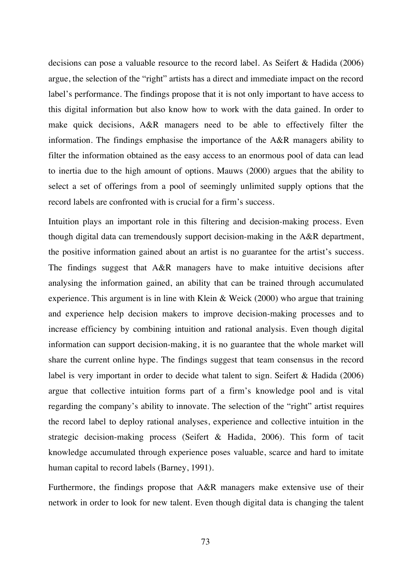decisions can pose a valuable resource to the record label. As Seifert & Hadida (2006) argue, the selection of the "right" artists has a direct and immediate impact on the record label's performance. The findings propose that it is not only important to have access to this digital information but also know how to work with the data gained. In order to make quick decisions, A&R managers need to be able to effectively filter the information. The findings emphasise the importance of the A&R managers ability to filter the information obtained as the easy access to an enormous pool of data can lead to inertia due to the high amount of options. Mauws (2000) argues that the ability to select a set of offerings from a pool of seemingly unlimited supply options that the record labels are confronted with is crucial for a firm's success.

Intuition plays an important role in this filtering and decision-making process. Even though digital data can tremendously support decision-making in the A&R department, the positive information gained about an artist is no guarantee for the artist's success. The findings suggest that A&R managers have to make intuitive decisions after analysing the information gained, an ability that can be trained through accumulated experience. This argument is in line with Klein & Weick (2000) who argue that training and experience help decision makers to improve decision-making processes and to increase efficiency by combining intuition and rational analysis. Even though digital information can support decision-making, it is no guarantee that the whole market will share the current online hype. The findings suggest that team consensus in the record label is very important in order to decide what talent to sign. Seifert & Hadida (2006) argue that collective intuition forms part of a firm's knowledge pool and is vital regarding the company's ability to innovate. The selection of the "right" artist requires the record label to deploy rational analyses, experience and collective intuition in the strategic decision-making process (Seifert & Hadida, 2006). This form of tacit knowledge accumulated through experience poses valuable, scarce and hard to imitate human capital to record labels (Barney, 1991).

Furthermore, the findings propose that A&R managers make extensive use of their network in order to look for new talent. Even though digital data is changing the talent

73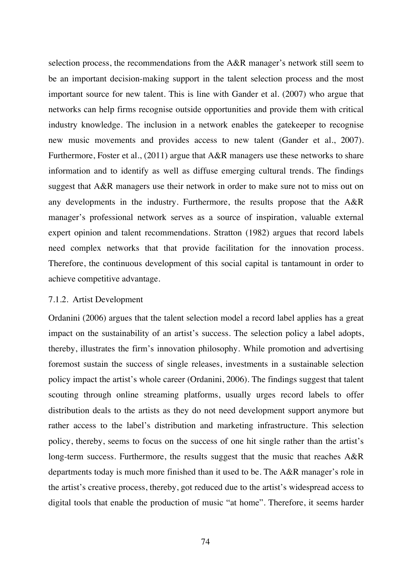selection process, the recommendations from the A&R manager's network still seem to be an important decision-making support in the talent selection process and the most important source for new talent. This is line with Gander et al. (2007) who argue that networks can help firms recognise outside opportunities and provide them with critical industry knowledge. The inclusion in a network enables the gatekeeper to recognise new music movements and provides access to new talent (Gander et al., 2007). Furthermore, Foster et al., (2011) argue that A&R managers use these networks to share information and to identify as well as diffuse emerging cultural trends. The findings suggest that A&R managers use their network in order to make sure not to miss out on any developments in the industry. Furthermore, the results propose that the A&R manager's professional network serves as a source of inspiration, valuable external expert opinion and talent recommendations. Stratton (1982) argues that record labels need complex networks that that provide facilitation for the innovation process. Therefore, the continuous development of this social capital is tantamount in order to achieve competitive advantage.

## 7.1.2. Artist Development

Ordanini (2006) argues that the talent selection model a record label applies has a great impact on the sustainability of an artist's success. The selection policy a label adopts, thereby, illustrates the firm's innovation philosophy. While promotion and advertising foremost sustain the success of single releases, investments in a sustainable selection policy impact the artist's whole career (Ordanini, 2006). The findings suggest that talent scouting through online streaming platforms, usually urges record labels to offer distribution deals to the artists as they do not need development support anymore but rather access to the label's distribution and marketing infrastructure. This selection policy, thereby, seems to focus on the success of one hit single rather than the artist's long-term success. Furthermore, the results suggest that the music that reaches A&R departments today is much more finished than it used to be. The A&R manager's role in the artist's creative process, thereby, got reduced due to the artist's widespread access to digital tools that enable the production of music "at home". Therefore, it seems harder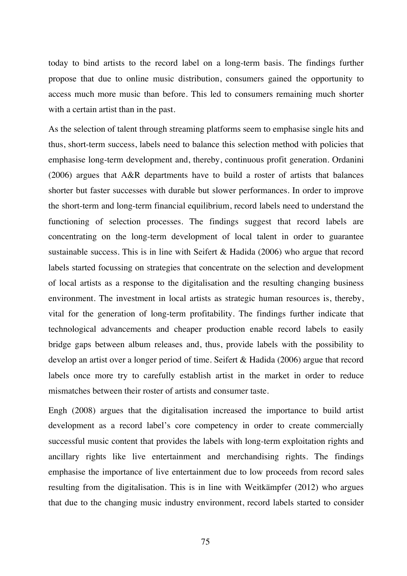today to bind artists to the record label on a long-term basis. The findings further propose that due to online music distribution, consumers gained the opportunity to access much more music than before. This led to consumers remaining much shorter with a certain artist than in the past.

As the selection of talent through streaming platforms seem to emphasise single hits and thus, short-term success, labels need to balance this selection method with policies that emphasise long-term development and, thereby, continuous profit generation. Ordanini (2006) argues that A&R departments have to build a roster of artists that balances shorter but faster successes with durable but slower performances. In order to improve the short-term and long-term financial equilibrium, record labels need to understand the functioning of selection processes. The findings suggest that record labels are concentrating on the long-term development of local talent in order to guarantee sustainable success. This is in line with Seifert & Hadida (2006) who argue that record labels started focussing on strategies that concentrate on the selection and development of local artists as a response to the digitalisation and the resulting changing business environment. The investment in local artists as strategic human resources is, thereby, vital for the generation of long-term profitability. The findings further indicate that technological advancements and cheaper production enable record labels to easily bridge gaps between album releases and, thus, provide labels with the possibility to develop an artist over a longer period of time. Seifert & Hadida (2006) argue that record labels once more try to carefully establish artist in the market in order to reduce mismatches between their roster of artists and consumer taste.

Engh (2008) argues that the digitalisation increased the importance to build artist development as a record label's core competency in order to create commercially successful music content that provides the labels with long-term exploitation rights and ancillary rights like live entertainment and merchandising rights. The findings emphasise the importance of live entertainment due to low proceeds from record sales resulting from the digitalisation. This is in line with Weitkämpfer (2012) who argues that due to the changing music industry environment, record labels started to consider

75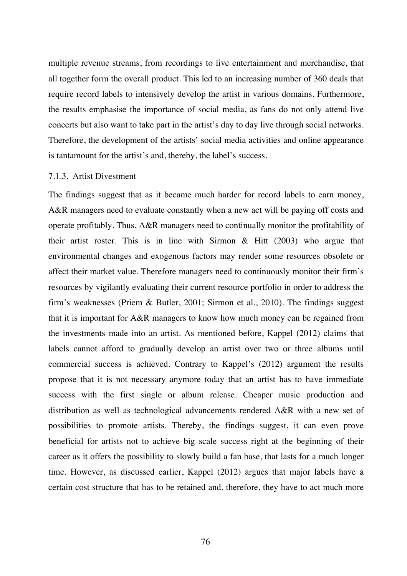multiple revenue streams, from recordings to live entertainment and merchandise, that all together form the overall product. This led to an increasing number of 360 deals that require record labels to intensively develop the artist in various domains. Furthermore, the results emphasise the importance of social media, as fans do not only attend live concerts but also want to take part in the artist's day to day live through social networks. Therefore, the development of the artists' social media activities and online appearance is tantamount for the artist's and, thereby, the label's success.

## 7.1.3. Artist Divestment

The findings suggest that as it became much harder for record labels to earn money, A&R managers need to evaluate constantly when a new act will be paying off costs and operate profitably. Thus, A&R managers need to continually monitor the profitability of their artist roster. This is in line with Sirmon  $\&$  Hitt (2003) who argue that environmental changes and exogenous factors may render some resources obsolete or affect their market value. Therefore managers need to continuously monitor their firm's resources by vigilantly evaluating their current resource portfolio in order to address the firm's weaknesses (Priem & Butler, 2001; Sirmon et al., 2010). The findings suggest that it is important for A&R managers to know how much money can be regained from the investments made into an artist. As mentioned before, Kappel (2012) claims that labels cannot afford to gradually develop an artist over two or three albums until commercial success is achieved. Contrary to Kappel's (2012) argument the results propose that it is not necessary anymore today that an artist has to have immediate success with the first single or album release. Cheaper music production and distribution as well as technological advancements rendered A&R with a new set of possibilities to promote artists. Thereby, the findings suggest, it can even prove beneficial for artists not to achieve big scale success right at the beginning of their career as it offers the possibility to slowly build a fan base, that lasts for a much longer time. However, as discussed earlier, Kappel (2012) argues that major labels have a certain cost structure that has to be retained and, therefore, they have to act much more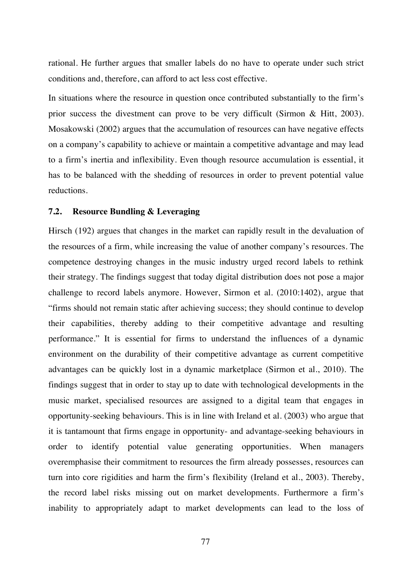rational. He further argues that smaller labels do no have to operate under such strict conditions and, therefore, can afford to act less cost effective.

In situations where the resource in question once contributed substantially to the firm's prior success the divestment can prove to be very difficult (Sirmon & Hitt, 2003). Mosakowski (2002) argues that the accumulation of resources can have negative effects on a company's capability to achieve or maintain a competitive advantage and may lead to a firm's inertia and inflexibility. Even though resource accumulation is essential, it has to be balanced with the shedding of resources in order to prevent potential value reductions.

## **7.2. Resource Bundling & Leveraging**

Hirsch (192) argues that changes in the market can rapidly result in the devaluation of the resources of a firm, while increasing the value of another company's resources. The competence destroying changes in the music industry urged record labels to rethink their strategy. The findings suggest that today digital distribution does not pose a major challenge to record labels anymore. However, Sirmon et al. (2010:1402), argue that "firms should not remain static after achieving success; they should continue to develop their capabilities, thereby adding to their competitive advantage and resulting performance." It is essential for firms to understand the influences of a dynamic environment on the durability of their competitive advantage as current competitive advantages can be quickly lost in a dynamic marketplace (Sirmon et al., 2010). The findings suggest that in order to stay up to date with technological developments in the music market, specialised resources are assigned to a digital team that engages in opportunity-seeking behaviours. This is in line with Ireland et al. (2003) who argue that it is tantamount that firms engage in opportunity- and advantage-seeking behaviours in order to identify potential value generating opportunities. When managers overemphasise their commitment to resources the firm already possesses, resources can turn into core rigidities and harm the firm's flexibility (Ireland et al., 2003). Thereby, the record label risks missing out on market developments. Furthermore a firm's inability to appropriately adapt to market developments can lead to the loss of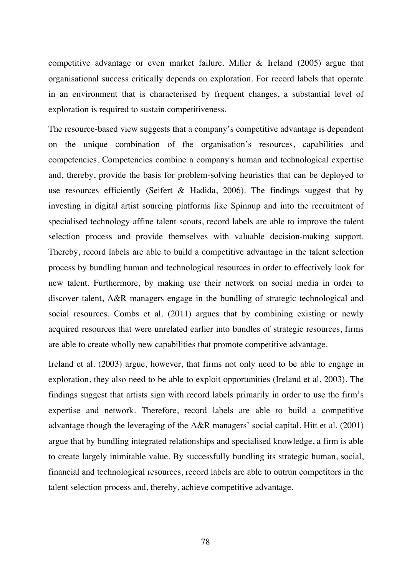competitive advantage or even market failure. Miller & Ireland (2005) argue that organisational success critically depends on exploration. For record labels that operate in an environment that is characterised by frequent changes, a substantial level of exploration is required to sustain competitiveness.

The resource-based view suggests that a company's competitive advantage is dependent on the unique combination of the organisation's resources, capabilities and competencies. Competencies combine a company's human and technological expertise and, thereby, provide the basis for problem-solving heuristics that can be deployed to use resources efficiently (Seifert & Hadida, 2006). The findings suggest that by investing in digital artist sourcing platforms like Spinnup and into the recruitment of specialised technology affine talent scouts, record labels are able to improve the talent selection process and provide themselves with valuable decision-making support. Thereby, record labels are able to build a competitive advantage in the talent selection process by bundling human and technological resources in order to effectively look for new talent. Furthermore, by making use their network on social media in order to discover talent, A&R managers engage in the bundling of strategic technological and social resources. Combs et al. (2011) argues that by combining existing or newly acquired resources that were unrelated earlier into bundles of strategic resources, firms are able to create wholly new capabilities that promote competitive advantage.

Ireland et al. (2003) argue, however, that firms not only need to be able to engage in exploration, they also need to be able to exploit opportunities (Ireland et al, 2003). The findings suggest that artists sign with record labels primarily in order to use the firm's expertise and network. Therefore, record labels are able to build a competitive advantage though the leveraging of the A&R managers' social capital. Hitt et al. (2001) argue that by bundling integrated relationships and specialised knowledge, a firm is able to create largely inimitable value. By successfully bundling its strategic human, social, financial and technological resources, record labels are able to outrun competitors in the talent selection process and, thereby, achieve competitive advantage.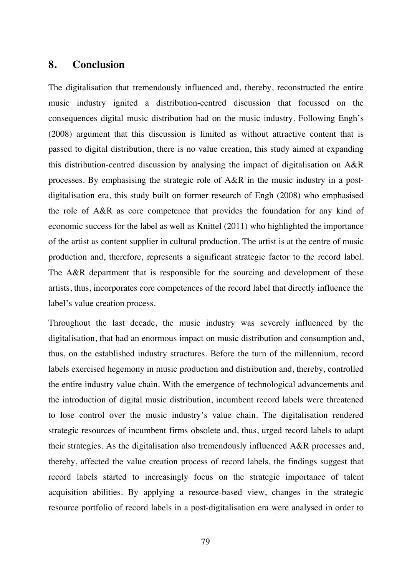# **8. Conclusion**

The digitalisation that tremendously influenced and, thereby, reconstructed the entire music industry ignited a distribution-centred discussion that focussed on the consequences digital music distribution had on the music industry. Following Engh's (2008) argument that this discussion is limited as without attractive content that is passed to digital distribution, there is no value creation, this study aimed at expanding this distribution-centred discussion by analysing the impact of digitalisation on A&R processes. By emphasising the strategic role of A&R in the music industry in a postdigitalisation era, this study built on former research of Engh (2008) who emphasised the role of A&R as core competence that provides the foundation for any kind of economic success for the label as well as Knittel (2011) who highlighted the importance of the artist as content supplier in cultural production. The artist is at the centre of music production and, therefore, represents a significant strategic factor to the record label. The A&R department that is responsible for the sourcing and development of these artists, thus, incorporates core competences of the record label that directly influence the label's value creation process.

Throughout the last decade, the music industry was severely influenced by the digitalisation, that had an enormous impact on music distribution and consumption and, thus, on the established industry structures. Before the turn of the millennium, record labels exercised hegemony in music production and distribution and, thereby, controlled the entire industry value chain. With the emergence of technological advancements and the introduction of digital music distribution, incumbent record labels were threatened to lose control over the music industry's value chain. The digitalisation rendered strategic resources of incumbent firms obsolete and, thus, urged record labels to adapt their strategies. As the digitalisation also tremendously influenced A&R processes and, thereby, affected the value creation process of record labels, the findings suggest that record labels started to increasingly focus on the strategic importance of talent acquisition abilities. By applying a resource-based view, changes in the strategic resource portfolio of record labels in a post-digitalisation era were analysed in order to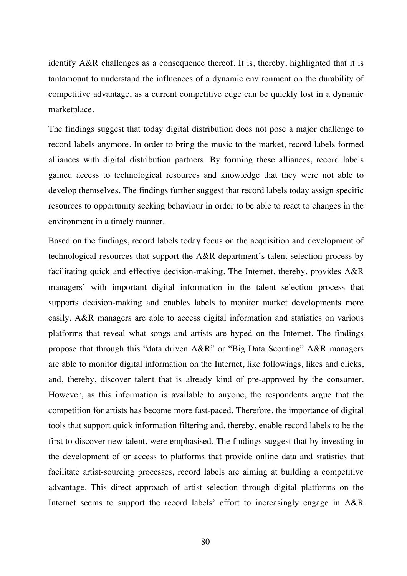identify A&R challenges as a consequence thereof. It is, thereby, highlighted that it is tantamount to understand the influences of a dynamic environment on the durability of competitive advantage, as a current competitive edge can be quickly lost in a dynamic marketplace.

The findings suggest that today digital distribution does not pose a major challenge to record labels anymore. In order to bring the music to the market, record labels formed alliances with digital distribution partners. By forming these alliances, record labels gained access to technological resources and knowledge that they were not able to develop themselves. The findings further suggest that record labels today assign specific resources to opportunity seeking behaviour in order to be able to react to changes in the environment in a timely manner.

Based on the findings, record labels today focus on the acquisition and development of technological resources that support the A&R department's talent selection process by facilitating quick and effective decision-making. The Internet, thereby, provides A&R managers' with important digital information in the talent selection process that supports decision-making and enables labels to monitor market developments more easily. A&R managers are able to access digital information and statistics on various platforms that reveal what songs and artists are hyped on the Internet. The findings propose that through this "data driven A&R" or "Big Data Scouting" A&R managers are able to monitor digital information on the Internet, like followings, likes and clicks, and, thereby, discover talent that is already kind of pre-approved by the consumer. However, as this information is available to anyone, the respondents argue that the competition for artists has become more fast-paced. Therefore, the importance of digital tools that support quick information filtering and, thereby, enable record labels to be the first to discover new talent, were emphasised. The findings suggest that by investing in the development of or access to platforms that provide online data and statistics that facilitate artist-sourcing processes, record labels are aiming at building a competitive advantage. This direct approach of artist selection through digital platforms on the Internet seems to support the record labels' effort to increasingly engage in A&R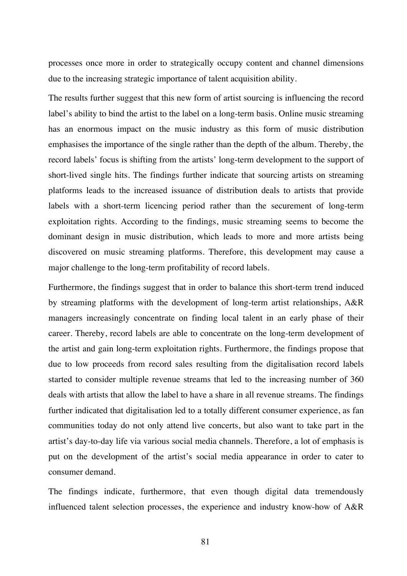processes once more in order to strategically occupy content and channel dimensions due to the increasing strategic importance of talent acquisition ability.

The results further suggest that this new form of artist sourcing is influencing the record label's ability to bind the artist to the label on a long-term basis. Online music streaming has an enormous impact on the music industry as this form of music distribution emphasises the importance of the single rather than the depth of the album. Thereby, the record labels' focus is shifting from the artists' long-term development to the support of short-lived single hits. The findings further indicate that sourcing artists on streaming platforms leads to the increased issuance of distribution deals to artists that provide labels with a short-term licencing period rather than the securement of long-term exploitation rights. According to the findings, music streaming seems to become the dominant design in music distribution, which leads to more and more artists being discovered on music streaming platforms. Therefore, this development may cause a major challenge to the long-term profitability of record labels.

Furthermore, the findings suggest that in order to balance this short-term trend induced by streaming platforms with the development of long-term artist relationships, A&R managers increasingly concentrate on finding local talent in an early phase of their career. Thereby, record labels are able to concentrate on the long-term development of the artist and gain long-term exploitation rights. Furthermore, the findings propose that due to low proceeds from record sales resulting from the digitalisation record labels started to consider multiple revenue streams that led to the increasing number of 360 deals with artists that allow the label to have a share in all revenue streams. The findings further indicated that digitalisation led to a totally different consumer experience, as fan communities today do not only attend live concerts, but also want to take part in the artist's day-to-day life via various social media channels. Therefore, a lot of emphasis is put on the development of the artist's social media appearance in order to cater to consumer demand.

The findings indicate, furthermore, that even though digital data tremendously influenced talent selection processes, the experience and industry know-how of A&R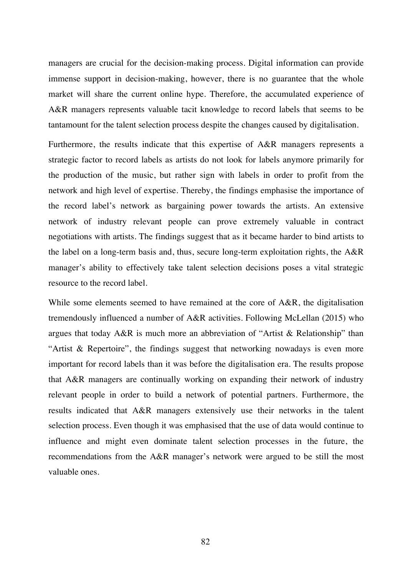managers are crucial for the decision-making process. Digital information can provide immense support in decision-making, however, there is no guarantee that the whole market will share the current online hype. Therefore, the accumulated experience of A&R managers represents valuable tacit knowledge to record labels that seems to be tantamount for the talent selection process despite the changes caused by digitalisation.

Furthermore, the results indicate that this expertise of A&R managers represents a strategic factor to record labels as artists do not look for labels anymore primarily for the production of the music, but rather sign with labels in order to profit from the network and high level of expertise. Thereby, the findings emphasise the importance of the record label's network as bargaining power towards the artists. An extensive network of industry relevant people can prove extremely valuable in contract negotiations with artists. The findings suggest that as it became harder to bind artists to the label on a long-term basis and, thus, secure long-term exploitation rights, the A&R manager's ability to effectively take talent selection decisions poses a vital strategic resource to the record label.

While some elements seemed to have remained at the core of A&R, the digitalisation tremendously influenced a number of A&R activities. Following McLellan (2015) who argues that today A&R is much more an abbreviation of "Artist & Relationship" than "Artist & Repertoire", the findings suggest that networking nowadays is even more important for record labels than it was before the digitalisation era. The results propose that A&R managers are continually working on expanding their network of industry relevant people in order to build a network of potential partners. Furthermore, the results indicated that A&R managers extensively use their networks in the talent selection process. Even though it was emphasised that the use of data would continue to influence and might even dominate talent selection processes in the future, the recommendations from the A&R manager's network were argued to be still the most valuable ones.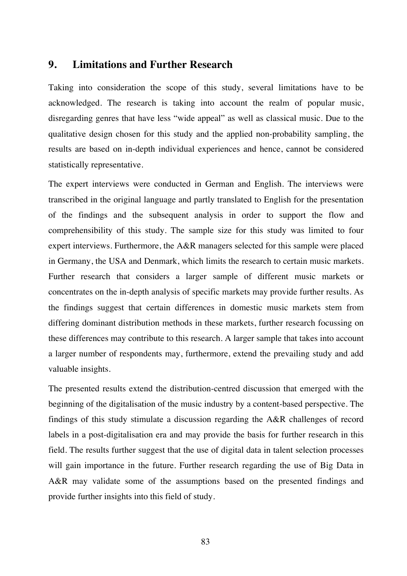# **9. Limitations and Further Research**

Taking into consideration the scope of this study, several limitations have to be acknowledged. The research is taking into account the realm of popular music, disregarding genres that have less "wide appeal" as well as classical music. Due to the qualitative design chosen for this study and the applied non-probability sampling, the results are based on in-depth individual experiences and hence, cannot be considered statistically representative.

The expert interviews were conducted in German and English. The interviews were transcribed in the original language and partly translated to English for the presentation of the findings and the subsequent analysis in order to support the flow and comprehensibility of this study. The sample size for this study was limited to four expert interviews. Furthermore, the A&R managers selected for this sample were placed in Germany, the USA and Denmark, which limits the research to certain music markets. Further research that considers a larger sample of different music markets or concentrates on the in-depth analysis of specific markets may provide further results. As the findings suggest that certain differences in domestic music markets stem from differing dominant distribution methods in these markets, further research focussing on these differences may contribute to this research. A larger sample that takes into account a larger number of respondents may, furthermore, extend the prevailing study and add valuable insights.

The presented results extend the distribution-centred discussion that emerged with the beginning of the digitalisation of the music industry by a content-based perspective. The findings of this study stimulate a discussion regarding the A&R challenges of record labels in a post-digitalisation era and may provide the basis for further research in this field. The results further suggest that the use of digital data in talent selection processes will gain importance in the future. Further research regarding the use of Big Data in A&R may validate some of the assumptions based on the presented findings and provide further insights into this field of study.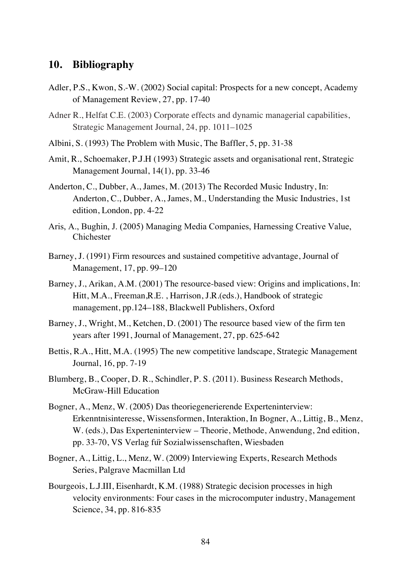# **10. Bibliography**

- Adler, P.S., Kwon, S.-W. (2002) Social capital: Prospects for a new concept, Academy of Management Review, 27, pp. 17-40
- Adner R., Helfat C.E. (2003) Corporate effects and dynamic managerial capabilities, Strategic Management Journal, 24, pp. 1011–1025
- Albini, S. (1993) The Problem with Music, The Baffler, 5, pp. 31-38
- Amit, R., Schoemaker, P.J.H (1993) Strategic assets and organisational rent, Strategic Management Journal, 14(1), pp. 33-46
- Anderton, C., Dubber, A., James, M. (2013) The Recorded Music Industry, In: Anderton, C., Dubber, A., James, M., Understanding the Music Industries, 1st edition, London, pp. 4-22
- Aris, A., Bughin, J. (2005) Managing Media Companies, Harnessing Creative Value, Chichester
- Barney, J. (1991) Firm resources and sustained competitive advantage, Journal of Management, 17, pp. 99–120
- Barney, J., Arikan, A.M. (2001) The resource-based view: Origins and implications, In: Hitt, M.A., Freeman,R.E. , Harrison, J.R.(eds.), Handbook of strategic management, pp.124–188, Blackwell Publishers, Oxford
- Barney, J., Wright, M., Ketchen, D. (2001) The resource based view of the firm ten years after 1991, Journal of Management, 27, pp. 625-642
- Bettis, R.A., Hitt, M.A. (1995) The new competitive landscape, Strategic Management Journal, 16, pp. 7-19
- Blumberg, B., Cooper, D. R., Schindler, P. S. (2011). Business Research Methods, McGraw-Hill Education
- Bogner, A., Menz, W. (2005) Das theoriegenerierende Experteninterview: Erkenntnisinteresse, Wissensformen, Interaktion, In Bogner, A., Littig, B., Menz, W. (eds.), Das Experteninterview – Theorie, Methode, Anwendung, 2nd edition, pp. 33-70, VS Verlag für Sozialwissenschaften, Wiesbaden
- Bogner, A., Littig, L., Menz, W. (2009) Interviewing Experts, Research Methods Series, Palgrave Macmillan Ltd
- Bourgeois, L.J.III, Eisenhardt, K.M. (1988) Strategic decision processes in high velocity environments: Four cases in the microcomputer industry, Management Science, 34, pp. 816-835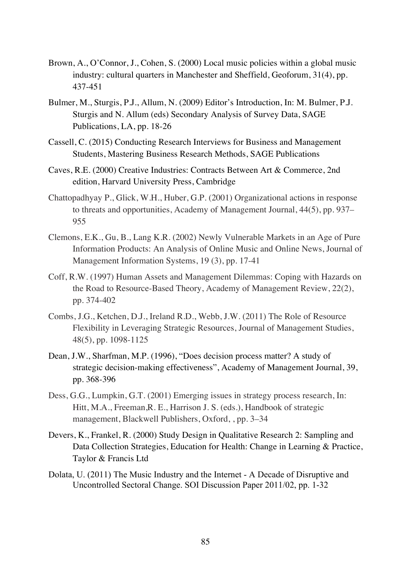- Brown, A., O'Connor, J., Cohen, S. (2000) Local music policies within a global music industry: cultural quarters in Manchester and Sheffield, Geoforum, 31(4), pp. 437-451
- Bulmer, M., Sturgis, P.J., Allum, N. (2009) Editor's Introduction, In: M. Bulmer, P.J. Sturgis and N. Allum (eds) Secondary Analysis of Survey Data, SAGE Publications, LA, pp. 18-26
- Cassell, C. (2015) Conducting Research Interviews for Business and Management Students, Mastering Business Research Methods, SAGE Publications
- Caves, R.E. (2000) Creative Industries: Contracts Between Art & Commerce, 2nd edition, Harvard University Press, Cambridge
- Chattopadhyay P., Glick, W.H., Huber, G.P. (2001) Organizational actions in response to threats and opportunities, Academy of Management Journal, 44(5), pp. 937– 955
- Clemons, E.K., Gu, B., Lang K.R. (2002) Newly Vulnerable Markets in an Age of Pure Information Products: An Analysis of Online Music and Online News, Journal of Management Information Systems, 19 (3), pp. 17-41
- Coff, R.W. (1997) Human Assets and Management Dilemmas: Coping with Hazards on the Road to Resource-Based Theory, Academy of Management Review, 22(2), pp. 374-402
- Combs, J.G., Ketchen, D.J., Ireland R.D., Webb, J.W. (2011) The Role of Resource Flexibility in Leveraging Strategic Resources, Journal of Management Studies, 48(5), pp. 1098-1125
- Dean, J.W., Sharfman, M.P. (1996), "Does decision process matter? A study of strategic decision-making effectiveness", Academy of Management Journal, 39, pp. 368-396
- Dess, G.G., Lumpkin, G.T. (2001) Emerging issues in strategy process research, In: Hitt, M.A., Freeman,R. E., Harrison J. S. (eds.), Handbook of strategic management, Blackwell Publishers, Oxford, , pp. 3–34
- Devers, K., Frankel, R. (2000) Study Design in Qualitative Research 2: Sampling and Data Collection Strategies, Education for Health: Change in Learning & Practice, Taylor & Francis Ltd
- Dolata, U. (2011) The Music Industry and the Internet A Decade of Disruptive and Uncontrolled Sectoral Change. SOI Discussion Paper 2011/02, pp. 1-32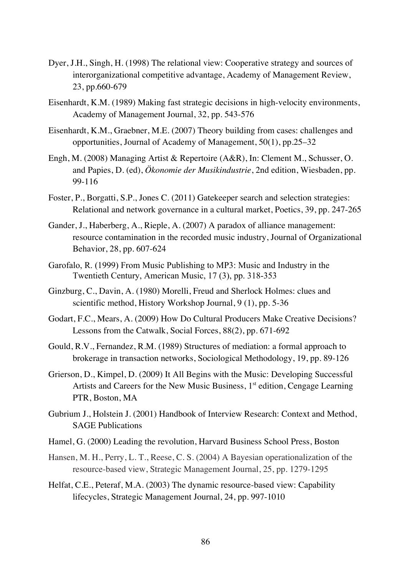- Dyer, J.H., Singh, H. (1998) The relational view: Cooperative strategy and sources of interorganizational competitive advantage, Academy of Management Review, 23, pp.660-679
- Eisenhardt, K.M. (1989) Making fast strategic decisions in high-velocity environments, Academy of Management Journal, 32, pp. 543-576
- Eisenhardt, K.M., Graebner, M.E. (2007) Theory building from cases: challenges and opportunities, Journal of Academy of Management, 50(1), pp.25–32
- Engh, M. (2008) Managing Artist & Repertoire (A&R), In: Clement M., Schusser, O. and Papies, D. (ed), *Ökonomie der Musikindustrie*, 2nd edition, Wiesbaden, pp. 99-116
- Foster, P., Borgatti, S.P., Jones C. (2011) Gatekeeper search and selection strategies: Relational and network governance in a cultural market, Poetics, 39, pp. 247-265
- Gander, J., Haberberg, A., Rieple, A. (2007) A paradox of alliance management: resource contamination in the recorded music industry, Journal of Organizational Behavior, 28, pp. 607-624
- Garofalo, R. (1999) From Music Publishing to MP3: Music and Industry in the Twentieth Century, American Music, 17 (3), pp. 318-353
- Ginzburg, C., Davin, A. (1980) Morelli, Freud and Sherlock Holmes: clues and scientific method, History Workshop Journal, 9 (1), pp. 5-36
- Godart, F.C., Mears, A. (2009) How Do Cultural Producers Make Creative Decisions? Lessons from the Catwalk, Social Forces, 88(2), pp. 671-692
- Gould, R.V., Fernandez, R.M. (1989) Structures of mediation: a formal approach to brokerage in transaction networks, Sociological Methodology, 19, pp. 89-126
- Grierson, D., Kimpel, D. (2009) It All Begins with the Music: Developing Successful Artists and Careers for the New Music Business,  $1<sup>st</sup>$  edition, Cengage Learning PTR, Boston, MA
- Gubrium J., Holstein J. (2001) Handbook of Interview Research: Context and Method, SAGE Publications
- Hamel, G. (2000) Leading the revolution, Harvard Business School Press, Boston
- Hansen, M. H., Perry, L. T., Reese, C. S. (2004) A Bayesian operationalization of the resource-based view, Strategic Management Journal, 25, pp. 1279-1295
- Helfat, C.E., Peteraf, M.A. (2003) The dynamic resource-based view: Capability lifecycles, Strategic Management Journal, 24, pp. 997-1010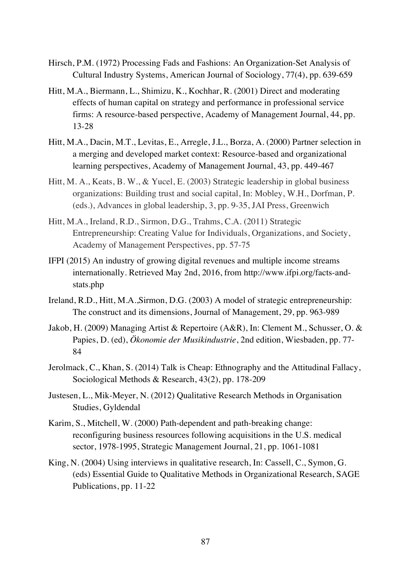- Hirsch, P.M. (1972) Processing Fads and Fashions: An Organization-Set Analysis of Cultural Industry Systems, American Journal of Sociology, 77(4), pp. 639-659
- Hitt, M.A., Biermann, L., Shimizu, K., Kochhar, R. (2001) Direct and moderating effects of human capital on strategy and performance in professional service firms: A resource-based perspective, Academy of Management Journal, 44, pp. 13-28
- Hitt, M.A., Dacin, M.T., Levitas, E., Arregle, J.L., Borza, A. (2000) Partner selection in a merging and developed market context: Resource-based and organizational learning perspectives, Academy of Management Journal, 43, pp. 449-467
- Hitt, M. A., Keats, B. W., & Yucel, E. (2003) Strategic leadership in global business organizations: Building trust and social capital, In: Mobley, W.H., Dorfman, P. (eds.), Advances in global leadership, 3, pp. 9-35, JAI Press, Greenwich
- Hitt, M.A., Ireland, R.D., Sirmon, D.G., Trahms, C.A. (2011) Strategic Entrepreneurship: Creating Value for Individuals, Organizations, and Society, Academy of Management Perspectives, pp. 57-75
- IFPI (2015) An industry of growing digital revenues and multiple income streams internationally. Retrieved May 2nd, 2016, from http://www.ifpi.org/facts-andstats.php
- Ireland, R.D., Hitt, M.A.,Sirmon, D.G. (2003) A model of strategic entrepreneurship: The construct and its dimensions, Journal of Management, 29, pp. 963-989
- Jakob, H. (2009) Managing Artist & Repertoire (A&R), In: Clement M., Schusser, O. & Papies, D. (ed), *Ökonomie der Musikindustrie*, 2nd edition, Wiesbaden, pp. 77- 84
- Jerolmack, C., Khan, S. (2014) Talk is Cheap: Ethnography and the Attitudinal Fallacy, Sociological Methods & Research, 43(2), pp. 178-209
- Justesen, L., Mik-Meyer, N. (2012) Qualitative Research Methods in Organisation Studies, Gyldendal
- Karim, S., Mitchell, W. (2000) Path-dependent and path-breaking change: reconfiguring business resources following acquisitions in the U.S. medical sector, 1978-1995, Strategic Management Journal, 21, pp. 1061-1081
- King, N. (2004) Using interviews in qualitative research, In: Cassell, C., Symon, G. (eds) Essential Guide to Qualitative Methods in Organizational Research, SAGE Publications, pp. 11-22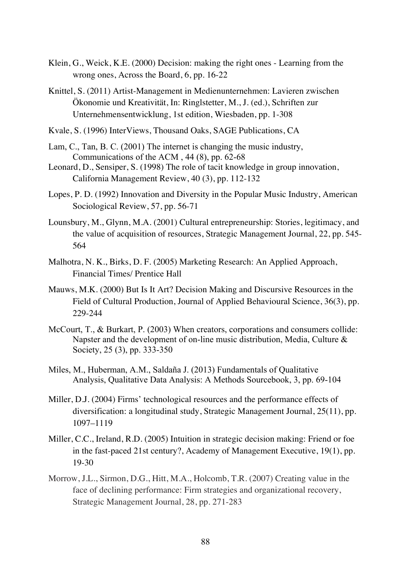- Klein, G., Weick, K.E. (2000) Decision: making the right ones Learning from the wrong ones, Across the Board, 6, pp. 16-22
- Knittel, S. (2011) Artist-Management in Medienunternehmen: Lavieren zwischen Ökonomie und Kreativität, In: Ringlstetter, M., J. (ed.), Schriften zur Unternehmensentwicklung, 1st edition, Wiesbaden, pp. 1-308
- Kvale, S. (1996) InterViews, Thousand Oaks, SAGE Publications, CA
- Lam, C., Tan, B. C. (2001) The internet is changing the music industry, Communications of the ACM , 44 (8), pp. 62-68
- Leonard, D., Sensiper, S. (1998) The role of tacit knowledge in group innovation, California Management Review, 40 (3), pp. 112-132
- Lopes, P. D. (1992) Innovation and Diversity in the Popular Music Industry, American Sociological Review, 57, pp. 56-71
- Lounsbury, M., Glynn, M.A. (2001) Cultural entrepreneurship: Stories, legitimacy, and the value of acquisition of resources, Strategic Management Journal, 22, pp. 545- 564
- Malhotra, N. K., Birks, D. F. (2005) Marketing Research: An Applied Approach, Financial Times/ Prentice Hall
- Mauws, M.K. (2000) But Is It Art? Decision Making and Discursive Resources in the Field of Cultural Production, Journal of Applied Behavioural Science, 36(3), pp. 229-244
- McCourt, T., & Burkart, P. (2003) When creators, corporations and consumers collide: Napster and the development of on-line music distribution, Media, Culture & Society, 25 (3), pp. 333-350
- Miles, M., Huberman, A.M., Saldaña J. (2013) Fundamentals of Qualitative Analysis, Qualitative Data Analysis: A Methods Sourcebook, 3, pp. 69-104
- Miller, D.J. (2004) Firms' technological resources and the performance effects of diversification: a longitudinal study, Strategic Management Journal, 25(11), pp. 1097–1119
- Miller, C.C., Ireland, R.D. (2005) Intuition in strategic decision making: Friend or foe in the fast-paced 21st century?, Academy of Management Executive, 19(1), pp. 19-30
- Morrow, J.L., Sirmon, D.G., Hitt, M.A., Holcomb, T.R. (2007) Creating value in the face of declining performance: Firm strategies and organizational recovery, Strategic Management Journal, 28, pp. 271-283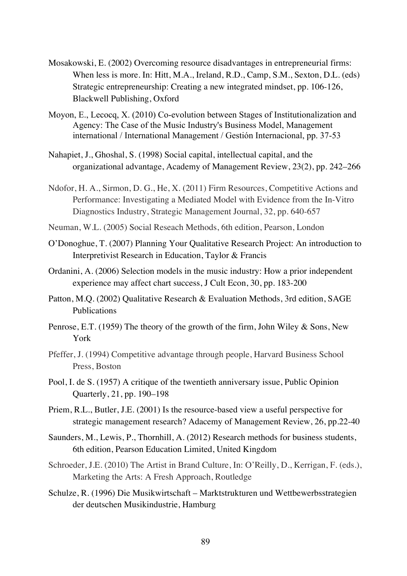- Mosakowski, E. (2002) Overcoming resource disadvantages in entrepreneurial firms: When less is more. In: Hitt, M.A., Ireland, R.D., Camp, S.M., Sexton, D.L. (eds) Strategic entrepreneurship: Creating a new integrated mindset, pp. 106-126, Blackwell Publishing, Oxford
- Moyon, E., Lecocq, X. (2010) Co-evolution between Stages of Institutionalization and Agency: The Case of the Music Industry's Business Model, Management international / International Management / Gestión Internacional, pp. 37-53
- Nahapiet, J., Ghoshal, S. (1998) Social capital, intellectual capital, and the organizational advantage, Academy of Management Review, 23(2), pp. 242–266
- Ndofor, H. A., Sirmon, D. G., He, X. (2011) Firm Resources, Competitive Actions and Performance: Investigating a Mediated Model with Evidence from the In-Vitro Diagnostics Industry, Strategic Management Journal, 32, pp. 640-657
- Neuman, W.L. (2005) Social Reseach Methods, 6th edition, Pearson, London
- O'Donoghue, T. (2007) Planning Your Qualitative Research Project: An introduction to Interpretivist Research in Education, Taylor & Francis
- Ordanini, A. (2006) Selection models in the music industry: How a prior independent experience may affect chart success, J Cult Econ, 30, pp. 183-200
- Patton, M.Q. (2002) Qualitative Research & Evaluation Methods, 3rd edition, SAGE Publications
- Penrose, E.T. (1959) The theory of the growth of the firm, John Wiley & Sons, New York
- Pfeffer, J. (1994) Competitive advantage through people, Harvard Business School Press, Boston
- Pool, I. de S. (1957) A critique of the twentieth anniversary issue, Public Opinion Quarterly, 21, pp. 190–198
- Priem, R.L., Butler, J.E. (2001) Is the resource-based view a useful perspective for strategic management research? Adacemy of Management Review, 26, pp.22-40
- Saunders, M., Lewis, P., Thornhill, A. (2012) Research methods for business students, 6th edition, Pearson Education Limited, United Kingdom
- Schroeder, J.E. (2010) The Artist in Brand Culture, In: O'Reilly, D., Kerrigan, F. (eds.), Marketing the Arts: A Fresh Approach, Routledge
- Schulze, R. (1996) Die Musikwirtschaft Marktstrukturen und Wettbewerbsstrategien der deutschen Musikindustrie, Hamburg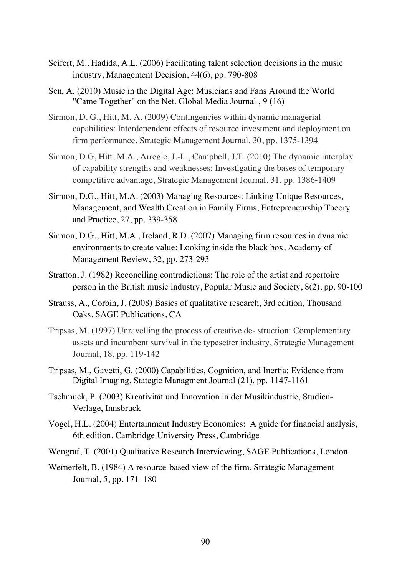- Seifert, M., Hadida, A.L. (2006) Facilitating talent selection decisions in the music industry, Management Decision, 44(6), pp. 790-808
- Sen, A. (2010) Music in the Digital Age: Musicians and Fans Around the World "Came Together" on the Net. Global Media Journal , 9 (16)
- Sirmon, D. G., Hitt, M. A. (2009) Contingencies within dynamic managerial capabilities: Interdependent effects of resource investment and deployment on firm performance, Strategic Management Journal, 30, pp. 1375-1394
- Sirmon, D.G, Hitt, M.A., Arregle, J.-L., Campbell, J.T. (2010) The dynamic interplay of capability strengths and weaknesses: Investigating the bases of temporary competitive advantage, Strategic Management Journal, 31, pp. 1386-1409
- Sirmon, D.G., Hitt, M.A. (2003) Managing Resources: Linking Unique Resources, Management, and Wealth Creation in Family Firms, Entrepreneurship Theory and Practice, 27, pp. 339-358
- Sirmon, D.G., Hitt, M.A., Ireland, R.D. (2007) Managing firm resources in dynamic environments to create value: Looking inside the black box, Academy of Management Review, 32, pp. 273-293
- Stratton, J. (1982) Reconciling contradictions: The role of the artist and repertoire person in the British music industry, Popular Music and Society, 8(2), pp. 90-100
- Strauss, A., Corbin, J. (2008) Basics of qualitative research, 3rd edition, Thousand Oaks, SAGE Publications, CA
- Tripsas, M. (1997) Unravelling the process of creative de- struction: Complementary assets and incumbent survival in the typesetter industry, Strategic Management Journal, 18, pp. 119-142
- Tripsas, M., Gavetti, G. (2000) Capabilities, Cognition, and Inertia: Evidence from Digital Imaging, Stategic Managment Journal (21), pp. 1147-1161
- Tschmuck, P. (2003) Kreativität und Innovation in der Musikindustrie, Studien-Verlage, Innsbruck
- Vogel, H.L. (2004) Entertainment Industry Economics: A guide for financial analysis, 6th edition, Cambridge University Press, Cambridge
- Wengraf, T. (2001) Qualitative Research Interviewing, SAGE Publications, London
- Wernerfelt, B. (1984) A resource-based view of the firm, Strategic Management Journal, 5, pp. 171–180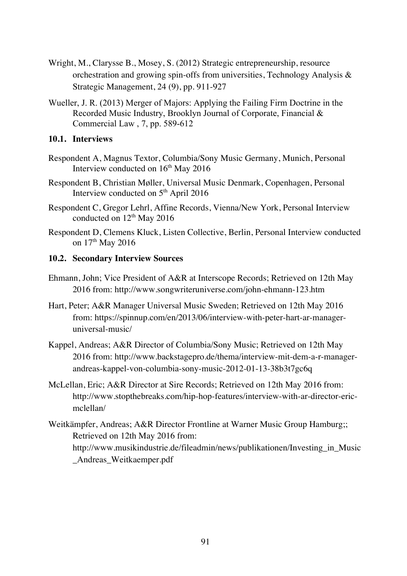- Wright, M., Clarysse B., Mosey, S. (2012) Strategic entrepreneurship, resource orchestration and growing spin-offs from universities, Technology Analysis & Strategic Management, 24 (9), pp. 911-927
- Wueller, J. R. (2013) Merger of Majors: Applying the Failing Firm Doctrine in the Recorded Music Industry, Brooklyn Journal of Corporate, Financial & Commercial Law , 7, pp. 589-612

## **10.1. Interviews**

- Respondent A, Magnus Textor, Columbia/Sony Music Germany, Munich, Personal Interview conducted on  $16<sup>th</sup>$  May 2016
- Respondent B, Christian Møller, Universal Music Denmark, Copenhagen, Personal Interview conducted on 5<sup>th</sup> April 2016
- Respondent C, Gregor Lehrl, Affine Records, Vienna/New York, Personal Interview conducted on 12<sup>th</sup> May 2016
- Respondent D, Clemens Kluck, Listen Collective, Berlin, Personal Interview conducted on 17<sup>th</sup> May 2016

## **10.2. Secondary Interview Sources**

- Ehmann, John; Vice President of A&R at Interscope Records; Retrieved on 12th May 2016 from: http://www.songwriteruniverse.com/john-ehmann-123.htm
- Hart, Peter; A&R Manager Universal Music Sweden; Retrieved on 12th May 2016 from: https://spinnup.com/en/2013/06/interview-with-peter-hart-ar-manageruniversal-music/
- Kappel, Andreas; A&R Director of Columbia/Sony Music; Retrieved on 12th May 2016 from: http://www.backstagepro.de/thema/interview-mit-dem-a-r-managerandreas-kappel-von-columbia-sony-music-2012-01-13-38b3t7gc6q
- McLellan, Eric; A&R Director at Sire Records; Retrieved on 12th May 2016 from: http://www.stopthebreaks.com/hip-hop-features/interview-with-ar-director-ericmclellan/
- Weitkämpfer, Andreas; A&R Director Frontline at Warner Music Group Hamburg;; Retrieved on 12th May 2016 from: http://www.musikindustrie.de/fileadmin/news/publikationen/Investing\_in\_Music \_Andreas\_Weitkaemper.pdf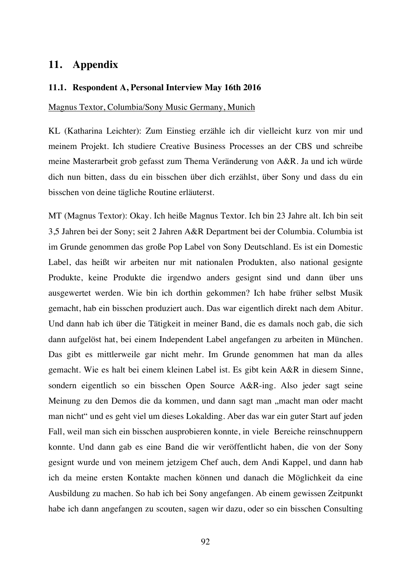# **11. Appendix**

#### **11.1. Respondent A, Personal Interview May 16th 2016**

## Magnus Textor, Columbia/Sony Music Germany, Munich

KL (Katharina Leichter): Zum Einstieg erzähle ich dir vielleicht kurz von mir und meinem Projekt. Ich studiere Creative Business Processes an der CBS und schreibe meine Masterarbeit grob gefasst zum Thema Veränderung von A&R. Ja und ich würde dich nun bitten, dass du ein bisschen über dich erzählst, über Sony und dass du ein bisschen von deine tägliche Routine erläuterst.

MT (Magnus Textor): Okay. Ich heiße Magnus Textor. Ich bin 23 Jahre alt. Ich bin seit 3,5 Jahren bei der Sony; seit 2 Jahren A&R Department bei der Columbia. Columbia ist im Grunde genommen das große Pop Label von Sony Deutschland. Es ist ein Domestic Label, das heißt wir arbeiten nur mit nationalen Produkten, also national gesignte Produkte, keine Produkte die irgendwo anders gesignt sind und dann über uns ausgewertet werden. Wie bin ich dorthin gekommen? Ich habe früher selbst Musik gemacht, hab ein bisschen produziert auch. Das war eigentlich direkt nach dem Abitur. Und dann hab ich über die Tätigkeit in meiner Band, die es damals noch gab, die sich dann aufgelöst hat, bei einem Independent Label angefangen zu arbeiten in München. Das gibt es mittlerweile gar nicht mehr. Im Grunde genommen hat man da alles gemacht. Wie es halt bei einem kleinen Label ist. Es gibt kein A&R in diesem Sinne, sondern eigentlich so ein bisschen Open Source A&R-ing. Also jeder sagt seine Meinung zu den Demos die da kommen, und dann sagt man "macht man oder macht man nicht" und es geht viel um dieses Lokalding. Aber das war ein guter Start auf jeden Fall, weil man sich ein bisschen ausprobieren konnte, in viele Bereiche reinschnuppern konnte. Und dann gab es eine Band die wir veröffentlicht haben, die von der Sony gesignt wurde und von meinem jetzigem Chef auch, dem Andi Kappel, und dann hab ich da meine ersten Kontakte machen können und danach die Möglichkeit da eine Ausbildung zu machen. So hab ich bei Sony angefangen. Ab einem gewissen Zeitpunkt habe ich dann angefangen zu scouten, sagen wir dazu, oder so ein bisschen Consulting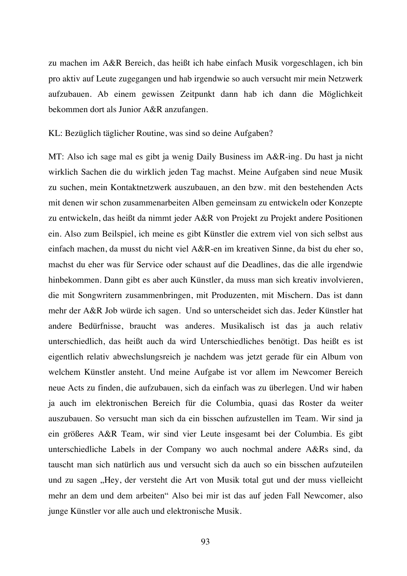zu machen im A&R Bereich, das heißt ich habe einfach Musik vorgeschlagen, ich bin pro aktiv auf Leute zugegangen und hab irgendwie so auch versucht mir mein Netzwerk aufzubauen. Ab einem gewissen Zeitpunkt dann hab ich dann die Möglichkeit bekommen dort als Junior A&R anzufangen.

KL: Bezüglich täglicher Routine, was sind so deine Aufgaben?

MT: Also ich sage mal es gibt ja wenig Daily Business im A&R-ing. Du hast ja nicht wirklich Sachen die du wirklich jeden Tag machst. Meine Aufgaben sind neue Musik zu suchen, mein Kontaktnetzwerk auszubauen, an den bzw. mit den bestehenden Acts mit denen wir schon zusammenarbeiten Alben gemeinsam zu entwickeln oder Konzepte zu entwickeln, das heißt da nimmt jeder A&R von Projekt zu Projekt andere Positionen ein. Also zum Beilspiel, ich meine es gibt Künstler die extrem viel von sich selbst aus einfach machen, da musst du nicht viel A&R-en im kreativen Sinne, da bist du eher so, machst du eher was für Service oder schaust auf die Deadlines, das die alle irgendwie hinbekommen. Dann gibt es aber auch Künstler, da muss man sich kreativ involvieren, die mit Songwritern zusammenbringen, mit Produzenten, mit Mischern. Das ist dann mehr der A&R Job würde ich sagen. Und so unterscheidet sich das. Jeder Künstler hat andere Bedürfnisse, braucht was anderes. Musikalisch ist das ja auch relativ unterschiedlich, das heißt auch da wird Unterschiedliches benötigt. Das heißt es ist eigentlich relativ abwechslungsreich je nachdem was jetzt gerade für ein Album von welchem Künstler ansteht. Und meine Aufgabe ist vor allem im Newcomer Bereich neue Acts zu finden, die aufzubauen, sich da einfach was zu überlegen. Und wir haben ja auch im elektronischen Bereich für die Columbia, quasi das Roster da weiter auszubauen. So versucht man sich da ein bisschen aufzustellen im Team. Wir sind ja ein größeres A&R Team, wir sind vier Leute insgesamt bei der Columbia. Es gibt unterschiedliche Labels in der Company wo auch nochmal andere A&Rs sind, da tauscht man sich natürlich aus und versucht sich da auch so ein bisschen aufzuteilen und zu sagen "Hey, der versteht die Art von Musik total gut und der muss vielleicht mehr an dem und dem arbeiten" Also bei mir ist das auf jeden Fall Newcomer, also junge Künstler vor alle auch und elektronische Musik.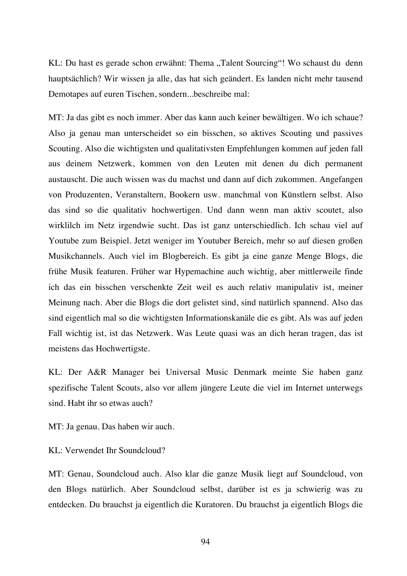KL: Du hast es gerade schon erwähnt: Thema "Talent Sourcing"! Wo schaust du denn hauptsächlich? Wir wissen ja alle, das hat sich geändert. Es landen nicht mehr tausend Demotapes auf euren Tischen, sondern...beschreibe mal:

MT: Ja das gibt es noch immer. Aber das kann auch keiner bewältigen. Wo ich schaue? Also ja genau man unterscheidet so ein bisschen, so aktives Scouting und passives Scouting. Also die wichtigsten und qualitativsten Empfehlungen kommen auf jeden fall aus deinem Netzwerk, kommen von den Leuten mit denen du dich permanent austauscht. Die auch wissen was du machst und dann auf dich zukommen. Angefangen von Produzenten, Veranstaltern, Bookern usw. manchmal von Künstlern selbst. Also das sind so die qualitativ hochwertigen. Und dann wenn man aktiv scoutet, also wirklilch im Netz irgendwie sucht. Das ist ganz unterschiedlich. Ich schau viel auf Youtube zum Beispiel. Jetzt weniger im Youtuber Bereich, mehr so auf diesen großen Musikchannels. Auch viel im Blogbereich. Es gibt ja eine ganze Menge Blogs, die frühe Musik featuren. Früher war Hypemachine auch wichtig, aber mittlerweile finde ich das ein bisschen verschenkte Zeit weil es auch relativ manipulativ ist, meiner Meinung nach. Aber die Blogs die dort gelistet sind, sind natürlich spannend. Also das sind eigentlich mal so die wichtigsten Informationskanäle die es gibt. Als was auf jeden Fall wichtig ist, ist das Netzwerk. Was Leute quasi was an dich heran tragen, das ist meistens das Hochwertigste.

KL: Der A&R Manager bei Universal Music Denmark meinte Sie haben ganz spezifische Talent Scouts, also vor allem jüngere Leute die viel im Internet unterwegs sind. Habt ihr so etwas auch?

MT: Ja genau. Das haben wir auch.

KL: Verwendet Ihr Soundcloud?

MT: Genau, Soundcloud auch. Also klar die ganze Musik liegt auf Soundcloud, von den Blogs natürlich. Aber Soundcloud selbst, darüber ist es ja schwierig was zu entdecken. Du brauchst ja eigentlich die Kuratoren. Du brauchst ja eigentlich Blogs die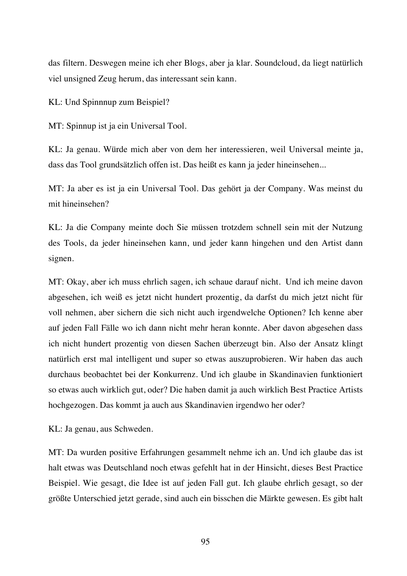das filtern. Deswegen meine ich eher Blogs, aber ja klar. Soundcloud, da liegt natürlich viel unsigned Zeug herum, das interessant sein kann.

KL: Und Spinnnup zum Beispiel?

MT: Spinnup ist ja ein Universal Tool.

KL: Ja genau. Würde mich aber von dem her interessieren, weil Universal meinte ja, dass das Tool grundsätzlich offen ist. Das heißt es kann ja jeder hineinsehen...

MT: Ja aber es ist ja ein Universal Tool. Das gehört ja der Company. Was meinst du mit hineinsehen?

KL: Ja die Company meinte doch Sie müssen trotzdem schnell sein mit der Nutzung des Tools, da jeder hineinsehen kann, und jeder kann hingehen und den Artist dann signen.

MT: Okay, aber ich muss ehrlich sagen, ich schaue darauf nicht. Und ich meine davon abgesehen, ich weiß es jetzt nicht hundert prozentig, da darfst du mich jetzt nicht für voll nehmen, aber sichern die sich nicht auch irgendwelche Optionen? Ich kenne aber auf jeden Fall Fälle wo ich dann nicht mehr heran konnte. Aber davon abgesehen dass ich nicht hundert prozentig von diesen Sachen überzeugt bin. Also der Ansatz klingt natürlich erst mal intelligent und super so etwas auszuprobieren. Wir haben das auch durchaus beobachtet bei der Konkurrenz. Und ich glaube in Skandinavien funktioniert so etwas auch wirklich gut, oder? Die haben damit ja auch wirklich Best Practice Artists hochgezogen. Das kommt ja auch aus Skandinavien irgendwo her oder?

KL: Ja genau, aus Schweden.

MT: Da wurden positive Erfahrungen gesammelt nehme ich an. Und ich glaube das ist halt etwas was Deutschland noch etwas gefehlt hat in der Hinsicht, dieses Best Practice Beispiel. Wie gesagt, die Idee ist auf jeden Fall gut. Ich glaube ehrlich gesagt, so der größte Unterschied jetzt gerade, sind auch ein bisschen die Märkte gewesen. Es gibt halt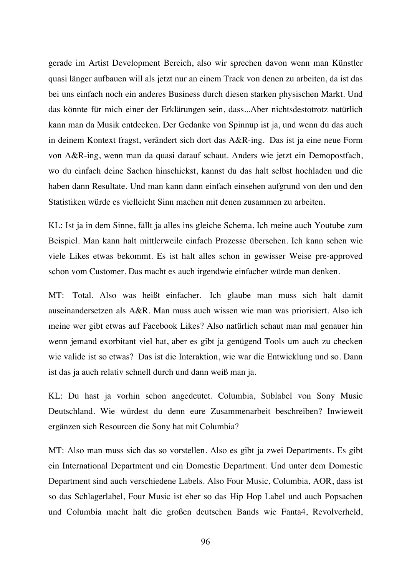gerade im Artist Development Bereich, also wir sprechen davon wenn man Künstler quasi länger aufbauen will als jetzt nur an einem Track von denen zu arbeiten, da ist das bei uns einfach noch ein anderes Business durch diesen starken physischen Markt. Und das könnte für mich einer der Erklärungen sein, dass...Aber nichtsdestotrotz natürlich kann man da Musik entdecken. Der Gedanke von Spinnup ist ja, und wenn du das auch in deinem Kontext fragst, verändert sich dort das A&R-ing. Das ist ja eine neue Form von A&R-ing, wenn man da quasi darauf schaut. Anders wie jetzt ein Demopostfach, wo du einfach deine Sachen hinschickst, kannst du das halt selbst hochladen und die haben dann Resultate. Und man kann dann einfach einsehen aufgrund von den und den Statistiken würde es vielleicht Sinn machen mit denen zusammen zu arbeiten.

KL: Ist ja in dem Sinne, fällt ja alles ins gleiche Schema. Ich meine auch Youtube zum Beispiel. Man kann halt mittlerweile einfach Prozesse übersehen. Ich kann sehen wie viele Likes etwas bekommt. Es ist halt alles schon in gewisser Weise pre-approved schon vom Customer. Das macht es auch irgendwie einfacher würde man denken.

MT: Total. Also was heißt einfacher. Ich glaube man muss sich halt damit auseinandersetzen als A&R. Man muss auch wissen wie man was priorisiert. Also ich meine wer gibt etwas auf Facebook Likes? Also natürlich schaut man mal genauer hin wenn jemand exorbitant viel hat, aber es gibt ja genügend Tools um auch zu checken wie valide ist so etwas? Das ist die Interaktion, wie war die Entwicklung und so. Dann ist das ja auch relativ schnell durch und dann weiß man ja.

KL: Du hast ja vorhin schon angedeutet. Columbia, Sublabel von Sony Music Deutschland. Wie würdest du denn eure Zusammenarbeit beschreiben? Inwieweit ergänzen sich Resourcen die Sony hat mit Columbia?

MT: Also man muss sich das so vorstellen. Also es gibt ja zwei Departments. Es gibt ein International Department und ein Domestic Department. Und unter dem Domestic Department sind auch verschiedene Labels. Also Four Music, Columbia, AOR, dass ist so das Schlagerlabel, Four Music ist eher so das Hip Hop Label und auch Popsachen und Columbia macht halt die großen deutschen Bands wie Fanta4, Revolverheld,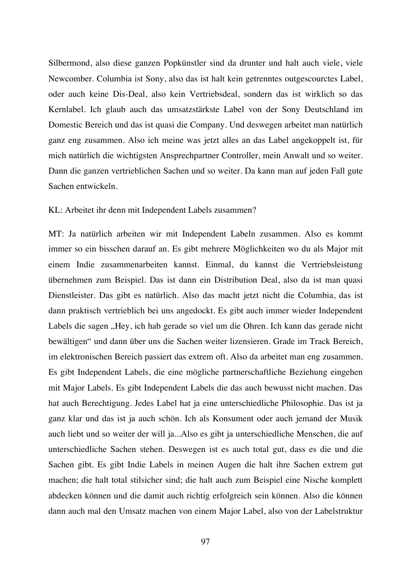Silbermond, also diese ganzen Popkünstler sind da drunter und halt auch viele, viele Newcomber. Columbia ist Sony, also das ist halt kein getrenntes outgescourctes Label, oder auch keine Dis-Deal, also kein Vertriebsdeal, sondern das ist wirklich so das Kernlabel. Ich glaub auch das umsatzstärkste Label von der Sony Deutschland im Domestic Bereich und das ist quasi die Company. Und deswegen arbeitet man natürlich ganz eng zusammen. Also ich meine was jetzt alles an das Label angekoppelt ist, für mich natürlich die wichtigsten Ansprechpartner Controller, mein Anwalt und so weiter. Dann die ganzen vertrieblichen Sachen und so weiter. Da kann man auf jeden Fall gute Sachen entwickeln.

#### KL: Arbeitet ihr denn mit Independent Labels zusammen?

MT: Ja natürlich arbeiten wir mit Independent Labeln zusammen. Also es kommt immer so ein bisschen darauf an. Es gibt mehrere Möglichkeiten wo du als Major mit einem Indie zusammenarbeiten kannst. Einmal, du kannst die Vertriebsleistung übernehmen zum Beispiel. Das ist dann ein Distribution Deal, also da ist man quasi Dienstleister. Das gibt es natürlich. Also das macht jetzt nicht die Columbia, das ist dann praktisch vertrieblich bei uns angedockt. Es gibt auch immer wieder Independent Labels die sagen "Hey, ich hab gerade so viel um die Ohren. Ich kann das gerade nicht bewältigen" und dann über uns die Sachen weiter lizensieren. Grade im Track Bereich, im elektronischen Bereich passiert das extrem oft. Also da arbeitet man eng zusammen. Es gibt Independent Labels, die eine mögliche partnerschaftliche Beziehung eingehen mit Major Labels. Es gibt Independent Labels die das auch bewusst nicht machen. Das hat auch Berechtigung. Jedes Label hat ja eine unterschiedliche Philosophie. Das ist ja ganz klar und das ist ja auch schön. Ich als Konsument oder auch jemand der Musik auch liebt und so weiter der will ja...Also es gibt ja unterschiedliche Menschen, die auf unterschiedliche Sachen stehen. Deswegen ist es auch total gut, dass es die und die Sachen gibt. Es gibt Indie Labels in meinen Augen die halt ihre Sachen extrem gut machen; die halt total stilsicher sind; die halt auch zum Beispiel eine Nische komplett abdecken können und die damit auch richtig erfolgreich sein können. Also die können dann auch mal den Umsatz machen von einem Major Label, also von der Labelstruktur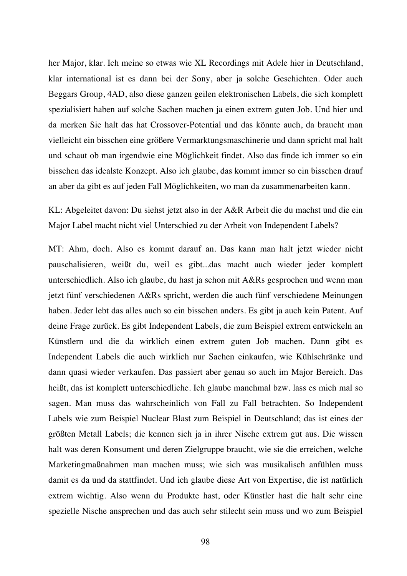her Major, klar. Ich meine so etwas wie XL Recordings mit Adele hier in Deutschland, klar international ist es dann bei der Sony, aber ja solche Geschichten. Oder auch Beggars Group, 4AD, also diese ganzen geilen elektronischen Labels, die sich komplett spezialisiert haben auf solche Sachen machen ja einen extrem guten Job. Und hier und da merken Sie halt das hat Crossover-Potential und das könnte auch, da braucht man vielleicht ein bisschen eine größere Vermarktungsmaschinerie und dann spricht mal halt und schaut ob man irgendwie eine Möglichkeit findet. Also das finde ich immer so ein bisschen das idealste Konzept. Also ich glaube, das kommt immer so ein bisschen drauf an aber da gibt es auf jeden Fall Möglichkeiten, wo man da zusammenarbeiten kann.

KL: Abgeleitet davon: Du siehst jetzt also in der A&R Arbeit die du machst und die ein Major Label macht nicht viel Unterschied zu der Arbeit von Independent Labels?

MT: Ahm, doch. Also es kommt darauf an. Das kann man halt jetzt wieder nicht pauschalisieren, weißt du, weil es gibt...das macht auch wieder jeder komplett unterschiedlich. Also ich glaube, du hast ja schon mit A&Rs gesprochen und wenn man jetzt fünf verschiedenen A&Rs spricht, werden die auch fünf verschiedene Meinungen haben. Jeder lebt das alles auch so ein bisschen anders. Es gibt ja auch kein Patent. Auf deine Frage zurück. Es gibt Independent Labels, die zum Beispiel extrem entwickeln an Künstlern und die da wirklich einen extrem guten Job machen. Dann gibt es Independent Labels die auch wirklich nur Sachen einkaufen, wie Kühlschränke und dann quasi wieder verkaufen. Das passiert aber genau so auch im Major Bereich. Das heißt, das ist komplett unterschiedliche. Ich glaube manchmal bzw. lass es mich mal so sagen. Man muss das wahrscheinlich von Fall zu Fall betrachten. So Independent Labels wie zum Beispiel Nuclear Blast zum Beispiel in Deutschland; das ist eines der größten Metall Labels; die kennen sich ja in ihrer Nische extrem gut aus. Die wissen halt was deren Konsument und deren Zielgruppe braucht, wie sie die erreichen, welche Marketingmaßnahmen man machen muss; wie sich was musikalisch anfühlen muss damit es da und da stattfindet. Und ich glaube diese Art von Expertise, die ist natürlich extrem wichtig. Also wenn du Produkte hast, oder Künstler hast die halt sehr eine spezielle Nische ansprechen und das auch sehr stilecht sein muss und wo zum Beispiel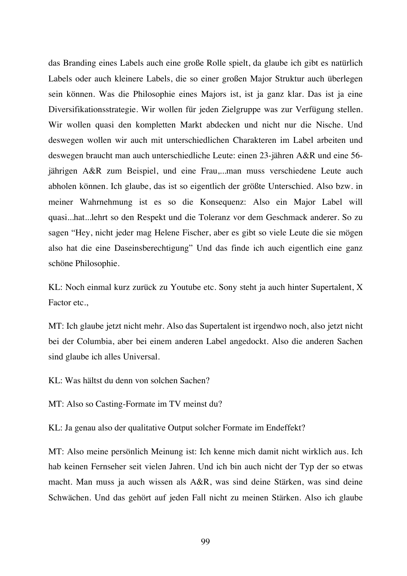das Branding eines Labels auch eine große Rolle spielt, da glaube ich gibt es natürlich Labels oder auch kleinere Labels, die so einer großen Major Struktur auch überlegen sein können. Was die Philosophie eines Majors ist, ist ja ganz klar. Das ist ja eine Diversifikationsstrategie. Wir wollen für jeden Zielgruppe was zur Verfügung stellen. Wir wollen quasi den kompletten Markt abdecken und nicht nur die Nische. Und deswegen wollen wir auch mit unterschiedlichen Charakteren im Label arbeiten und deswegen braucht man auch unterschiedliche Leute: einen 23-jähren A&R und eine 56 jährigen A&R zum Beispiel, und eine Frau,...man muss verschiedene Leute auch abholen können. Ich glaube, das ist so eigentlich der größte Unterschied. Also bzw. in meiner Wahrnehmung ist es so die Konsequenz: Also ein Major Label will quasi...hat...lehrt so den Respekt und die Toleranz vor dem Geschmack anderer. So zu sagen "Hey, nicht jeder mag Helene Fischer, aber es gibt so viele Leute die sie mögen also hat die eine Daseinsberechtigung" Und das finde ich auch eigentlich eine ganz schöne Philosophie.

KL: Noch einmal kurz zurück zu Youtube etc. Sony steht ja auch hinter Supertalent, X Factor etc.,

MT: Ich glaube jetzt nicht mehr. Also das Supertalent ist irgendwo noch, also jetzt nicht bei der Columbia, aber bei einem anderen Label angedockt. Also die anderen Sachen sind glaube ich alles Universal.

KL: Was hältst du denn von solchen Sachen?

MT: Also so Casting-Formate im TV meinst du?

KL: Ja genau also der qualitative Output solcher Formate im Endeffekt?

MT: Also meine persönlich Meinung ist: Ich kenne mich damit nicht wirklich aus. Ich hab keinen Fernseher seit vielen Jahren. Und ich bin auch nicht der Typ der so etwas macht. Man muss ja auch wissen als A&R, was sind deine Stärken, was sind deine Schwächen. Und das gehört auf jeden Fall nicht zu meinen Stärken. Also ich glaube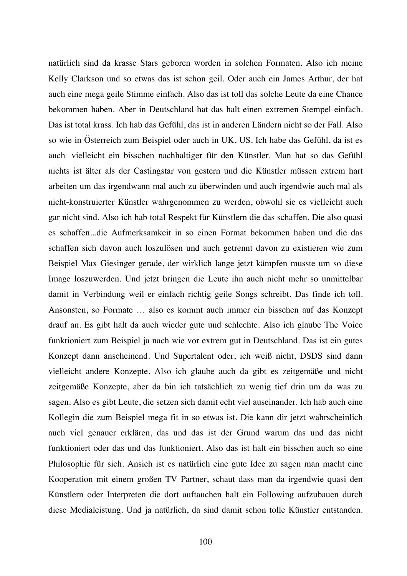natürlich sind da krasse Stars geboren worden in solchen Formaten. Also ich meine Kelly Clarkson und so etwas das ist schon geil. Oder auch ein James Arthur, der hat auch eine mega geile Stimme einfach. Also das ist toll das solche Leute da eine Chance bekommen haben. Aber in Deutschland hat das halt einen extremen Stempel einfach. Das ist total krass. Ich hab das Gefühl, das ist in anderen Ländern nicht so der Fall. Also so wie in Österreich zum Beispiel oder auch in UK, US. Ich habe das Gefühl, da ist es auch vielleicht ein bisschen nachhaltiger für den Künstler. Man hat so das Gefühl nichts ist älter als der Castingstar von gestern und die Künstler müssen extrem hart arbeiten um das irgendwann mal auch zu überwinden und auch irgendwie auch mal als nicht-konstruierter Künstler wahrgenommen zu werden, obwohl sie es vielleicht auch gar nicht sind. Also ich hab total Respekt für Künstlern die das schaffen. Die also quasi es schaffen...die Aufmerksamkeit in so einen Format bekommen haben und die das schaffen sich davon auch loszulösen und auch getrennt davon zu existieren wie zum Beispiel Max Giesinger gerade, der wirklich lange jetzt kämpfen musste um so diese Image loszuwerden. Und jetzt bringen die Leute ihn auch nicht mehr so unmittelbar damit in Verbindung weil er einfach richtig geile Songs schreibt. Das finde ich toll. Ansonsten, so Formate … also es kommt auch immer ein bisschen auf das Konzept drauf an. Es gibt halt da auch wieder gute und schlechte. Also ich glaube The Voice funktioniert zum Beispiel ja nach wie vor extrem gut in Deutschland. Das ist ein gutes Konzept dann anscheinend. Und Supertalent oder, ich weiß nicht, DSDS sind dann vielleicht andere Konzepte. Also ich glaube auch da gibt es zeitgemäße und nicht zeitgemäße Konzepte, aber da bin ich tatsächlich zu wenig tief drin um da was zu sagen. Also es gibt Leute, die setzen sich damit echt viel auseinander. Ich hab auch eine Kollegin die zum Beispiel mega fit in so etwas ist. Die kann dir jetzt wahrscheinlich auch viel genauer erklären, das und das ist der Grund warum das und das nicht funktioniert oder das und das funktioniert. Also das ist halt ein bisschen auch so eine Philosophie für sich. Ansich ist es natürlich eine gute Idee zu sagen man macht eine Kooperation mit einem großen TV Partner, schaut dass man da irgendwie quasi den Künstlern oder Interpreten die dort auftauchen halt ein Following aufzubauen durch diese Medialeistung. Und ja natürlich, da sind damit schon tolle Künstler entstanden.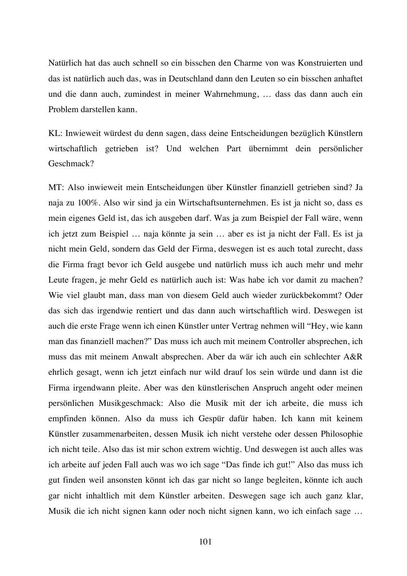Natürlich hat das auch schnell so ein bisschen den Charme von was Konstruierten und das ist natürlich auch das, was in Deutschland dann den Leuten so ein bisschen anhaftet und die dann auch, zumindest in meiner Wahrnehmung, … dass das dann auch ein Problem darstellen kann.

KL: Inwieweit würdest du denn sagen, dass deine Entscheidungen bezüglich Künstlern wirtschaftlich getrieben ist? Und welchen Part übernimmt dein persönlicher Geschmack?

MT: Also inwieweit mein Entscheidungen über Künstler finanziell getrieben sind? Ja naja zu 100%. Also wir sind ja ein Wirtschaftsunternehmen. Es ist ja nicht so, dass es mein eigenes Geld ist, das ich ausgeben darf. Was ja zum Beispiel der Fall wäre, wenn ich jetzt zum Beispiel … naja könnte ja sein … aber es ist ja nicht der Fall. Es ist ja nicht mein Geld, sondern das Geld der Firma, deswegen ist es auch total zurecht, dass die Firma fragt bevor ich Geld ausgebe und natürlich muss ich auch mehr und mehr Leute fragen, je mehr Geld es natürlich auch ist: Was habe ich vor damit zu machen? Wie viel glaubt man, dass man von diesem Geld auch wieder zurückbekommt? Oder das sich das irgendwie rentiert und das dann auch wirtschaftlich wird. Deswegen ist auch die erste Frage wenn ich einen Künstler unter Vertrag nehmen will "Hey, wie kann man das finanziell machen?" Das muss ich auch mit meinem Controller absprechen, ich muss das mit meinem Anwalt absprechen. Aber da wär ich auch ein schlechter A&R ehrlich gesagt, wenn ich jetzt einfach nur wild drauf los sein würde und dann ist die Firma irgendwann pleite. Aber was den künstlerischen Anspruch angeht oder meinen persönlichen Musikgeschmack: Also die Musik mit der ich arbeite, die muss ich empfinden können. Also da muss ich Gespür dafür haben. Ich kann mit keinem Künstler zusammenarbeiten, dessen Musik ich nicht verstehe oder dessen Philosophie ich nicht teile. Also das ist mir schon extrem wichtig. Und deswegen ist auch alles was ich arbeite auf jeden Fall auch was wo ich sage "Das finde ich gut!" Also das muss ich gut finden weil ansonsten könnt ich das gar nicht so lange begleiten, könnte ich auch gar nicht inhaltlich mit dem Künstler arbeiten. Deswegen sage ich auch ganz klar, Musik die ich nicht signen kann oder noch nicht signen kann, wo ich einfach sage …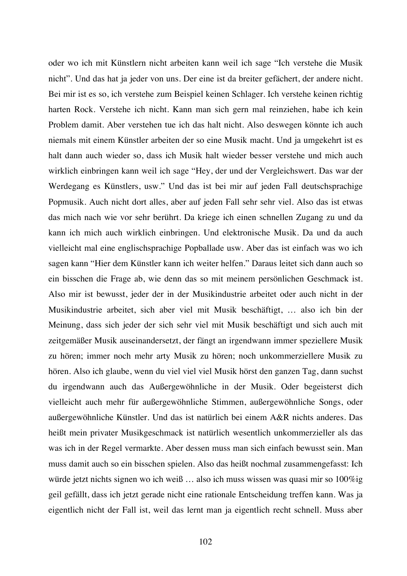oder wo ich mit Künstlern nicht arbeiten kann weil ich sage "Ich verstehe die Musik nicht". Und das hat ja jeder von uns. Der eine ist da breiter gefächert, der andere nicht. Bei mir ist es so, ich verstehe zum Beispiel keinen Schlager. Ich verstehe keinen richtig harten Rock. Verstehe ich nicht. Kann man sich gern mal reinziehen, habe ich kein Problem damit. Aber verstehen tue ich das halt nicht. Also deswegen könnte ich auch niemals mit einem Künstler arbeiten der so eine Musik macht. Und ja umgekehrt ist es halt dann auch wieder so, dass ich Musik halt wieder besser verstehe und mich auch wirklich einbringen kann weil ich sage "Hey, der und der Vergleichswert. Das war der Werdegang es Künstlers, usw." Und das ist bei mir auf jeden Fall deutschsprachige Popmusik. Auch nicht dort alles, aber auf jeden Fall sehr sehr viel. Also das ist etwas das mich nach wie vor sehr berührt. Da kriege ich einen schnellen Zugang zu und da kann ich mich auch wirklich einbringen. Und elektronische Musik. Da und da auch vielleicht mal eine englischsprachige Popballade usw. Aber das ist einfach was wo ich sagen kann "Hier dem Künstler kann ich weiter helfen." Daraus leitet sich dann auch so ein bisschen die Frage ab, wie denn das so mit meinem persönlichen Geschmack ist. Also mir ist bewusst, jeder der in der Musikindustrie arbeitet oder auch nicht in der Musikindustrie arbeitet, sich aber viel mit Musik beschäftigt, … also ich bin der Meinung, dass sich jeder der sich sehr viel mit Musik beschäftigt und sich auch mit zeitgemäßer Musik auseinandersetzt, der fängt an irgendwann immer speziellere Musik zu hören; immer noch mehr arty Musik zu hören; noch unkommerziellere Musik zu hören. Also ich glaube, wenn du viel viel viel Musik hörst den ganzen Tag, dann suchst du irgendwann auch das Außergewöhnliche in der Musik. Oder begeisterst dich vielleicht auch mehr für außergewöhnliche Stimmen, außergewöhnliche Songs, oder außergewöhnliche Künstler. Und das ist natürlich bei einem A&R nichts anderes. Das heißt mein privater Musikgeschmack ist natürlich wesentlich unkommerzieller als das was ich in der Regel vermarkte. Aber dessen muss man sich einfach bewusst sein. Man muss damit auch so ein bisschen spielen. Also das heißt nochmal zusammengefasst: Ich würde jetzt nichts signen wo ich weiß … also ich muss wissen was quasi mir so 100%ig geil gefällt, dass ich jetzt gerade nicht eine rationale Entscheidung treffen kann. Was ja eigentlich nicht der Fall ist, weil das lernt man ja eigentlich recht schnell. Muss aber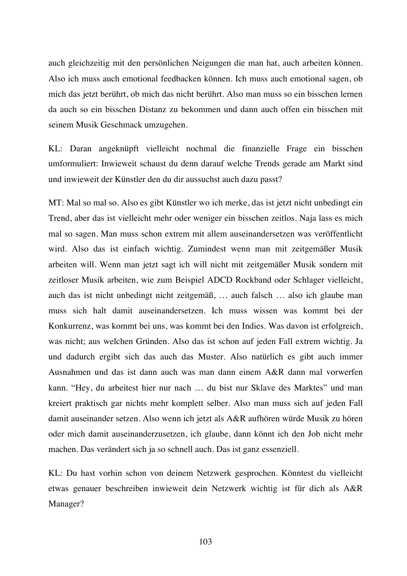auch gleichzeitig mit den persönlichen Neigungen die man hat, auch arbeiten können. Also ich muss auch emotional feedbacken können. Ich muss auch emotional sagen, ob mich das jetzt berührt, ob mich das nicht berührt. Also man muss so ein bisschen lernen da auch so ein bisschen Distanz zu bekommen und dann auch offen ein bisschen mit seinem Musik Geschmack umzugehen.

KL: Daran angeknüpft vielleicht nochmal die finanzielle Frage ein bisschen umformuliert: Inwieweit schaust du denn darauf welche Trends gerade am Markt sind und inwieweit der Künstler den du dir aussuchst auch dazu passt?

MT: Mal so mal so. Also es gibt Künstler wo ich merke, das ist jetzt nicht unbedingt ein Trend, aber das ist vielleicht mehr oder weniger ein bisschen zeitlos. Naja lass es mich mal so sagen. Man muss schon extrem mit allem auseinandersetzen was veröffentlicht wird. Also das ist einfach wichtig. Zumindest wenn man mit zeitgemäßer Musik arbeiten will. Wenn man jetzt sagt ich will nicht mit zeitgemäßer Musik sondern mit zeitloser Musik arbeiten, wie zum Beispiel ADCD Rockband oder Schlager vielleicht, auch das ist nicht unbedingt nicht zeitgemäß, … auch falsch … also ich glaube man muss sich halt damit auseinandersetzen. Ich muss wissen was kommt bei der Konkurrenz, was kommt bei uns, was kommt bei den Indies. Was davon ist erfolgreich, was nicht; aus welchen Gründen. Also das ist schon auf jeden Fall extrem wichtig. Ja und dadurch ergibt sich das auch das Muster. Also natürlich es gibt auch immer Ausnahmen und das ist dann auch was man dann einem A&R dann mal vorwerfen kann. "Hey, du arbeitest hier nur nach … du bist nur Sklave des Marktes" und man kreiert praktisch gar nichts mehr komplett selber. Also man muss sich auf jeden Fall damit auseinander setzen. Also wenn ich jetzt als A&R aufhören würde Musik zu hören oder mich damit auseinanderzusetzen, ich glaube, dann könnt ich den Job nicht mehr machen. Das verändert sich ja so schnell auch. Das ist ganz essenziell.

KL: Du hast vorhin schon von deinem Netzwerk gesprochen. Könntest du vielleicht etwas genauer beschreiben inwieweit dein Netzwerk wichtig ist für dich als A&R Manager?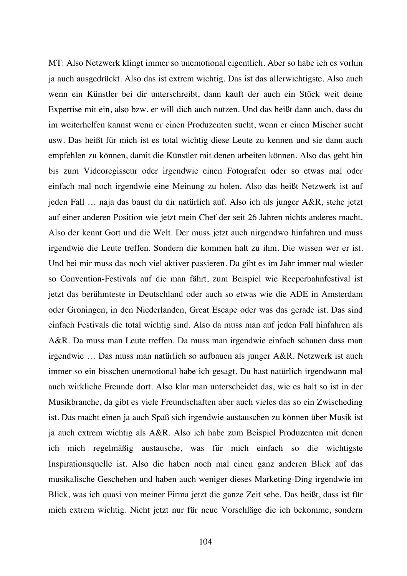MT: Also Netzwerk klingt immer so unemotional eigentlich. Aber so habe ich es vorhin ja auch ausgedrückt. Also das ist extrem wichtig. Das ist das allerwichtigste. Also auch wenn ein Künstler bei dir unterschreibt, dann kauft der auch ein Stück weit deine Expertise mit ein, also bzw. er will dich auch nutzen. Und das heißt dann auch, dass du im weiterhelfen kannst wenn er einen Produzenten sucht, wenn er einen Mischer sucht usw. Das heißt für mich ist es total wichtig diese Leute zu kennen und sie dann auch empfehlen zu können, damit die Künstler mit denen arbeiten können. Also das geht hin bis zum Videoregisseur oder irgendwie einen Fotografen oder so etwas mal oder einfach mal noch irgendwie eine Meinung zu holen. Also das heißt Netzwerk ist auf jeden Fall … naja das baust du dir natürlich auf. Also ich als junger A&R, stehe jetzt auf einer anderen Position wie jetzt mein Chef der seit 26 Jahren nichts anderes macht. Also der kennt Gott und die Welt. Der muss jetzt auch nirgendwo hinfahren und muss irgendwie die Leute treffen. Sondern die kommen halt zu ihm. Die wissen wer er ist. Und bei mir muss das noch viel aktiver passieren. Da gibt es im Jahr immer mal wieder so Convention-Festivals auf die man fährt, zum Beispiel wie Reeperbahnfestival ist jetzt das berühmteste in Deutschland oder auch so etwas wie die ADE in Amsterdam oder Groningen, in den Niederlanden, Great Escape oder was das gerade ist. Das sind einfach Festivals die total wichtig sind. Also da muss man auf jeden Fall hinfahren als A&R. Da muss man Leute treffen. Da muss man irgendwie einfach schauen dass man irgendwie … Das muss man natürlich so aufbauen als junger A&R. Netzwerk ist auch immer so ein bisschen unemotional habe ich gesagt. Du hast natürlich irgendwann mal auch wirkliche Freunde dort. Also klar man unterscheidet das, wie es halt so ist in der Musikbranche, da gibt es viele Freundschaften aber auch vieles das so ein Zwischeding ist. Das macht einen ja auch Spaß sich irgendwie austauschen zu können über Musik ist ja auch extrem wichtig als A&R. Also ich habe zum Beispiel Produzenten mit denen ich mich regelmäßig austausche, was für mich einfach so die wichtigste Inspirationsquelle ist. Also die haben noch mal einen ganz anderen Blick auf das musikalische Geschehen und haben auch weniger dieses Marketing-Ding irgendwie im Blick, was ich quasi von meiner Firma jetzt die ganze Zeit sehe. Das heißt, dass ist für mich extrem wichtig. Nicht jetzt nur für neue Vorschläge die ich bekomme, sondern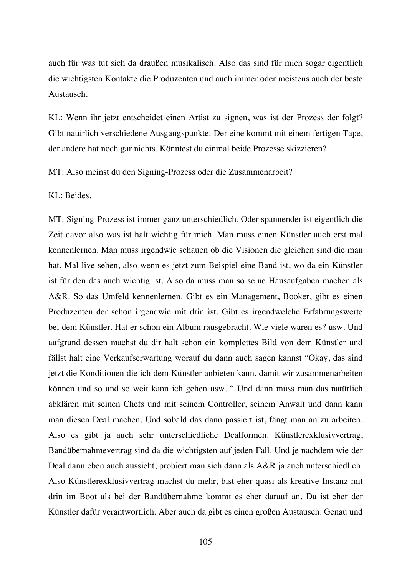auch für was tut sich da draußen musikalisch. Also das sind für mich sogar eigentlich die wichtigsten Kontakte die Produzenten und auch immer oder meistens auch der beste Austausch.

KL: Wenn ihr jetzt entscheidet einen Artist zu signen, was ist der Prozess der folgt? Gibt natürlich verschiedene Ausgangspunkte: Der eine kommt mit einem fertigen Tape, der andere hat noch gar nichts. Könntest du einmal beide Prozesse skizzieren?

MT: Also meinst du den Signing-Prozess oder die Zusammenarbeit?

KL: Beides.

MT: Signing-Prozess ist immer ganz unterschiedlich. Oder spannender ist eigentlich die Zeit davor also was ist halt wichtig für mich. Man muss einen Künstler auch erst mal kennenlernen. Man muss irgendwie schauen ob die Visionen die gleichen sind die man hat. Mal live sehen, also wenn es jetzt zum Beispiel eine Band ist, wo da ein Künstler ist für den das auch wichtig ist. Also da muss man so seine Hausaufgaben machen als A&R. So das Umfeld kennenlernen. Gibt es ein Management, Booker, gibt es einen Produzenten der schon irgendwie mit drin ist. Gibt es irgendwelche Erfahrungswerte bei dem Künstler. Hat er schon ein Album rausgebracht. Wie viele waren es? usw. Und aufgrund dessen machst du dir halt schon ein komplettes Bild von dem Künstler und fällst halt eine Verkaufserwartung worauf du dann auch sagen kannst "Okay, das sind jetzt die Konditionen die ich dem Künstler anbieten kann, damit wir zusammenarbeiten können und so und so weit kann ich gehen usw. " Und dann muss man das natürlich abklären mit seinen Chefs und mit seinem Controller, seinem Anwalt und dann kann man diesen Deal machen. Und sobald das dann passiert ist, fängt man an zu arbeiten. Also es gibt ja auch sehr unterschiedliche Dealformen. Künstlerexklusivvertrag, Bandübernahmevertrag sind da die wichtigsten auf jeden Fall. Und je nachdem wie der Deal dann eben auch aussieht, probiert man sich dann als A&R ja auch unterschiedlich. Also Künstlerexklusivvertrag machst du mehr, bist eher quasi als kreative Instanz mit drin im Boot als bei der Bandübernahme kommt es eher darauf an. Da ist eher der Künstler dafür verantwortlich. Aber auch da gibt es einen großen Austausch. Genau und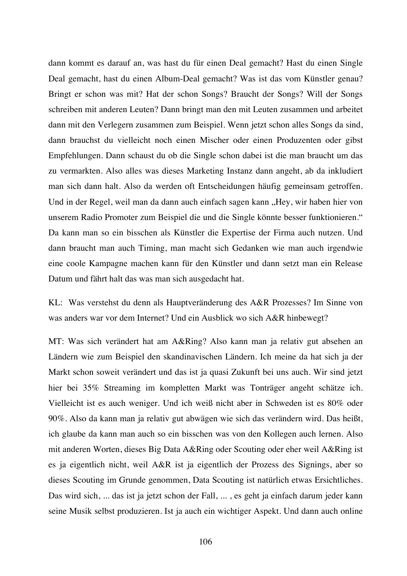dann kommt es darauf an, was hast du für einen Deal gemacht? Hast du einen Single Deal gemacht, hast du einen Album-Deal gemacht? Was ist das vom Künstler genau? Bringt er schon was mit? Hat der schon Songs? Braucht der Songs? Will der Songs schreiben mit anderen Leuten? Dann bringt man den mit Leuten zusammen und arbeitet dann mit den Verlegern zusammen zum Beispiel. Wenn jetzt schon alles Songs da sind, dann brauchst du vielleicht noch einen Mischer oder einen Produzenten oder gibst Empfehlungen. Dann schaust du ob die Single schon dabei ist die man braucht um das zu vermarkten. Also alles was dieses Marketing Instanz dann angeht, ab da inkludiert man sich dann halt. Also da werden oft Entscheidungen häufig gemeinsam getroffen. Und in der Regel, weil man da dann auch einfach sagen kann "Hey, wir haben hier von unserem Radio Promoter zum Beispiel die und die Single könnte besser funktionieren." Da kann man so ein bisschen als Künstler die Expertise der Firma auch nutzen. Und dann braucht man auch Timing, man macht sich Gedanken wie man auch irgendwie eine coole Kampagne machen kann für den Künstler und dann setzt man ein Release Datum und fährt halt das was man sich ausgedacht hat.

KL: Was verstehst du denn als Hauptveränderung des A&R Prozesses? Im Sinne von was anders war vor dem Internet? Und ein Ausblick wo sich A&R hinbewegt?

MT: Was sich verändert hat am A&Ring? Also kann man ja relativ gut absehen an Ländern wie zum Beispiel den skandinavischen Ländern. Ich meine da hat sich ja der Markt schon soweit verändert und das ist ja quasi Zukunft bei uns auch. Wir sind jetzt hier bei 35% Streaming im kompletten Markt was Tonträger angeht schätze ich. Vielleicht ist es auch weniger. Und ich weiß nicht aber in Schweden ist es 80% oder 90%. Also da kann man ja relativ gut abwägen wie sich das verändern wird. Das heißt, ich glaube da kann man auch so ein bisschen was von den Kollegen auch lernen. Also mit anderen Worten, dieses Big Data A&Ring oder Scouting oder eher weil A&Ring ist es ja eigentlich nicht, weil A&R ist ja eigentlich der Prozess des Signings, aber so dieses Scouting im Grunde genommen, Data Scouting ist natürlich etwas Ersichtliches. Das wird sich, ... das ist ja jetzt schon der Fall, ... , es geht ja einfach darum jeder kann seine Musik selbst produzieren. Ist ja auch ein wichtiger Aspekt. Und dann auch online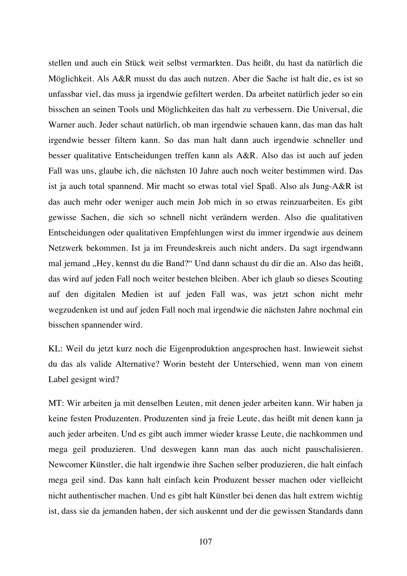stellen und auch ein Stück weit selbst vermarkten. Das heißt, du hast da natürlich die Möglichkeit. Als A&R musst du das auch nutzen. Aber die Sache ist halt die, es ist so unfassbar viel, das muss ja irgendwie gefiltert werden. Da arbeitet natürlich jeder so ein bisschen an seinen Tools und Möglichkeiten das halt zu verbessern. Die Universal, die Warner auch. Jeder schaut natürlich, ob man irgendwie schauen kann, das man das halt irgendwie besser filtern kann. So das man halt dann auch irgendwie schneller und besser qualitative Entscheidungen treffen kann als A&R. Also das ist auch auf jeden Fall was uns, glaube ich, die nächsten 10 Jahre auch noch weiter bestimmen wird. Das ist ja auch total spannend. Mir macht so etwas total viel Spaß. Also als Jung-A&R ist das auch mehr oder weniger auch mein Job mich in so etwas reinzuarbeiten. Es gibt gewisse Sachen, die sich so schnell nicht verändern werden. Also die qualitativen Entscheidungen oder qualitativen Empfehlungen wirst du immer irgendwie aus deinem Netzwerk bekommen. Ist ja im Freundeskreis auch nicht anders. Da sagt irgendwann mal jemand "Hey, kennst du die Band?" Und dann schaust du dir die an. Also das heißt, das wird auf jeden Fall noch weiter bestehen bleiben. Aber ich glaub so dieses Scouting auf den digitalen Medien ist auf jeden Fall was, was jetzt schon nicht mehr wegzudenken ist und auf jeden Fall noch mal irgendwie die nächsten Jahre nochmal ein bisschen spannender wird.

KL: Weil du jetzt kurz noch die Eigenproduktion angesprochen hast. Inwieweit siehst du das als valide Alternative? Worin besteht der Unterschied, wenn man von einem Label gesignt wird?

MT: Wir arbeiten ja mit denselben Leuten, mit denen jeder arbeiten kann. Wir haben ja keine festen Produzenten. Produzenten sind ja freie Leute, das heißt mit denen kann ja auch jeder arbeiten. Und es gibt auch immer wieder krasse Leute, die nachkommen und mega geil produzieren. Und deswegen kann man das auch nicht pauschalisieren. Newcomer Künstler, die halt irgendwie ihre Sachen selber produzieren, die halt einfach mega geil sind. Das kann halt einfach kein Produzent besser machen oder vielleicht nicht authentischer machen. Und es gibt halt Künstler bei denen das halt extrem wichtig ist, dass sie da jemanden haben, der sich auskennt und der die gewissen Standards dann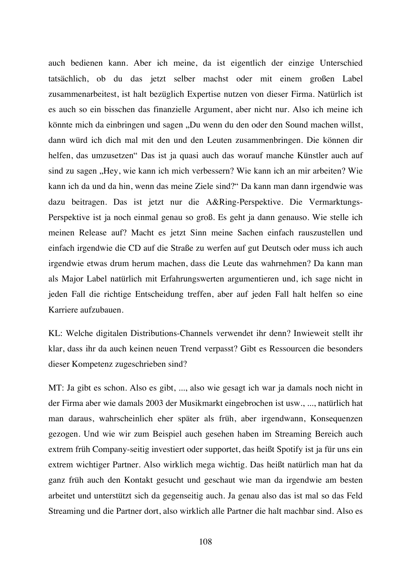auch bedienen kann. Aber ich meine, da ist eigentlich der einzige Unterschied tatsächlich, ob du das jetzt selber machst oder mit einem großen Label zusammenarbeitest, ist halt bezüglich Expertise nutzen von dieser Firma. Natürlich ist es auch so ein bisschen das finanzielle Argument, aber nicht nur. Also ich meine ich könnte mich da einbringen und sagen "Du wenn du den oder den Sound machen willst, dann würd ich dich mal mit den und den Leuten zusammenbringen. Die können dir helfen, das umzusetzen" Das ist ja quasi auch das worauf manche Künstler auch auf sind zu sagen "Hey, wie kann ich mich verbessern? Wie kann ich an mir arbeiten? Wie kann ich da und da hin, wenn das meine Ziele sind?" Da kann man dann irgendwie was dazu beitragen. Das ist jetzt nur die A&Ring-Perspektive. Die Vermarktungs-Perspektive ist ja noch einmal genau so groß. Es geht ja dann genauso. Wie stelle ich meinen Release auf? Macht es jetzt Sinn meine Sachen einfach rauszustellen und einfach irgendwie die CD auf die Straße zu werfen auf gut Deutsch oder muss ich auch irgendwie etwas drum herum machen, dass die Leute das wahrnehmen? Da kann man als Major Label natürlich mit Erfahrungswerten argumentieren und, ich sage nicht in jeden Fall die richtige Entscheidung treffen, aber auf jeden Fall halt helfen so eine Karriere aufzubauen.

KL: Welche digitalen Distributions-Channels verwendet ihr denn? Inwieweit stellt ihr klar, dass ihr da auch keinen neuen Trend verpasst? Gibt es Ressourcen die besonders dieser Kompetenz zugeschrieben sind?

MT: Ja gibt es schon. Also es gibt, ..., also wie gesagt ich war ja damals noch nicht in der Firma aber wie damals 2003 der Musikmarkt eingebrochen ist usw., ..., natürlich hat man daraus, wahrscheinlich eher später als früh, aber irgendwann, Konsequenzen gezogen. Und wie wir zum Beispiel auch gesehen haben im Streaming Bereich auch extrem früh Company-seitig investiert oder supportet, das heißt Spotify ist ja für uns ein extrem wichtiger Partner. Also wirklich mega wichtig. Das heißt natürlich man hat da ganz früh auch den Kontakt gesucht und geschaut wie man da irgendwie am besten arbeitet und unterstützt sich da gegenseitig auch. Ja genau also das ist mal so das Feld Streaming und die Partner dort, also wirklich alle Partner die halt machbar sind. Also es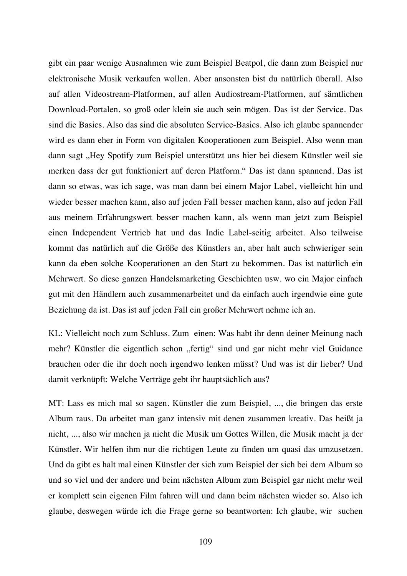gibt ein paar wenige Ausnahmen wie zum Beispiel Beatpol, die dann zum Beispiel nur elektronische Musik verkaufen wollen. Aber ansonsten bist du natürlich überall. Also auf allen Videostream-Platformen, auf allen Audiostream-Platformen, auf sämtlichen Download-Portalen, so groß oder klein sie auch sein mögen. Das ist der Service. Das sind die Basics. Also das sind die absoluten Service-Basics. Also ich glaube spannender wird es dann eher in Form von digitalen Kooperationen zum Beispiel. Also wenn man dann sagt "Hey Spotify zum Beispiel unterstützt uns hier bei diesem Künstler weil sie merken dass der gut funktioniert auf deren Platform." Das ist dann spannend. Das ist dann so etwas, was ich sage, was man dann bei einem Major Label, vielleicht hin und wieder besser machen kann, also auf jeden Fall besser machen kann, also auf jeden Fall aus meinem Erfahrungswert besser machen kann, als wenn man jetzt zum Beispiel einen Independent Vertrieb hat und das Indie Label-seitig arbeitet. Also teilweise kommt das natürlich auf die Größe des Künstlers an, aber halt auch schwieriger sein kann da eben solche Kooperationen an den Start zu bekommen. Das ist natürlich ein Mehrwert. So diese ganzen Handelsmarketing Geschichten usw. wo ein Major einfach gut mit den Händlern auch zusammenarbeitet und da einfach auch irgendwie eine gute Beziehung da ist. Das ist auf jeden Fall ein großer Mehrwert nehme ich an.

KL: Vielleicht noch zum Schluss. Zum einen: Was habt ihr denn deiner Meinung nach mehr? Künstler die eigentlich schon "fertig" sind und gar nicht mehr viel Guidance brauchen oder die ihr doch noch irgendwo lenken müsst? Und was ist dir lieber? Und damit verknüpft: Welche Verträge gebt ihr hauptsächlich aus?

MT: Lass es mich mal so sagen. Künstler die zum Beispiel, ..., die bringen das erste Album raus. Da arbeitet man ganz intensiv mit denen zusammen kreativ. Das heißt ja nicht, ..., also wir machen ja nicht die Musik um Gottes Willen, die Musik macht ja der Künstler. Wir helfen ihm nur die richtigen Leute zu finden um quasi das umzusetzen. Und da gibt es halt mal einen Künstler der sich zum Beispiel der sich bei dem Album so und so viel und der andere und beim nächsten Album zum Beispiel gar nicht mehr weil er komplett sein eigenen Film fahren will und dann beim nächsten wieder so. Also ich glaube, deswegen würde ich die Frage gerne so beantworten: Ich glaube, wir suchen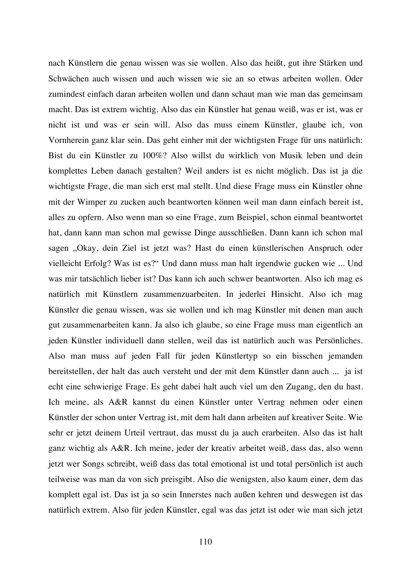nach Künstlern die genau wissen was sie wollen. Also das heißt, gut ihre Stärken und Schwächen auch wissen und auch wissen wie sie an so etwas arbeiten wollen. Oder zumindest einfach daran arbeiten wollen und dann schaut man wie man das gemeinsam macht. Das ist extrem wichtig. Also das ein Künstler hat genau weiß, was er ist, was er nicht ist und was er sein will. Also das muss einem Künstler, glaube ich, von Vornherein ganz klar sein. Das geht einher mit der wichtigsten Frage für uns natürlich: Bist du ein Künstler zu 100%? Also willst du wirklich von Musik leben und dein komplettes Leben danach gestalten? Weil anders ist es nicht möglich. Das ist ja die wichtigste Frage, die man sich erst mal stellt. Und diese Frage muss ein Künstler ohne mit der Wimper zu zucken auch beantworten können weil man dann einfach bereit ist, alles zu opfern. Also wenn man so eine Frage, zum Beispiel, schon einmal beantwortet hat, dann kann man schon mal gewisse Dinge ausschließen. Dann kann ich schon mal sagen "Okay, dein Ziel ist jetzt was? Hast du einen künstlerischen Anspruch oder vielleicht Erfolg? Was ist es?" Und dann muss man halt irgendwie gucken wie ... Und was mir tatsächlich lieber ist? Das kann ich auch schwer beantworten. Also ich mag es natürlich mit Künstlern zusammenzuarbeiten. In jederlei Hinsicht. Also ich mag Künstler die genau wissen, was sie wollen und ich mag Künstler mit denen man auch gut zusammenarbeiten kann. Ja also ich glaube, so eine Frage muss man eigentlich an jeden Künstler individuell dann stellen, weil das ist natürlich auch was Persönliches. Also man muss auf jeden Fall für jeden Künstlertyp so ein bisschen jemanden bereitstellen, der halt das auch versteht und der mit dem Künstler dann auch ... ja ist echt eine schwierige Frage. Es geht dabei halt auch viel um den Zugang, den du hast. Ich meine, als A&R kannst du einen Künstler unter Vertrag nehmen oder einen Künstler der schon unter Vertrag ist, mit dem halt dann arbeiten auf kreativer Seite. Wie sehr er jetzt deinem Urteil vertraut, das musst du ja auch erarbeiten. Also das ist halt ganz wichtig als A&R. Ich meine, jeder der kreativ arbeitet weiß, dass das, also wenn jetzt wer Songs schreibt, weiß dass das total emotional ist und total persönlich ist auch teilweise was man da von sich preisgibt. Also die wenigsten, also kaum einer, dem das komplett egal ist. Das ist ja so sein Innerstes nach außen kehren und deswegen ist das natürlich extrem. Also für jeden Künstler, egal was das jetzt ist oder wie man sich jetzt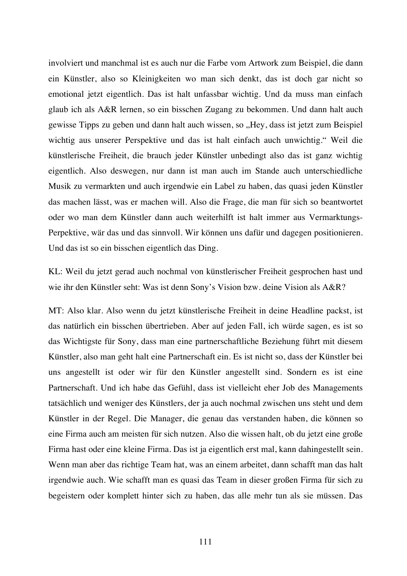involviert und manchmal ist es auch nur die Farbe vom Artwork zum Beispiel, die dann ein Künstler, also so Kleinigkeiten wo man sich denkt, das ist doch gar nicht so emotional jetzt eigentlich. Das ist halt unfassbar wichtig. Und da muss man einfach glaub ich als A&R lernen, so ein bisschen Zugang zu bekommen. Und dann halt auch gewisse Tipps zu geben und dann halt auch wissen, so "Hey, dass ist jetzt zum Beispiel wichtig aus unserer Perspektive und das ist halt einfach auch unwichtig." Weil die künstlerische Freiheit, die brauch jeder Künstler unbedingt also das ist ganz wichtig eigentlich. Also deswegen, nur dann ist man auch im Stande auch unterschiedliche Musik zu vermarkten und auch irgendwie ein Label zu haben, das quasi jeden Künstler das machen lässt, was er machen will. Also die Frage, die man für sich so beantwortet oder wo man dem Künstler dann auch weiterhilft ist halt immer aus Vermarktungs-Perpektive, wär das und das sinnvoll. Wir können uns dafür und dagegen positionieren. Und das ist so ein bisschen eigentlich das Ding.

KL: Weil du jetzt gerad auch nochmal von künstlerischer Freiheit gesprochen hast und wie ihr den Künstler seht: Was ist denn Sony's Vision bzw. deine Vision als A&R?

MT: Also klar. Also wenn du jetzt künstlerische Freiheit in deine Headline packst, ist das natürlich ein bisschen übertrieben. Aber auf jeden Fall, ich würde sagen, es ist so das Wichtigste für Sony, dass man eine partnerschaftliche Beziehung führt mit diesem Künstler, also man geht halt eine Partnerschaft ein. Es ist nicht so, dass der Künstler bei uns angestellt ist oder wir für den Künstler angestellt sind. Sondern es ist eine Partnerschaft. Und ich habe das Gefühl, dass ist vielleicht eher Job des Managements tatsächlich und weniger des Künstlers, der ja auch nochmal zwischen uns steht und dem Künstler in der Regel. Die Manager, die genau das verstanden haben, die können so eine Firma auch am meisten für sich nutzen. Also die wissen halt, ob du jetzt eine große Firma hast oder eine kleine Firma. Das ist ja eigentlich erst mal, kann dahingestellt sein. Wenn man aber das richtige Team hat, was an einem arbeitet, dann schafft man das halt irgendwie auch. Wie schafft man es quasi das Team in dieser großen Firma für sich zu begeistern oder komplett hinter sich zu haben, das alle mehr tun als sie müssen. Das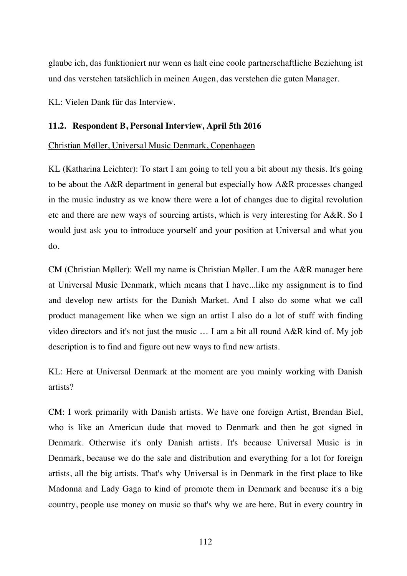glaube ich, das funktioniert nur wenn es halt eine coole partnerschaftliche Beziehung ist und das verstehen tatsächlich in meinen Augen, das verstehen die guten Manager.

KL: Vielen Dank für das Interview.

# **11.2. Respondent B, Personal Interview, April 5th 2016**

### Christian Møller, Universal Music Denmark, Copenhagen

KL (Katharina Leichter): To start I am going to tell you a bit about my thesis. It's going to be about the A&R department in general but especially how A&R processes changed in the music industry as we know there were a lot of changes due to digital revolution etc and there are new ways of sourcing artists, which is very interesting for A&R. So I would just ask you to introduce yourself and your position at Universal and what you do.

CM (Christian Møller): Well my name is Christian Møller. I am the A&R manager here at Universal Music Denmark, which means that I have...like my assignment is to find and develop new artists for the Danish Market. And I also do some what we call product management like when we sign an artist I also do a lot of stuff with finding video directors and it's not just the music … I am a bit all round A&R kind of. My job description is to find and figure out new ways to find new artists.

KL: Here at Universal Denmark at the moment are you mainly working with Danish artists?

CM: I work primarily with Danish artists. We have one foreign Artist, Brendan Biel, who is like an American dude that moved to Denmark and then he got signed in Denmark. Otherwise it's only Danish artists. It's because Universal Music is in Denmark, because we do the sale and distribution and everything for a lot for foreign artists, all the big artists. That's why Universal is in Denmark in the first place to like Madonna and Lady Gaga to kind of promote them in Denmark and because it's a big country, people use money on music so that's why we are here. But in every country in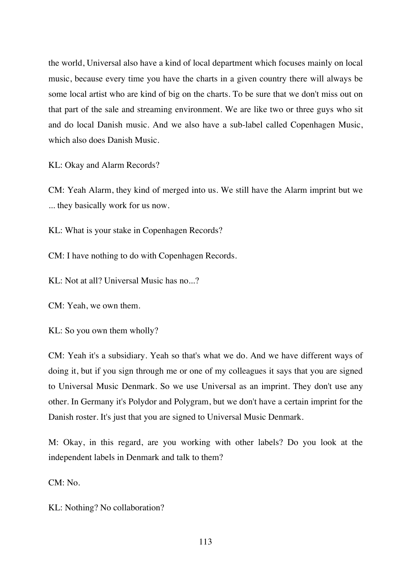the world, Universal also have a kind of local department which focuses mainly on local music, because every time you have the charts in a given country there will always be some local artist who are kind of big on the charts. To be sure that we don't miss out on that part of the sale and streaming environment. We are like two or three guys who sit and do local Danish music. And we also have a sub-label called Copenhagen Music, which also does Danish Music.

KL: Okay and Alarm Records?

CM: Yeah Alarm, they kind of merged into us. We still have the Alarm imprint but we ... they basically work for us now.

KL: What is your stake in Copenhagen Records?

CM: I have nothing to do with Copenhagen Records.

KL: Not at all? Universal Music has no...?

CM: Yeah, we own them.

KL: So you own them wholly?

CM: Yeah it's a subsidiary. Yeah so that's what we do. And we have different ways of doing it, but if you sign through me or one of my colleagues it says that you are signed to Universal Music Denmark. So we use Universal as an imprint. They don't use any other. In Germany it's Polydor and Polygram, but we don't have a certain imprint for the Danish roster. It's just that you are signed to Universal Music Denmark.

M: Okay, in this regard, are you working with other labels? Do you look at the independent labels in Denmark and talk to them?

CM: No.

KL: Nothing? No collaboration?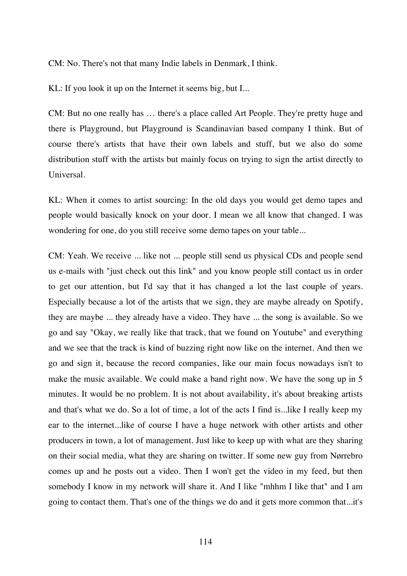CM: No. There's not that many Indie labels in Denmark, I think.

KL: If you look it up on the Internet it seems big, but I...

CM: But no one really has … there's a place called Art People. They're pretty huge and there is Playground, but Playground is Scandinavian based company I think. But of course there's artists that have their own labels and stuff, but we also do some distribution stuff with the artists but mainly focus on trying to sign the artist directly to Universal.

KL: When it comes to artist sourcing: In the old days you would get demo tapes and people would basically knock on your door. I mean we all know that changed. I was wondering for one, do you still receive some demo tapes on your table...

CM: Yeah. We receive ... like not ... people still send us physical CDs and people send us e-mails with "just check out this link" and you know people still contact us in order to get our attention, but I'd say that it has changed a lot the last couple of years. Especially because a lot of the artists that we sign, they are maybe already on Spotify, they are maybe ... they already have a video. They have ... the song is available. So we go and say "Okay, we really like that track, that we found on Youtube" and everything and we see that the track is kind of buzzing right now like on the internet. And then we go and sign it, because the record companies, like our main focus nowadays isn't to make the music available. We could make a band right now. We have the song up in 5 minutes. It would be no problem. It is not about availability, it's about breaking artists and that's what we do. So a lot of time, a lot of the acts I find is...like I really keep my ear to the internet...like of course I have a huge network with other artists and other producers in town, a lot of management. Just like to keep up with what are they sharing on their social media, what they are sharing on twitter. If some new guy from Nørrebro comes up and he posts out a video. Then I won't get the video in my feed, but then somebody I know in my network will share it. And I like "mhhm I like that" and I am going to contact them. That's one of the things we do and it gets more common that...it's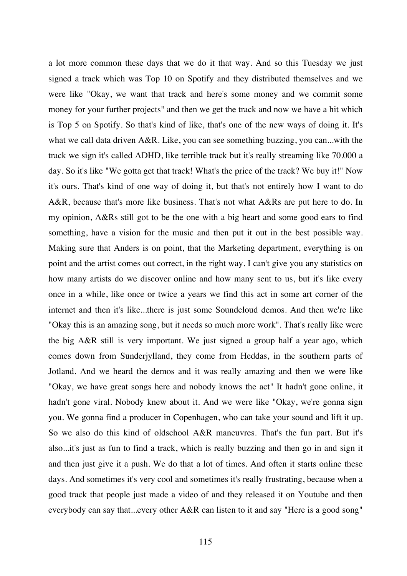a lot more common these days that we do it that way. And so this Tuesday we just signed a track which was Top 10 on Spotify and they distributed themselves and we were like "Okay, we want that track and here's some money and we commit some money for your further projects" and then we get the track and now we have a hit which is Top 5 on Spotify. So that's kind of like, that's one of the new ways of doing it. It's what we call data driven A&R. Like, you can see something buzzing, you can...with the track we sign it's called ADHD, like terrible track but it's really streaming like 70.000 a day. So it's like "We gotta get that track! What's the price of the track? We buy it!" Now it's ours. That's kind of one way of doing it, but that's not entirely how I want to do A&R, because that's more like business. That's not what A&Rs are put here to do. In my opinion, A&Rs still got to be the one with a big heart and some good ears to find something, have a vision for the music and then put it out in the best possible way. Making sure that Anders is on point, that the Marketing department, everything is on point and the artist comes out correct, in the right way. I can't give you any statistics on how many artists do we discover online and how many sent to us, but it's like every once in a while, like once or twice a years we find this act in some art corner of the internet and then it's like...there is just some Soundcloud demos. And then we're like "Okay this is an amazing song, but it needs so much more work". That's really like were the big A&R still is very important. We just signed a group half a year ago, which comes down from Sunderjylland, they come from Heddas, in the southern parts of Jotland. And we heard the demos and it was really amazing and then we were like "Okay, we have great songs here and nobody knows the act" It hadn't gone online, it hadn't gone viral. Nobody knew about it. And we were like "Okay, we're gonna sign you. We gonna find a producer in Copenhagen, who can take your sound and lift it up. So we also do this kind of oldschool A&R maneuvres. That's the fun part. But it's also...it's just as fun to find a track, which is really buzzing and then go in and sign it and then just give it a push. We do that a lot of times. And often it starts online these days. And sometimes it's very cool and sometimes it's really frustrating, because when a good track that people just made a video of and they released it on Youtube and then everybody can say that...every other A&R can listen to it and say "Here is a good song"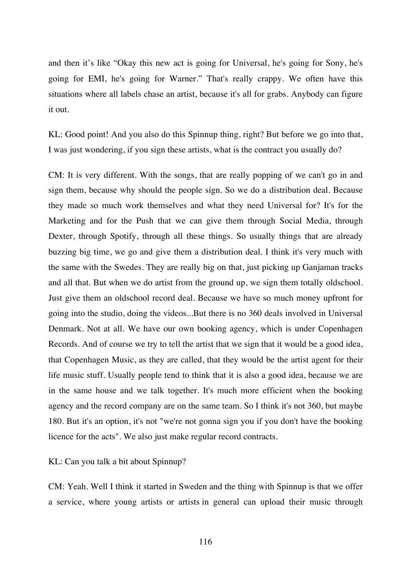and then it's like "Okay this new act is going for Universal, he's going for Sony, he's going for EMI, he's going for Warner." That's really crappy. We often have this situations where all labels chase an artist, because it's all for grabs. Anybody can figure it out.

KL: Good point! And you also do this Spinnup thing, right? But before we go into that, I was just wondering, if you sign these artists, what is the contract you usually do?

CM: It is very different. With the songs, that are really popping of we can't go in and sign them, because why should the people sign. So we do a distribution deal. Because they made so much work themselves and what they need Universal for? It's for the Marketing and for the Push that we can give them through Social Media, through Dexter, through Spotify, through all these things. So usually things that are already buzzing big time, we go and give them a distribution deal. I think it's very much with the same with the Swedes. They are really big on that, just picking up Ganjaman tracks and all that. But when we do artist from the ground up, we sign them totally oldschool. Just give them an oldschool record deal. Because we have so much money upfront for going into the studio, doing the videos...But there is no 360 deals involved in Universal Denmark. Not at all. We have our own booking agency, which is under Copenhagen Records. And of course we try to tell the artist that we sign that it would be a good idea, that Copenhagen Music, as they are called, that they would be the artist agent for their life music stuff. Usually people tend to think that it is also a good idea, because we are in the same house and we talk together. It's much more efficient when the booking agency and the record company are on the same team. So I think it's not 360, but maybe 180. But it's an option, it's not "we're not gonna sign you if you don't have the booking licence for the acts". We also just make regular record contracts.

KL: Can you talk a bit about Spinnup?

CM: Yeah. Well I think it started in Sweden and the thing with Spinnup is that we offer a service, where young artists or artists in general can upload their music through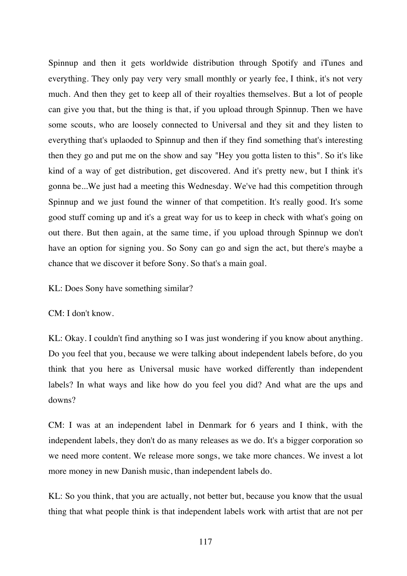Spinnup and then it gets worldwide distribution through Spotify and iTunes and everything. They only pay very very small monthly or yearly fee, I think, it's not very much. And then they get to keep all of their royalties themselves. But a lot of people can give you that, but the thing is that, if you upload through Spinnup. Then we have some scouts, who are loosely connected to Universal and they sit and they listen to everything that's uplaoded to Spinnup and then if they find something that's interesting then they go and put me on the show and say "Hey you gotta listen to this". So it's like kind of a way of get distribution, get discovered. And it's pretty new, but I think it's gonna be...We just had a meeting this Wednesday. We've had this competition through Spinnup and we just found the winner of that competition. It's really good. It's some good stuff coming up and it's a great way for us to keep in check with what's going on out there. But then again, at the same time, if you upload through Spinnup we don't have an option for signing you. So Sony can go and sign the act, but there's maybe a chance that we discover it before Sony. So that's a main goal.

KL: Does Sony have something similar?

CM: I don't know.

KL: Okay. I couldn't find anything so I was just wondering if you know about anything. Do you feel that you, because we were talking about independent labels before, do you think that you here as Universal music have worked differently than independent labels? In what ways and like how do you feel you did? And what are the ups and downs?

CM: I was at an independent label in Denmark for 6 years and I think, with the independent labels, they don't do as many releases as we do. It's a bigger corporation so we need more content. We release more songs, we take more chances. We invest a lot more money in new Danish music, than independent labels do.

KL: So you think, that you are actually, not better but, because you know that the usual thing that what people think is that independent labels work with artist that are not per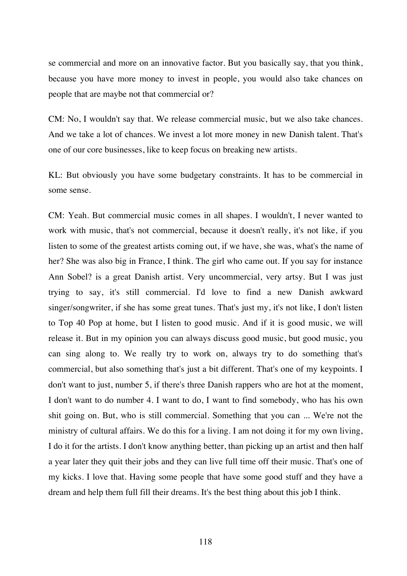se commercial and more on an innovative factor. But you basically say, that you think, because you have more money to invest in people, you would also take chances on people that are maybe not that commercial or?

CM: No, I wouldn't say that. We release commercial music, but we also take chances. And we take a lot of chances. We invest a lot more money in new Danish talent. That's one of our core businesses, like to keep focus on breaking new artists.

KL: But obviously you have some budgetary constraints. It has to be commercial in some sense.

CM: Yeah. But commercial music comes in all shapes. I wouldn't, I never wanted to work with music, that's not commercial, because it doesn't really, it's not like, if you listen to some of the greatest artists coming out, if we have, she was, what's the name of her? She was also big in France, I think. The girl who came out. If you say for instance Ann Sobel? is a great Danish artist. Very uncommercial, very artsy. But I was just trying to say, it's still commercial. I'd love to find a new Danish awkward singer/songwriter, if she has some great tunes. That's just my, it's not like, I don't listen to Top 40 Pop at home, but I listen to good music. And if it is good music, we will release it. But in my opinion you can always discuss good music, but good music, you can sing along to. We really try to work on, always try to do something that's commercial, but also something that's just a bit different. That's one of my keypoints. I don't want to just, number 5, if there's three Danish rappers who are hot at the moment, I don't want to do number 4. I want to do, I want to find somebody, who has his own shit going on. But, who is still commercial. Something that you can ... We're not the ministry of cultural affairs. We do this for a living. I am not doing it for my own living, I do it for the artists. I don't know anything better, than picking up an artist and then half a year later they quit their jobs and they can live full time off their music. That's one of my kicks. I love that. Having some people that have some good stuff and they have a dream and help them full fill their dreams. It's the best thing about this job I think.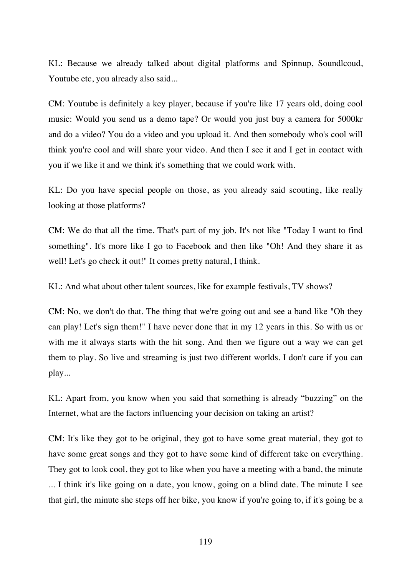KL: Because we already talked about digital platforms and Spinnup, Soundlcoud, Youtube etc, you already also said...

CM: Youtube is definitely a key player, because if you're like 17 years old, doing cool music: Would you send us a demo tape? Or would you just buy a camera for 5000kr and do a video? You do a video and you upload it. And then somebody who's cool will think you're cool and will share your video. And then I see it and I get in contact with you if we like it and we think it's something that we could work with.

KL: Do you have special people on those, as you already said scouting, like really looking at those platforms?

CM: We do that all the time. That's part of my job. It's not like "Today I want to find something". It's more like I go to Facebook and then like "Oh! And they share it as well! Let's go check it out!" It comes pretty natural, I think.

KL: And what about other talent sources, like for example festivals, TV shows?

CM: No, we don't do that. The thing that we're going out and see a band like "Oh they can play! Let's sign them!" I have never done that in my 12 years in this. So with us or with me it always starts with the hit song. And then we figure out a way we can get them to play. So live and streaming is just two different worlds. I don't care if you can play...

KL: Apart from, you know when you said that something is already "buzzing" on the Internet, what are the factors influencing your decision on taking an artist?

CM: It's like they got to be original, they got to have some great material, they got to have some great songs and they got to have some kind of different take on everything. They got to look cool, they got to like when you have a meeting with a band, the minute ... I think it's like going on a date, you know, going on a blind date. The minute I see that girl, the minute she steps off her bike, you know if you're going to, if it's going be a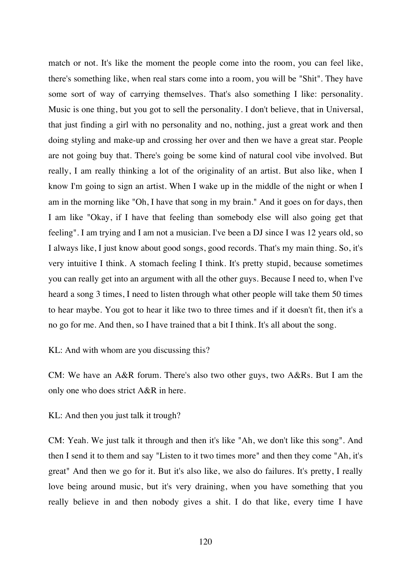match or not. It's like the moment the people come into the room, you can feel like, there's something like, when real stars come into a room, you will be "Shit". They have some sort of way of carrying themselves. That's also something I like: personality. Music is one thing, but you got to sell the personality. I don't believe, that in Universal, that just finding a girl with no personality and no, nothing, just a great work and then doing styling and make-up and crossing her over and then we have a great star. People are not going buy that. There's going be some kind of natural cool vibe involved. But really, I am really thinking a lot of the originality of an artist. But also like, when I know I'm going to sign an artist. When I wake up in the middle of the night or when I am in the morning like "Oh, I have that song in my brain." And it goes on for days, then I am like "Okay, if I have that feeling than somebody else will also going get that feeling". I am trying and I am not a musician. I've been a DJ since I was 12 years old, so I always like, I just know about good songs, good records. That's my main thing. So, it's very intuitive I think. A stomach feeling I think. It's pretty stupid, because sometimes you can really get into an argument with all the other guys. Because I need to, when I've heard a song 3 times, I need to listen through what other people will take them 50 times to hear maybe. You got to hear it like two to three times and if it doesn't fit, then it's a no go for me. And then, so I have trained that a bit I think. It's all about the song.

### KL: And with whom are you discussing this?

CM: We have an A&R forum. There's also two other guys, two A&Rs. But I am the only one who does strict A&R in here.

### KL: And then you just talk it trough?

CM: Yeah. We just talk it through and then it's like "Ah, we don't like this song". And then I send it to them and say "Listen to it two times more" and then they come "Ah, it's great" And then we go for it. But it's also like, we also do failures. It's pretty, I really love being around music, but it's very draining, when you have something that you really believe in and then nobody gives a shit. I do that like, every time I have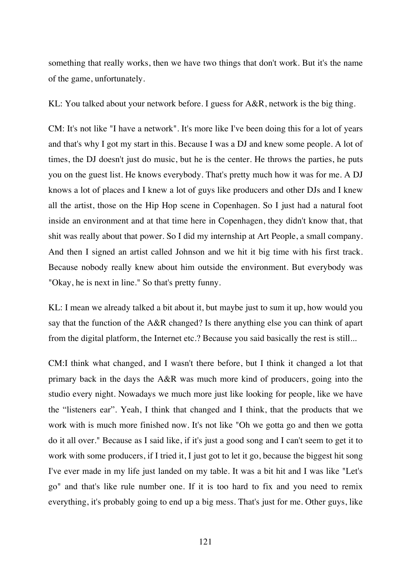something that really works, then we have two things that don't work. But it's the name of the game, unfortunately.

KL: You talked about your network before. I guess for A&R, network is the big thing.

CM: It's not like "I have a network". It's more like I've been doing this for a lot of years and that's why I got my start in this. Because I was a DJ and knew some people. A lot of times, the DJ doesn't just do music, but he is the center. He throws the parties, he puts you on the guest list. He knows everybody. That's pretty much how it was for me. A DJ knows a lot of places and I knew a lot of guys like producers and other DJs and I knew all the artist, those on the Hip Hop scene in Copenhagen. So I just had a natural foot inside an environment and at that time here in Copenhagen, they didn't know that, that shit was really about that power. So I did my internship at Art People, a small company. And then I signed an artist called Johnson and we hit it big time with his first track. Because nobody really knew about him outside the environment. But everybody was "Okay, he is next in line." So that's pretty funny.

KL: I mean we already talked a bit about it, but maybe just to sum it up, how would you say that the function of the A&R changed? Is there anything else you can think of apart from the digital platform, the Internet etc.? Because you said basically the rest is still...

CM:I think what changed, and I wasn't there before, but I think it changed a lot that primary back in the days the A&R was much more kind of producers, going into the studio every night. Nowadays we much more just like looking for people, like we have the "listeners ear". Yeah, I think that changed and I think, that the products that we work with is much more finished now. It's not like "Oh we gotta go and then we gotta do it all over." Because as I said like, if it's just a good song and I can't seem to get it to work with some producers, if I tried it, I just got to let it go, because the biggest hit song I've ever made in my life just landed on my table. It was a bit hit and I was like "Let's go" and that's like rule number one. If it is too hard to fix and you need to remix everything, it's probably going to end up a big mess. That's just for me. Other guys, like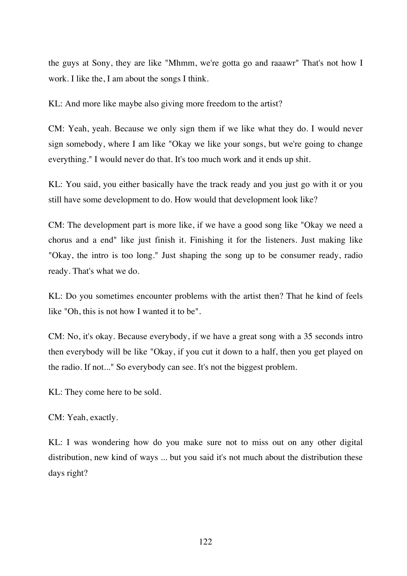the guys at Sony, they are like "Mhmm, we're gotta go and raaawr" That's not how I work. I like the, I am about the songs I think.

KL: And more like maybe also giving more freedom to the artist?

CM: Yeah, yeah. Because we only sign them if we like what they do. I would never sign somebody, where I am like "Okay we like your songs, but we're going to change everything." I would never do that. It's too much work and it ends up shit.

KL: You said, you either basically have the track ready and you just go with it or you still have some development to do. How would that development look like?

CM: The development part is more like, if we have a good song like "Okay we need a chorus and a end" like just finish it. Finishing it for the listeners. Just making like "Okay, the intro is too long." Just shaping the song up to be consumer ready, radio ready. That's what we do.

KL: Do you sometimes encounter problems with the artist then? That he kind of feels like "Oh, this is not how I wanted it to be".

CM: No, it's okay. Because everybody, if we have a great song with a 35 seconds intro then everybody will be like "Okay, if you cut it down to a half, then you get played on the radio. If not..." So everybody can see. It's not the biggest problem.

KL: They come here to be sold.

CM: Yeah, exactly.

KL: I was wondering how do you make sure not to miss out on any other digital distribution, new kind of ways ... but you said it's not much about the distribution these days right?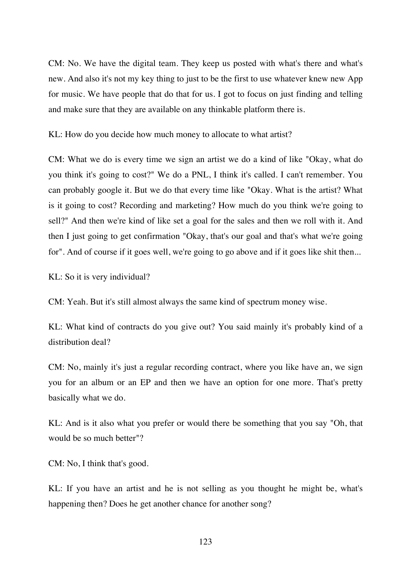CM: No. We have the digital team. They keep us posted with what's there and what's new. And also it's not my key thing to just to be the first to use whatever knew new App for music. We have people that do that for us. I got to focus on just finding and telling and make sure that they are available on any thinkable platform there is.

KL: How do you decide how much money to allocate to what artist?

CM: What we do is every time we sign an artist we do a kind of like "Okay, what do you think it's going to cost?" We do a PNL, I think it's called. I can't remember. You can probably google it. But we do that every time like "Okay. What is the artist? What is it going to cost? Recording and marketing? How much do you think we're going to sell?" And then we're kind of like set a goal for the sales and then we roll with it. And then I just going to get confirmation "Okay, that's our goal and that's what we're going for". And of course if it goes well, we're going to go above and if it goes like shit then...

KL: So it is very individual?

CM: Yeah. But it's still almost always the same kind of spectrum money wise.

KL: What kind of contracts do you give out? You said mainly it's probably kind of a distribution deal?

CM: No, mainly it's just a regular recording contract, where you like have an, we sign you for an album or an EP and then we have an option for one more. That's pretty basically what we do.

KL: And is it also what you prefer or would there be something that you say "Oh, that would be so much better"?

CM: No, I think that's good.

KL: If you have an artist and he is not selling as you thought he might be, what's happening then? Does he get another chance for another song?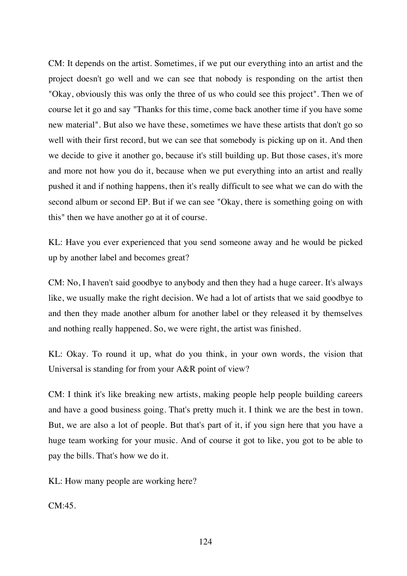CM: It depends on the artist. Sometimes, if we put our everything into an artist and the project doesn't go well and we can see that nobody is responding on the artist then "Okay, obviously this was only the three of us who could see this project". Then we of course let it go and say "Thanks for this time, come back another time if you have some new material". But also we have these, sometimes we have these artists that don't go so well with their first record, but we can see that somebody is picking up on it. And then we decide to give it another go, because it's still building up. But those cases, it's more and more not how you do it, because when we put everything into an artist and really pushed it and if nothing happens, then it's really difficult to see what we can do with the second album or second EP. But if we can see "Okay, there is something going on with this" then we have another go at it of course.

KL: Have you ever experienced that you send someone away and he would be picked up by another label and becomes great?

CM: No, I haven't said goodbye to anybody and then they had a huge career. It's always like, we usually make the right decision. We had a lot of artists that we said goodbye to and then they made another album for another label or they released it by themselves and nothing really happened. So, we were right, the artist was finished.

KL: Okay. To round it up, what do you think, in your own words, the vision that Universal is standing for from your A&R point of view?

CM: I think it's like breaking new artists, making people help people building careers and have a good business going. That's pretty much it. I think we are the best in town. But, we are also a lot of people. But that's part of it, if you sign here that you have a huge team working for your music. And of course it got to like, you got to be able to pay the bills. That's how we do it.

KL: How many people are working here?

 $CM:45$ .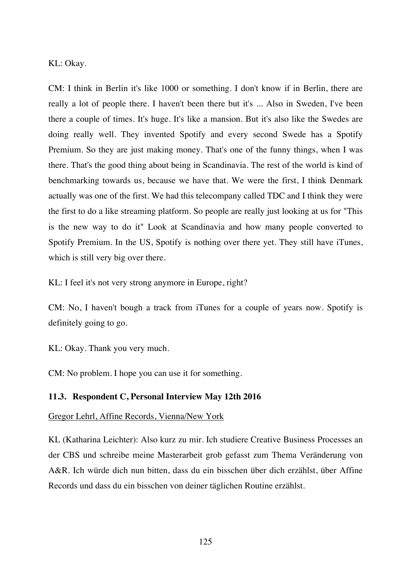KL: Okay.

CM: I think in Berlin it's like 1000 or something. I don't know if in Berlin, there are really a lot of people there. I haven't been there but it's ... Also in Sweden, I've been there a couple of times. It's huge. It's like a mansion. But it's also like the Swedes are doing really well. They invented Spotify and every second Swede has a Spotify Premium. So they are just making money. That's one of the funny things, when I was there. That's the good thing about being in Scandinavia. The rest of the world is kind of benchmarking towards us, because we have that. We were the first, I think Denmark actually was one of the first. We had this telecompany called TDC and I think they were the first to do a like streaming platform. So people are really just looking at us for "This is the new way to do it" Look at Scandinavia and how many people converted to Spotify Premium. In the US, Spotify is nothing over there yet. They still have iTunes, which is still very big over there.

KL: I feel it's not very strong anymore in Europe, right?

CM: No, I haven't bough a track from iTunes for a couple of years now. Spotify is definitely going to go.

KL: Okay. Thank you very much.

CM: No problem. I hope you can use it for something.

### **11.3. Respondent C, Personal Interview May 12th 2016**

Gregor Lehrl, Affine Records, Vienna/New York

KL (Katharina Leichter): Also kurz zu mir. Ich studiere Creative Business Processes an der CBS und schreibe meine Masterarbeit grob gefasst zum Thema Veränderung von A&R. Ich würde dich nun bitten, dass du ein bisschen über dich erzählst, über Affine Records und dass du ein bisschen von deiner täglichen Routine erzählst.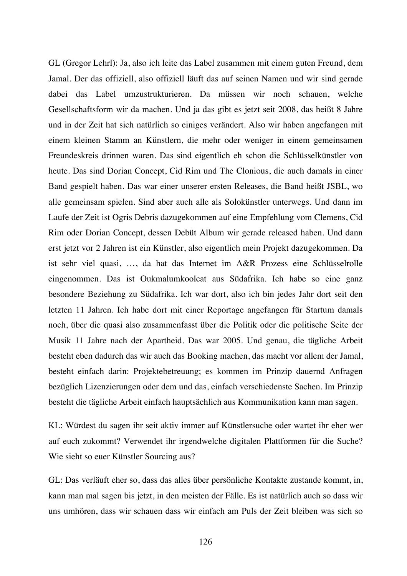GL (Gregor Lehrl): Ja, also ich leite das Label zusammen mit einem guten Freund, dem Jamal. Der das offiziell, also offiziell läuft das auf seinen Namen und wir sind gerade dabei das Label umzustrukturieren. Da müssen wir noch schauen, welche Gesellschaftsform wir da machen. Und ja das gibt es jetzt seit 2008, das heißt 8 Jahre und in der Zeit hat sich natürlich so einiges verändert. Also wir haben angefangen mit einem kleinen Stamm an Künstlern, die mehr oder weniger in einem gemeinsamen Freundeskreis drinnen waren. Das sind eigentlich eh schon die Schlüsselkünstler von heute. Das sind Dorian Concept, Cid Rim und The Clonious, die auch damals in einer Band gespielt haben. Das war einer unserer ersten Releases, die Band heißt JSBL, wo alle gemeinsam spielen. Sind aber auch alle als Solokünstler unterwegs. Und dann im Laufe der Zeit ist Ogris Debris dazugekommen auf eine Empfehlung vom Clemens, Cid Rim oder Dorian Concept, dessen Debüt Album wir gerade released haben. Und dann erst jetzt vor 2 Jahren ist ein Künstler, also eigentlich mein Projekt dazugekommen. Da ist sehr viel quasi, …, da hat das Internet im A&R Prozess eine Schlüsselrolle eingenommen. Das ist Oukmalumkoolcat aus Südafrika. Ich habe so eine ganz besondere Beziehung zu Südafrika. Ich war dort, also ich bin jedes Jahr dort seit den letzten 11 Jahren. Ich habe dort mit einer Reportage angefangen für Startum damals noch, über die quasi also zusammenfasst über die Politik oder die politische Seite der Musik 11 Jahre nach der Apartheid. Das war 2005. Und genau, die tägliche Arbeit besteht eben dadurch das wir auch das Booking machen, das macht vor allem der Jamal, besteht einfach darin: Projektebetreuung; es kommen im Prinzip dauernd Anfragen bezüglich Lizenzierungen oder dem und das, einfach verschiedenste Sachen. Im Prinzip besteht die tägliche Arbeit einfach hauptsächlich aus Kommunikation kann man sagen.

KL: Würdest du sagen ihr seit aktiv immer auf Künstlersuche oder wartet ihr eher wer auf euch zukommt? Verwendet ihr irgendwelche digitalen Plattformen für die Suche? Wie sieht so euer Künstler Sourcing aus?

GL: Das verläuft eher so, dass das alles über persönliche Kontakte zustande kommt, in, kann man mal sagen bis jetzt, in den meisten der Fälle. Es ist natürlich auch so dass wir uns umhören, dass wir schauen dass wir einfach am Puls der Zeit bleiben was sich so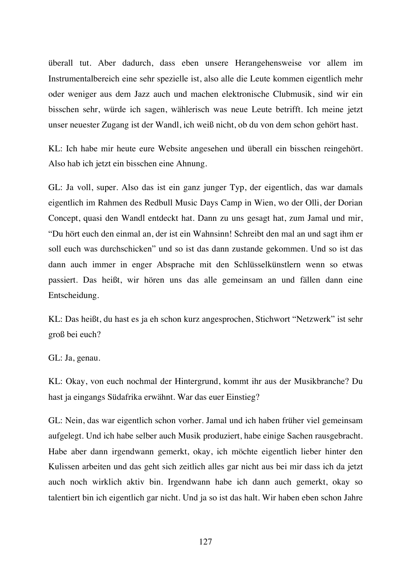überall tut. Aber dadurch, dass eben unsere Herangehensweise vor allem im Instrumentalbereich eine sehr spezielle ist, also alle die Leute kommen eigentlich mehr oder weniger aus dem Jazz auch und machen elektronische Clubmusik, sind wir ein bisschen sehr, würde ich sagen, wählerisch was neue Leute betrifft. Ich meine jetzt unser neuester Zugang ist der Wandl, ich weiß nicht, ob du von dem schon gehört hast.

KL: Ich habe mir heute eure Website angesehen und überall ein bisschen reingehört. Also hab ich jetzt ein bisschen eine Ahnung.

GL: Ja voll, super. Also das ist ein ganz junger Typ, der eigentlich, das war damals eigentlich im Rahmen des Redbull Music Days Camp in Wien, wo der Olli, der Dorian Concept, quasi den Wandl entdeckt hat. Dann zu uns gesagt hat, zum Jamal und mir, "Du hört euch den einmal an, der ist ein Wahnsinn! Schreibt den mal an und sagt ihm er soll euch was durchschicken" und so ist das dann zustande gekommen. Und so ist das dann auch immer in enger Absprache mit den Schlüsselkünstlern wenn so etwas passiert. Das heißt, wir hören uns das alle gemeinsam an und fällen dann eine Entscheidung.

KL: Das heißt, du hast es ja eh schon kurz angesprochen, Stichwort "Netzwerk" ist sehr groß bei euch?

#### GL: Ja, genau.

KL: Okay, von euch nochmal der Hintergrund, kommt ihr aus der Musikbranche? Du hast ja eingangs Südafrika erwähnt. War das euer Einstieg?

GL: Nein, das war eigentlich schon vorher. Jamal und ich haben früher viel gemeinsam aufgelegt. Und ich habe selber auch Musik produziert, habe einige Sachen rausgebracht. Habe aber dann irgendwann gemerkt, okay, ich möchte eigentlich lieber hinter den Kulissen arbeiten und das geht sich zeitlich alles gar nicht aus bei mir dass ich da jetzt auch noch wirklich aktiv bin. Irgendwann habe ich dann auch gemerkt, okay so talentiert bin ich eigentlich gar nicht. Und ja so ist das halt. Wir haben eben schon Jahre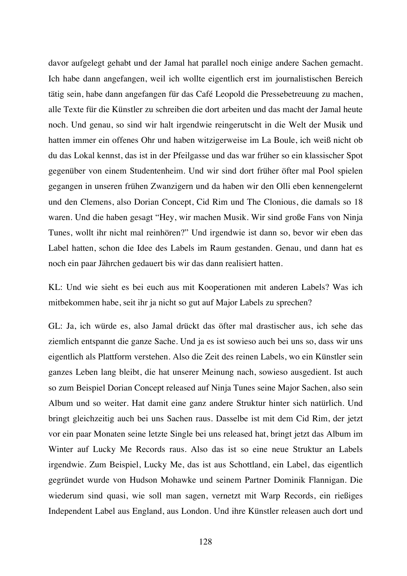davor aufgelegt gehabt und der Jamal hat parallel noch einige andere Sachen gemacht. Ich habe dann angefangen, weil ich wollte eigentlich erst im journalistischen Bereich tätig sein, habe dann angefangen für das Café Leopold die Pressebetreuung zu machen, alle Texte für die Künstler zu schreiben die dort arbeiten und das macht der Jamal heute noch. Und genau, so sind wir halt irgendwie reingerutscht in die Welt der Musik und hatten immer ein offenes Ohr und haben witzigerweise im La Boule, ich weiß nicht ob du das Lokal kennst, das ist in der Pfeilgasse und das war früher so ein klassischer Spot gegenüber von einem Studentenheim. Und wir sind dort früher öfter mal Pool spielen gegangen in unseren frühen Zwanzigern und da haben wir den Olli eben kennengelernt und den Clemens, also Dorian Concept, Cid Rim und The Clonious, die damals so 18 waren. Und die haben gesagt "Hey, wir machen Musik. Wir sind große Fans von Ninja Tunes, wollt ihr nicht mal reinhören?" Und irgendwie ist dann so, bevor wir eben das Label hatten, schon die Idee des Labels im Raum gestanden. Genau, und dann hat es noch ein paar Jährchen gedauert bis wir das dann realisiert hatten.

KL: Und wie sieht es bei euch aus mit Kooperationen mit anderen Labels? Was ich mitbekommen habe, seit ihr ja nicht so gut auf Major Labels zu sprechen?

GL: Ja, ich würde es, also Jamal drückt das öfter mal drastischer aus, ich sehe das ziemlich entspannt die ganze Sache. Und ja es ist sowieso auch bei uns so, dass wir uns eigentlich als Plattform verstehen. Also die Zeit des reinen Labels, wo ein Künstler sein ganzes Leben lang bleibt, die hat unserer Meinung nach, sowieso ausgedient. Ist auch so zum Beispiel Dorian Concept released auf Ninja Tunes seine Major Sachen, also sein Album und so weiter. Hat damit eine ganz andere Struktur hinter sich natürlich. Und bringt gleichzeitig auch bei uns Sachen raus. Dasselbe ist mit dem Cid Rim, der jetzt vor ein paar Monaten seine letzte Single bei uns released hat, bringt jetzt das Album im Winter auf Lucky Me Records raus. Also das ist so eine neue Struktur an Labels irgendwie. Zum Beispiel, Lucky Me, das ist aus Schottland, ein Label, das eigentlich gegründet wurde von Hudson Mohawke und seinem Partner Dominik Flannigan. Die wiederum sind quasi, wie soll man sagen, vernetzt mit Warp Records, ein rießiges Independent Label aus England, aus London. Und ihre Künstler releasen auch dort und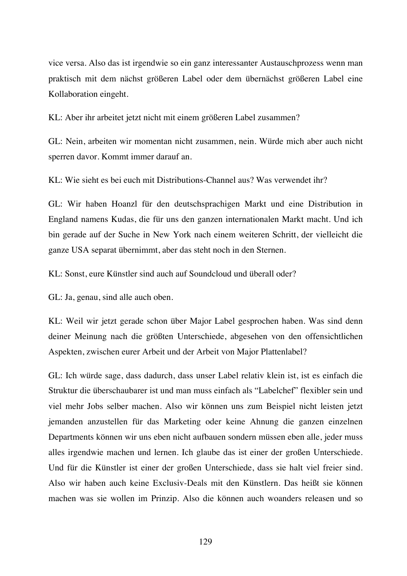vice versa. Also das ist irgendwie so ein ganz interessanter Austauschprozess wenn man praktisch mit dem nächst größeren Label oder dem übernächst größeren Label eine Kollaboration eingeht.

KL: Aber ihr arbeitet jetzt nicht mit einem größeren Label zusammen?

GL: Nein, arbeiten wir momentan nicht zusammen, nein. Würde mich aber auch nicht sperren davor. Kommt immer darauf an.

KL: Wie sieht es bei euch mit Distributions-Channel aus? Was verwendet ihr?

GL: Wir haben Hoanzl für den deutschsprachigen Markt und eine Distribution in England namens Kudas, die für uns den ganzen internationalen Markt macht. Und ich bin gerade auf der Suche in New York nach einem weiteren Schritt, der vielleicht die ganze USA separat übernimmt, aber das steht noch in den Sternen.

KL: Sonst, eure Künstler sind auch auf Soundcloud und überall oder?

GL: Ja, genau, sind alle auch oben.

KL: Weil wir jetzt gerade schon über Major Label gesprochen haben. Was sind denn deiner Meinung nach die größten Unterschiede, abgesehen von den offensichtlichen Aspekten, zwischen eurer Arbeit und der Arbeit von Major Plattenlabel?

GL: Ich würde sage, dass dadurch, dass unser Label relativ klein ist, ist es einfach die Struktur die überschaubarer ist und man muss einfach als "Labelchef" flexibler sein und viel mehr Jobs selber machen. Also wir können uns zum Beispiel nicht leisten jetzt jemanden anzustellen für das Marketing oder keine Ahnung die ganzen einzelnen Departments können wir uns eben nicht aufbauen sondern müssen eben alle, jeder muss alles irgendwie machen und lernen. Ich glaube das ist einer der großen Unterschiede. Und für die Künstler ist einer der großen Unterschiede, dass sie halt viel freier sind. Also wir haben auch keine Exclusiv-Deals mit den Künstlern. Das heißt sie können machen was sie wollen im Prinzip. Also die können auch woanders releasen und so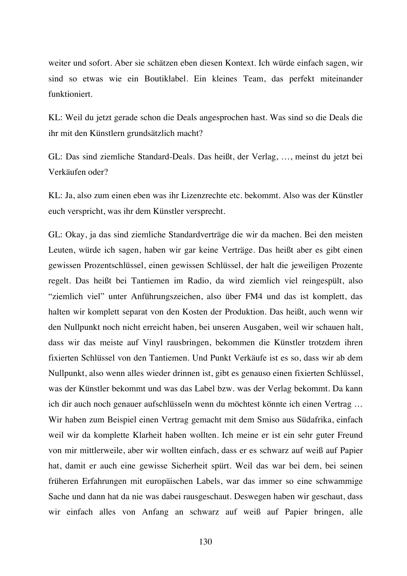weiter und sofort. Aber sie schätzen eben diesen Kontext. Ich würde einfach sagen, wir sind so etwas wie ein Boutiklabel. Ein kleines Team, das perfekt miteinander funktioniert.

KL: Weil du jetzt gerade schon die Deals angesprochen hast. Was sind so die Deals die ihr mit den Künstlern grundsätzlich macht?

GL: Das sind ziemliche Standard-Deals. Das heißt, der Verlag, …, meinst du jetzt bei Verkäufen oder?

KL: Ja, also zum einen eben was ihr Lizenzrechte etc. bekommt. Also was der Künstler euch verspricht, was ihr dem Künstler versprecht.

GL: Okay, ja das sind ziemliche Standardverträge die wir da machen. Bei den meisten Leuten, würde ich sagen, haben wir gar keine Verträge. Das heißt aber es gibt einen gewissen Prozentschlüssel, einen gewissen Schlüssel, der halt die jeweiligen Prozente regelt. Das heißt bei Tantiemen im Radio, da wird ziemlich viel reingespült, also "ziemlich viel" unter Anführungszeichen, also über FM4 und das ist komplett, das halten wir komplett separat von den Kosten der Produktion. Das heißt, auch wenn wir den Nullpunkt noch nicht erreicht haben, bei unseren Ausgaben, weil wir schauen halt, dass wir das meiste auf Vinyl rausbringen, bekommen die Künstler trotzdem ihren fixierten Schlüssel von den Tantiemen. Und Punkt Verkäufe ist es so, dass wir ab dem Nullpunkt, also wenn alles wieder drinnen ist, gibt es genauso einen fixierten Schlüssel, was der Künstler bekommt und was das Label bzw. was der Verlag bekommt. Da kann ich dir auch noch genauer aufschlüsseln wenn du möchtest könnte ich einen Vertrag … Wir haben zum Beispiel einen Vertrag gemacht mit dem Smiso aus Südafrika, einfach weil wir da komplette Klarheit haben wollten. Ich meine er ist ein sehr guter Freund von mir mittlerweile, aber wir wollten einfach, dass er es schwarz auf weiß auf Papier hat, damit er auch eine gewisse Sicherheit spürt. Weil das war bei dem, bei seinen früheren Erfahrungen mit europäischen Labels, war das immer so eine schwammige Sache und dann hat da nie was dabei rausgeschaut. Deswegen haben wir geschaut, dass wir einfach alles von Anfang an schwarz auf weiß auf Papier bringen, alle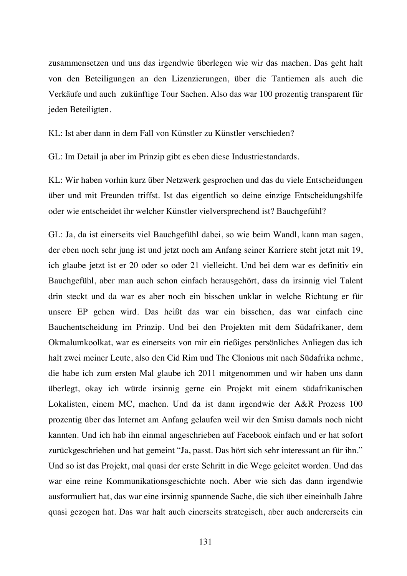zusammensetzen und uns das irgendwie überlegen wie wir das machen. Das geht halt von den Beteiligungen an den Lizenzierungen, über die Tantiemen als auch die Verkäufe und auch zukünftige Tour Sachen. Also das war 100 prozentig transparent für jeden Beteiligten.

KL: Ist aber dann in dem Fall von Künstler zu Künstler verschieden?

GL: Im Detail ja aber im Prinzip gibt es eben diese Industriestandards.

KL: Wir haben vorhin kurz über Netzwerk gesprochen und das du viele Entscheidungen über und mit Freunden triffst. Ist das eigentlich so deine einzige Entscheidungshilfe oder wie entscheidet ihr welcher Künstler vielversprechend ist? Bauchgefühl?

GL: Ja, da ist einerseits viel Bauchgefühl dabei, so wie beim Wandl, kann man sagen, der eben noch sehr jung ist und jetzt noch am Anfang seiner Karriere steht jetzt mit 19, ich glaube jetzt ist er 20 oder so oder 21 vielleicht. Und bei dem war es definitiv ein Bauchgefühl, aber man auch schon einfach herausgehört, dass da irsinnig viel Talent drin steckt und da war es aber noch ein bisschen unklar in welche Richtung er für unsere EP gehen wird. Das heißt das war ein bisschen, das war einfach eine Bauchentscheidung im Prinzip. Und bei den Projekten mit dem Südafrikaner, dem Okmalumkoolkat, war es einerseits von mir ein rießiges persönliches Anliegen das ich halt zwei meiner Leute, also den Cid Rim und The Clonious mit nach Südafrika nehme, die habe ich zum ersten Mal glaube ich 2011 mitgenommen und wir haben uns dann überlegt, okay ich würde irsinnig gerne ein Projekt mit einem südafrikanischen Lokalisten, einem MC, machen. Und da ist dann irgendwie der A&R Prozess 100 prozentig über das Internet am Anfang gelaufen weil wir den Smisu damals noch nicht kannten. Und ich hab ihn einmal angeschrieben auf Facebook einfach und er hat sofort zurückgeschrieben und hat gemeint "Ja, passt. Das hört sich sehr interessant an für ihn." Und so ist das Projekt, mal quasi der erste Schritt in die Wege geleitet worden. Und das war eine reine Kommunikationsgeschichte noch. Aber wie sich das dann irgendwie ausformuliert hat, das war eine irsinnig spannende Sache, die sich über eineinhalb Jahre quasi gezogen hat. Das war halt auch einerseits strategisch, aber auch andererseits ein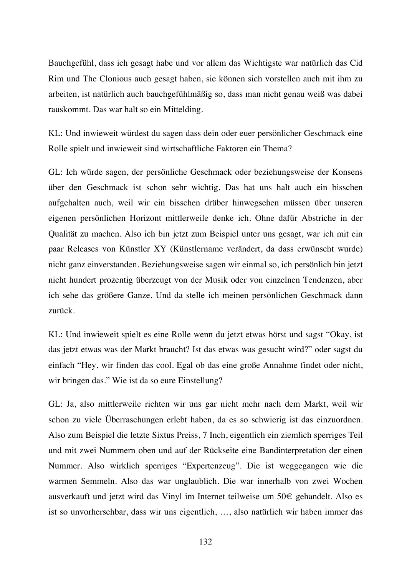Bauchgefühl, dass ich gesagt habe und vor allem das Wichtigste war natürlich das Cid Rim und The Clonious auch gesagt haben, sie können sich vorstellen auch mit ihm zu arbeiten, ist natürlich auch bauchgefühlmäßig so, dass man nicht genau weiß was dabei rauskommt. Das war halt so ein Mittelding.

KL: Und inwieweit würdest du sagen dass dein oder euer persönlicher Geschmack eine Rolle spielt und inwieweit sind wirtschaftliche Faktoren ein Thema?

GL: Ich würde sagen, der persönliche Geschmack oder beziehungsweise der Konsens über den Geschmack ist schon sehr wichtig. Das hat uns halt auch ein bisschen aufgehalten auch, weil wir ein bisschen drüber hinwegsehen müssen über unseren eigenen persönlichen Horizont mittlerweile denke ich. Ohne dafür Abstriche in der Qualität zu machen. Also ich bin jetzt zum Beispiel unter uns gesagt, war ich mit ein paar Releases von Künstler XY (Künstlername verändert, da dass erwünscht wurde) nicht ganz einverstanden. Beziehungsweise sagen wir einmal so, ich persönlich bin jetzt nicht hundert prozentig überzeugt von der Musik oder von einzelnen Tendenzen, aber ich sehe das größere Ganze. Und da stelle ich meinen persönlichen Geschmack dann zurück.

KL: Und inwieweit spielt es eine Rolle wenn du jetzt etwas hörst und sagst "Okay, ist das jetzt etwas was der Markt braucht? Ist das etwas was gesucht wird?" oder sagst du einfach "Hey, wir finden das cool. Egal ob das eine große Annahme findet oder nicht, wir bringen das." Wie ist da so eure Einstellung?

GL: Ja, also mittlerweile richten wir uns gar nicht mehr nach dem Markt, weil wir schon zu viele Überraschungen erlebt haben, da es so schwierig ist das einzuordnen. Also zum Beispiel die letzte Sixtus Preiss, 7 Inch, eigentlich ein ziemlich sperriges Teil und mit zwei Nummern oben und auf der Rückseite eine Bandinterpretation der einen Nummer. Also wirklich sperriges "Expertenzeug". Die ist weggegangen wie die warmen Semmeln. Also das war unglaublich. Die war innerhalb von zwei Wochen ausverkauft und jetzt wird das Vinyl im Internet teilweise um 50€ gehandelt. Also es ist so unvorhersehbar, dass wir uns eigentlich, …, also natürlich wir haben immer das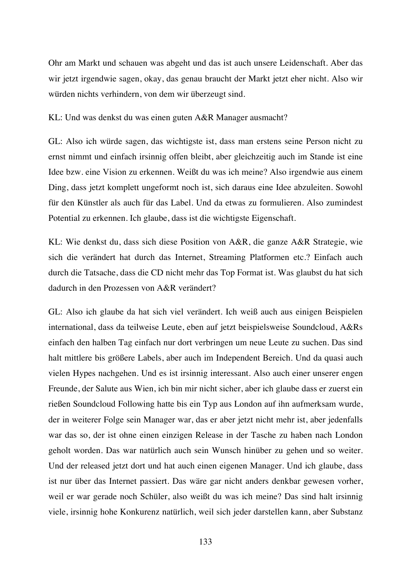Ohr am Markt und schauen was abgeht und das ist auch unsere Leidenschaft. Aber das wir jetzt irgendwie sagen, okay, das genau braucht der Markt jetzt eher nicht. Also wir würden nichts verhindern, von dem wir überzeugt sind.

KL: Und was denkst du was einen guten A&R Manager ausmacht?

GL: Also ich würde sagen, das wichtigste ist, dass man erstens seine Person nicht zu ernst nimmt und einfach irsinnig offen bleibt, aber gleichzeitig auch im Stande ist eine Idee bzw. eine Vision zu erkennen. Weißt du was ich meine? Also irgendwie aus einem Ding, dass jetzt komplett ungeformt noch ist, sich daraus eine Idee abzuleiten. Sowohl für den Künstler als auch für das Label. Und da etwas zu formulieren. Also zumindest Potential zu erkennen. Ich glaube, dass ist die wichtigste Eigenschaft.

KL: Wie denkst du, dass sich diese Position von A&R, die ganze A&R Strategie, wie sich die verändert hat durch das Internet, Streaming Platformen etc.? Einfach auch durch die Tatsache, dass die CD nicht mehr das Top Format ist. Was glaubst du hat sich dadurch in den Prozessen von A&R verändert?

GL: Also ich glaube da hat sich viel verändert. Ich weiß auch aus einigen Beispielen international, dass da teilweise Leute, eben auf jetzt beispielsweise Soundcloud, A&Rs einfach den halben Tag einfach nur dort verbringen um neue Leute zu suchen. Das sind halt mittlere bis größere Labels, aber auch im Independent Bereich. Und da quasi auch vielen Hypes nachgehen. Und es ist irsinnig interessant. Also auch einer unserer engen Freunde, der Salute aus Wien, ich bin mir nicht sicher, aber ich glaube dass er zuerst ein rießen Soundcloud Following hatte bis ein Typ aus London auf ihn aufmerksam wurde, der in weiterer Folge sein Manager war, das er aber jetzt nicht mehr ist, aber jedenfalls war das so, der ist ohne einen einzigen Release in der Tasche zu haben nach London geholt worden. Das war natürlich auch sein Wunsch hinüber zu gehen und so weiter. Und der released jetzt dort und hat auch einen eigenen Manager. Und ich glaube, dass ist nur über das Internet passiert. Das wäre gar nicht anders denkbar gewesen vorher, weil er war gerade noch Schüler, also weißt du was ich meine? Das sind halt irsinnig viele, irsinnig hohe Konkurenz natürlich, weil sich jeder darstellen kann, aber Substanz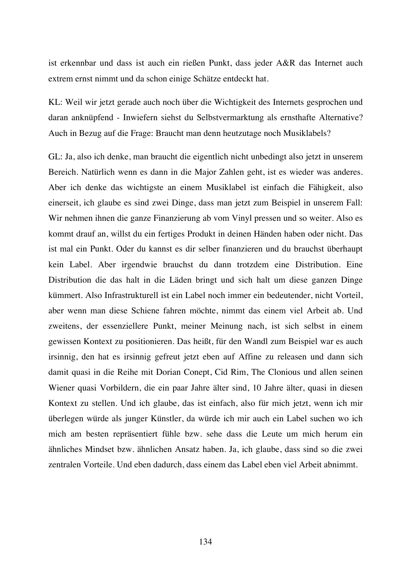ist erkennbar und dass ist auch ein rießen Punkt, dass jeder A&R das Internet auch extrem ernst nimmt und da schon einige Schätze entdeckt hat.

KL: Weil wir jetzt gerade auch noch über die Wichtigkeit des Internets gesprochen und daran anknüpfend - Inwiefern siehst du Selbstvermarktung als ernsthafte Alternative? Auch in Bezug auf die Frage: Braucht man denn heutzutage noch Musiklabels?

GL: Ja, also ich denke, man braucht die eigentlich nicht unbedingt also jetzt in unserem Bereich. Natürlich wenn es dann in die Major Zahlen geht, ist es wieder was anderes. Aber ich denke das wichtigste an einem Musiklabel ist einfach die Fähigkeit, also einerseit, ich glaube es sind zwei Dinge, dass man jetzt zum Beispiel in unserem Fall: Wir nehmen ihnen die ganze Finanzierung ab vom Vinyl pressen und so weiter. Also es kommt drauf an, willst du ein fertiges Produkt in deinen Händen haben oder nicht. Das ist mal ein Punkt. Oder du kannst es dir selber finanzieren und du brauchst überhaupt kein Label. Aber irgendwie brauchst du dann trotzdem eine Distribution. Eine Distribution die das halt in die Läden bringt und sich halt um diese ganzen Dinge kümmert. Also Infrastrukturell ist ein Label noch immer ein bedeutender, nicht Vorteil, aber wenn man diese Schiene fahren möchte, nimmt das einem viel Arbeit ab. Und zweitens, der essenziellere Punkt, meiner Meinung nach, ist sich selbst in einem gewissen Kontext zu positionieren. Das heißt, für den Wandl zum Beispiel war es auch irsinnig, den hat es irsinnig gefreut jetzt eben auf Affine zu releasen und dann sich damit quasi in die Reihe mit Dorian Conept, Cid Rim, The Clonious und allen seinen Wiener quasi Vorbildern, die ein paar Jahre älter sind, 10 Jahre älter, quasi in diesen Kontext zu stellen. Und ich glaube, das ist einfach, also für mich jetzt, wenn ich mir überlegen würde als junger Künstler, da würde ich mir auch ein Label suchen wo ich mich am besten repräsentiert fühle bzw. sehe dass die Leute um mich herum ein ähnliches Mindset bzw. ähnlichen Ansatz haben. Ja, ich glaube, dass sind so die zwei zentralen Vorteile. Und eben dadurch, dass einem das Label eben viel Arbeit abnimmt.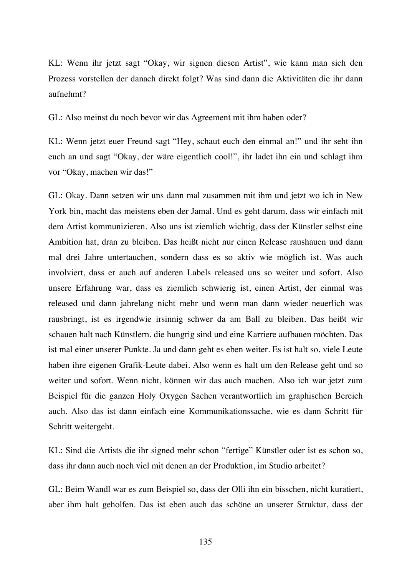KL: Wenn ihr jetzt sagt "Okay, wir signen diesen Artist", wie kann man sich den Prozess vorstellen der danach direkt folgt? Was sind dann die Aktivitäten die ihr dann aufnehmt?

GL: Also meinst du noch bevor wir das Agreement mit ihm haben oder?

KL: Wenn jetzt euer Freund sagt "Hey, schaut euch den einmal an!" und ihr seht ihn euch an und sagt "Okay, der wäre eigentlich cool!", ihr ladet ihn ein und schlagt ihm vor "Okay, machen wir das!"

GL: Okay. Dann setzen wir uns dann mal zusammen mit ihm und jetzt wo ich in New York bin, macht das meistens eben der Jamal. Und es geht darum, dass wir einfach mit dem Artist kommunizieren. Also uns ist ziemlich wichtig, dass der Künstler selbst eine Ambition hat, dran zu bleiben. Das heißt nicht nur einen Release raushauen und dann mal drei Jahre untertauchen, sondern dass es so aktiv wie möglich ist. Was auch involviert, dass er auch auf anderen Labels released uns so weiter und sofort. Also unsere Erfahrung war, dass es ziemlich schwierig ist, einen Artist, der einmal was released und dann jahrelang nicht mehr und wenn man dann wieder neuerlich was rausbringt, ist es irgendwie irsinnig schwer da am Ball zu bleiben. Das heißt wir schauen halt nach Künstlern, die hungrig sind und eine Karriere aufbauen möchten. Das ist mal einer unserer Punkte. Ja und dann geht es eben weiter. Es ist halt so, viele Leute haben ihre eigenen Grafik-Leute dabei. Also wenn es halt um den Release geht und so weiter und sofort. Wenn nicht, können wir das auch machen. Also ich war jetzt zum Beispiel für die ganzen Holy Oxygen Sachen verantwortlich im graphischen Bereich auch. Also das ist dann einfach eine Kommunikationssache, wie es dann Schritt für Schritt weitergeht.

KL: Sind die Artists die ihr signed mehr schon "fertige" Künstler oder ist es schon so, dass ihr dann auch noch viel mit denen an der Produktion, im Studio arbeitet?

GL: Beim Wandl war es zum Beispiel so, dass der Olli ihn ein bisschen, nicht kuratiert, aber ihm halt geholfen. Das ist eben auch das schöne an unserer Struktur, dass der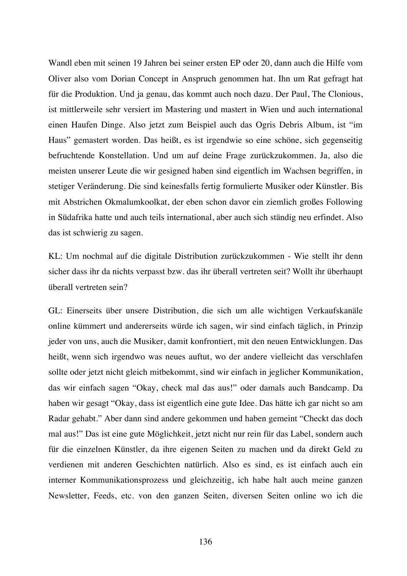Wandl eben mit seinen 19 Jahren bei seiner ersten EP oder 20, dann auch die Hilfe vom Oliver also vom Dorian Concept in Anspruch genommen hat. Ihn um Rat gefragt hat für die Produktion. Und ja genau, das kommt auch noch dazu. Der Paul, The Clonious, ist mittlerweile sehr versiert im Mastering und mastert in Wien und auch international einen Haufen Dinge. Also jetzt zum Beispiel auch das Ogris Debris Album, ist "im Haus" gemastert worden. Das heißt, es ist irgendwie so eine schöne, sich gegenseitig befruchtende Konstellation. Und um auf deine Frage zurückzukommen. Ja, also die meisten unserer Leute die wir gesigned haben sind eigentlich im Wachsen begriffen, in stetiger Veränderung. Die sind keinesfalls fertig formulierte Musiker oder Künstler. Bis mit Abstrichen Okmalumkoolkat, der eben schon davor ein ziemlich großes Following in Südafrika hatte und auch teils international, aber auch sich ständig neu erfindet. Also das ist schwierig zu sagen.

KL: Um nochmal auf die digitale Distribution zurückzukommen - Wie stellt ihr denn sicher dass ihr da nichts verpasst bzw. das ihr überall vertreten seit? Wollt ihr überhaupt überall vertreten sein?

GL: Einerseits über unsere Distribution, die sich um alle wichtigen Verkaufskanäle online kümmert und andererseits würde ich sagen, wir sind einfach täglich, in Prinzip jeder von uns, auch die Musiker, damit konfrontiert, mit den neuen Entwicklungen. Das heißt, wenn sich irgendwo was neues auftut, wo der andere vielleicht das verschlafen sollte oder jetzt nicht gleich mitbekommt, sind wir einfach in jeglicher Kommunikation, das wir einfach sagen "Okay, check mal das aus!" oder damals auch Bandcamp. Da haben wir gesagt "Okay, dass ist eigentlich eine gute Idee. Das hätte ich gar nicht so am Radar gehabt." Aber dann sind andere gekommen und haben gemeint "Checkt das doch mal aus!" Das ist eine gute Möglichkeit, jetzt nicht nur rein für das Label, sondern auch für die einzelnen Künstler, da ihre eigenen Seiten zu machen und da direkt Geld zu verdienen mit anderen Geschichten natürlich. Also es sind, es ist einfach auch ein interner Kommunikationsprozess und gleichzeitig, ich habe halt auch meine ganzen Newsletter, Feeds, etc. von den ganzen Seiten, diversen Seiten online wo ich die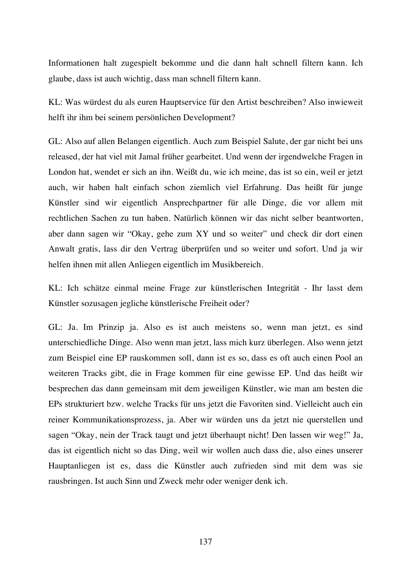Informationen halt zugespielt bekomme und die dann halt schnell filtern kann. Ich glaube, dass ist auch wichtig, dass man schnell filtern kann.

KL: Was würdest du als euren Hauptservice für den Artist beschreiben? Also inwieweit helft ihr ihm bei seinem persönlichen Development?

GL: Also auf allen Belangen eigentlich. Auch zum Beispiel Salute, der gar nicht bei uns released, der hat viel mit Jamal früher gearbeitet. Und wenn der irgendwelche Fragen in London hat, wendet er sich an ihn. Weißt du, wie ich meine, das ist so ein, weil er jetzt auch, wir haben halt einfach schon ziemlich viel Erfahrung. Das heißt für junge Künstler sind wir eigentlich Ansprechpartner für alle Dinge, die vor allem mit rechtlichen Sachen zu tun haben. Natürlich können wir das nicht selber beantworten, aber dann sagen wir "Okay, gehe zum XY und so weiter" und check dir dort einen Anwalt gratis, lass dir den Vertrag überprüfen und so weiter und sofort. Und ja wir helfen ihnen mit allen Anliegen eigentlich im Musikbereich.

KL: Ich schätze einmal meine Frage zur künstlerischen Integrität - Ihr lasst dem Künstler sozusagen jegliche künstlerische Freiheit oder?

GL: Ja. Im Prinzip ja. Also es ist auch meistens so, wenn man jetzt, es sind unterschiedliche Dinge. Also wenn man jetzt, lass mich kurz überlegen. Also wenn jetzt zum Beispiel eine EP rauskommen soll, dann ist es so, dass es oft auch einen Pool an weiteren Tracks gibt, die in Frage kommen für eine gewisse EP. Und das heißt wir besprechen das dann gemeinsam mit dem jeweiligen Künstler, wie man am besten die EPs strukturiert bzw. welche Tracks für uns jetzt die Favoriten sind. Vielleicht auch ein reiner Kommunikationsprozess, ja. Aber wir würden uns da jetzt nie querstellen und sagen "Okay, nein der Track taugt und jetzt überhaupt nicht! Den lassen wir weg!" Ja, das ist eigentlich nicht so das Ding, weil wir wollen auch dass die, also eines unserer Hauptanliegen ist es, dass die Künstler auch zufrieden sind mit dem was sie rausbringen. Ist auch Sinn und Zweck mehr oder weniger denk ich.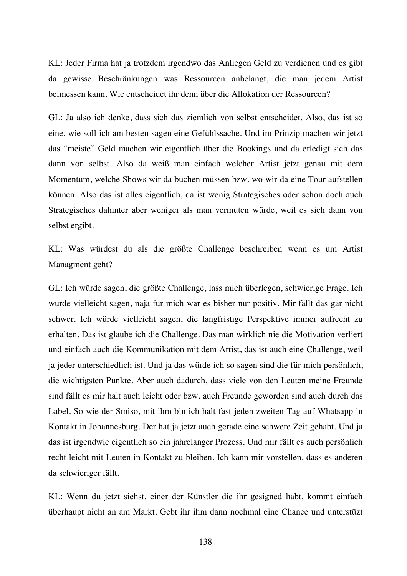KL: Jeder Firma hat ja trotzdem irgendwo das Anliegen Geld zu verdienen und es gibt da gewisse Beschränkungen was Ressourcen anbelangt, die man jedem Artist beimessen kann. Wie entscheidet ihr denn über die Allokation der Ressourcen?

GL: Ja also ich denke, dass sich das ziemlich von selbst entscheidet. Also, das ist so eine, wie soll ich am besten sagen eine Gefühlssache. Und im Prinzip machen wir jetzt das "meiste" Geld machen wir eigentlich über die Bookings und da erledigt sich das dann von selbst. Also da weiß man einfach welcher Artist jetzt genau mit dem Momentum, welche Shows wir da buchen müssen bzw. wo wir da eine Tour aufstellen können. Also das ist alles eigentlich, da ist wenig Strategisches oder schon doch auch Strategisches dahinter aber weniger als man vermuten würde, weil es sich dann von selbst ergibt.

KL: Was würdest du als die größte Challenge beschreiben wenn es um Artist Managment geht?

GL: Ich würde sagen, die größte Challenge, lass mich überlegen, schwierige Frage. Ich würde vielleicht sagen, naja für mich war es bisher nur positiv. Mir fällt das gar nicht schwer. Ich würde vielleicht sagen, die langfristige Perspektive immer aufrecht zu erhalten. Das ist glaube ich die Challenge. Das man wirklich nie die Motivation verliert und einfach auch die Kommunikation mit dem Artist, das ist auch eine Challenge, weil ja jeder unterschiedlich ist. Und ja das würde ich so sagen sind die für mich persönlich, die wichtigsten Punkte. Aber auch dadurch, dass viele von den Leuten meine Freunde sind fällt es mir halt auch leicht oder bzw. auch Freunde geworden sind auch durch das Label. So wie der Smiso, mit ihm bin ich halt fast jeden zweiten Tag auf Whatsapp in Kontakt in Johannesburg. Der hat ja jetzt auch gerade eine schwere Zeit gehabt. Und ja das ist irgendwie eigentlich so ein jahrelanger Prozess. Und mir fällt es auch persönlich recht leicht mit Leuten in Kontakt zu bleiben. Ich kann mir vorstellen, dass es anderen da schwieriger fällt.

KL: Wenn du jetzt siehst, einer der Künstler die ihr gesigned habt, kommt einfach überhaupt nicht an am Markt. Gebt ihr ihm dann nochmal eine Chance und unterstüzt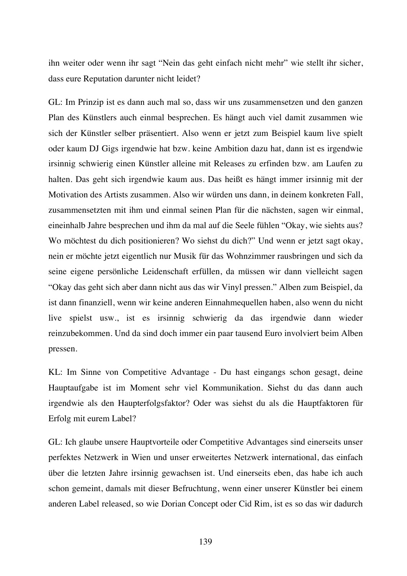ihn weiter oder wenn ihr sagt "Nein das geht einfach nicht mehr" wie stellt ihr sicher, dass eure Reputation darunter nicht leidet?

GL: Im Prinzip ist es dann auch mal so, dass wir uns zusammensetzen und den ganzen Plan des Künstlers auch einmal besprechen. Es hängt auch viel damit zusammen wie sich der Künstler selber präsentiert. Also wenn er jetzt zum Beispiel kaum live spielt oder kaum DJ Gigs irgendwie hat bzw. keine Ambition dazu hat, dann ist es irgendwie irsinnig schwierig einen Künstler alleine mit Releases zu erfinden bzw. am Laufen zu halten. Das geht sich irgendwie kaum aus. Das heißt es hängt immer irsinnig mit der Motivation des Artists zusammen. Also wir würden uns dann, in deinem konkreten Fall, zusammensetzten mit ihm und einmal seinen Plan für die nächsten, sagen wir einmal, eineinhalb Jahre besprechen und ihm da mal auf die Seele fühlen "Okay, wie siehts aus? Wo möchtest du dich positionieren? Wo siehst du dich?" Und wenn er jetzt sagt okay, nein er möchte jetzt eigentlich nur Musik für das Wohnzimmer rausbringen und sich da seine eigene persönliche Leidenschaft erfüllen, da müssen wir dann vielleicht sagen "Okay das geht sich aber dann nicht aus das wir Vinyl pressen." Alben zum Beispiel, da ist dann finanziell, wenn wir keine anderen Einnahmequellen haben, also wenn du nicht live spielst usw., ist es irsinnig schwierig da das irgendwie dann wieder reinzubekommen. Und da sind doch immer ein paar tausend Euro involviert beim Alben pressen.

KL: Im Sinne von Competitive Advantage - Du hast eingangs schon gesagt, deine Hauptaufgabe ist im Moment sehr viel Kommunikation. Siehst du das dann auch irgendwie als den Haupterfolgsfaktor? Oder was siehst du als die Hauptfaktoren für Erfolg mit eurem Label?

GL: Ich glaube unsere Hauptvorteile oder Competitive Advantages sind einerseits unser perfektes Netzwerk in Wien und unser erweitertes Netzwerk international, das einfach über die letzten Jahre irsinnig gewachsen ist. Und einerseits eben, das habe ich auch schon gemeint, damals mit dieser Befruchtung, wenn einer unserer Künstler bei einem anderen Label released, so wie Dorian Concept oder Cid Rim, ist es so das wir dadurch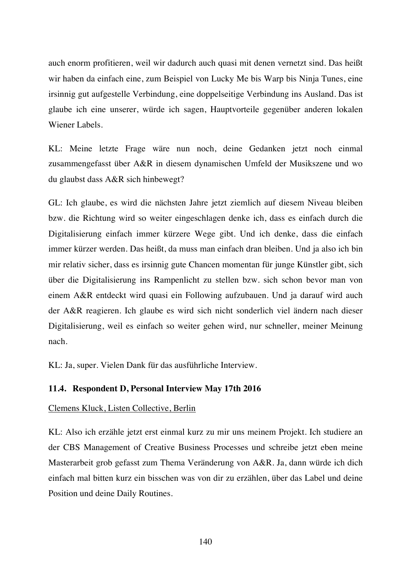auch enorm profitieren, weil wir dadurch auch quasi mit denen vernetzt sind. Das heißt wir haben da einfach eine, zum Beispiel von Lucky Me bis Warp bis Ninja Tunes, eine irsinnig gut aufgestelle Verbindung, eine doppelseitige Verbindung ins Ausland. Das ist glaube ich eine unserer, würde ich sagen, Hauptvorteile gegenüber anderen lokalen Wiener Labels.

KL: Meine letzte Frage wäre nun noch, deine Gedanken jetzt noch einmal zusammengefasst über A&R in diesem dynamischen Umfeld der Musikszene und wo du glaubst dass A&R sich hinbewegt?

GL: Ich glaube, es wird die nächsten Jahre jetzt ziemlich auf diesem Niveau bleiben bzw. die Richtung wird so weiter eingeschlagen denke ich, dass es einfach durch die Digitalisierung einfach immer kürzere Wege gibt. Und ich denke, dass die einfach immer kürzer werden. Das heißt, da muss man einfach dran bleiben. Und ja also ich bin mir relativ sicher, dass es irsinnig gute Chancen momentan für junge Künstler gibt, sich über die Digitalisierung ins Rampenlicht zu stellen bzw. sich schon bevor man von einem A&R entdeckt wird quasi ein Following aufzubauen. Und ja darauf wird auch der A&R reagieren. Ich glaube es wird sich nicht sonderlich viel ändern nach dieser Digitalisierung, weil es einfach so weiter gehen wird, nur schneller, meiner Meinung nach.

KL: Ja, super. Vielen Dank für das ausführliche Interview.

# **11.4. Respondent D, Personal Interview May 17th 2016**

# Clemens Kluck, Listen Collective, Berlin

KL: Also ich erzähle jetzt erst einmal kurz zu mir uns meinem Projekt. Ich studiere an der CBS Management of Creative Business Processes und schreibe jetzt eben meine Masterarbeit grob gefasst zum Thema Veränderung von A&R. Ja, dann würde ich dich einfach mal bitten kurz ein bisschen was von dir zu erzählen, über das Label und deine Position und deine Daily Routines.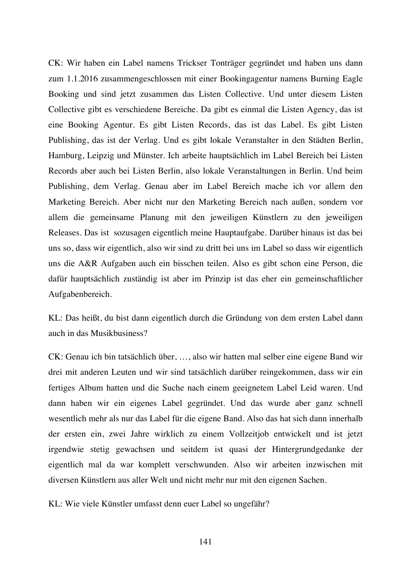CK: Wir haben ein Label namens Trickser Tonträger gegründet und haben uns dann zum 1.1.2016 zusammengeschlossen mit einer Bookingagentur namens Burning Eagle Booking und sind jetzt zusammen das Listen Collective. Und unter diesem Listen Collective gibt es verschiedene Bereiche. Da gibt es einmal die Listen Agency, das ist eine Booking Agentur. Es gibt Listen Records, das ist das Label. Es gibt Listen Publishing, das ist der Verlag. Und es gibt lokale Veranstalter in den Städten Berlin, Hamburg, Leipzig und Münster. Ich arbeite hauptsächlich im Label Bereich bei Listen Records aber auch bei Listen Berlin, also lokale Veranstaltungen in Berlin. Und beim Publishing, dem Verlag. Genau aber im Label Bereich mache ich vor allem den Marketing Bereich. Aber nicht nur den Marketing Bereich nach außen, sondern vor allem die gemeinsame Planung mit den jeweiligen Künstlern zu den jeweiligen Releases. Das ist sozusagen eigentlich meine Hauptaufgabe. Darüber hinaus ist das bei uns so, dass wir eigentlich, also wir sind zu dritt bei uns im Label so dass wir eigentlich uns die A&R Aufgaben auch ein bisschen teilen. Also es gibt schon eine Person, die dafür hauptsächlich zuständig ist aber im Prinzip ist das eher ein gemeinschaftlicher Aufgabenbereich.

KL: Das heißt, du bist dann eigentlich durch die Gründung von dem ersten Label dann auch in das Musikbusiness?

CK: Genau ich bin tatsächlich über, …, also wir hatten mal selber eine eigene Band wir drei mit anderen Leuten und wir sind tatsächlich darüber reingekommen, dass wir ein fertiges Album hatten und die Suche nach einem geeignetem Label Leid waren. Und dann haben wir ein eigenes Label gegründet. Und das wurde aber ganz schnell wesentlich mehr als nur das Label für die eigene Band. Also das hat sich dann innerhalb der ersten ein, zwei Jahre wirklich zu einem Vollzeitjob entwickelt und ist jetzt irgendwie stetig gewachsen und seitdem ist quasi der Hintergrundgedanke der eigentlich mal da war komplett verschwunden. Also wir arbeiten inzwischen mit diversen Künstlern aus aller Welt und nicht mehr nur mit den eigenen Sachen.

KL: Wie viele Künstler umfasst denn euer Label so ungefähr?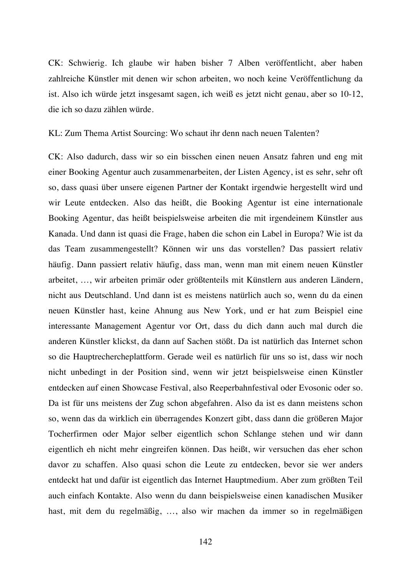CK: Schwierig. Ich glaube wir haben bisher 7 Alben veröffentlicht, aber haben zahlreiche Künstler mit denen wir schon arbeiten, wo noch keine Veröffentlichung da ist. Also ich würde jetzt insgesamt sagen, ich weiß es jetzt nicht genau, aber so 10-12, die ich so dazu zählen würde.

KL: Zum Thema Artist Sourcing: Wo schaut ihr denn nach neuen Talenten?

CK: Also dadurch, dass wir so ein bisschen einen neuen Ansatz fahren und eng mit einer Booking Agentur auch zusammenarbeiten, der Listen Agency, ist es sehr, sehr oft so, dass quasi über unsere eigenen Partner der Kontakt irgendwie hergestellt wird und wir Leute entdecken. Also das heißt, die Booking Agentur ist eine internationale Booking Agentur, das heißt beispielsweise arbeiten die mit irgendeinem Künstler aus Kanada. Und dann ist quasi die Frage, haben die schon ein Label in Europa? Wie ist da das Team zusammengestellt? Können wir uns das vorstellen? Das passiert relativ häufig. Dann passiert relativ häufig, dass man, wenn man mit einem neuen Künstler arbeitet, …, wir arbeiten primär oder größtenteils mit Künstlern aus anderen Ländern, nicht aus Deutschland. Und dann ist es meistens natürlich auch so, wenn du da einen neuen Künstler hast, keine Ahnung aus New York, und er hat zum Beispiel eine interessante Management Agentur vor Ort, dass du dich dann auch mal durch die anderen Künstler klickst, da dann auf Sachen stößt. Da ist natürlich das Internet schon so die Hauptrechercheplattform. Gerade weil es natürlich für uns so ist, dass wir noch nicht unbedingt in der Position sind, wenn wir jetzt beispielsweise einen Künstler entdecken auf einen Showcase Festival, also Reeperbahnfestival oder Evosonic oder so. Da ist für uns meistens der Zug schon abgefahren. Also da ist es dann meistens schon so, wenn das da wirklich ein überragendes Konzert gibt, dass dann die größeren Major Tocherfirmen oder Major selber eigentlich schon Schlange stehen und wir dann eigentlich eh nicht mehr eingreifen können. Das heißt, wir versuchen das eher schon davor zu schaffen. Also quasi schon die Leute zu entdecken, bevor sie wer anders entdeckt hat und dafür ist eigentlich das Internet Hauptmedium. Aber zum größten Teil auch einfach Kontakte. Also wenn du dann beispielsweise einen kanadischen Musiker hast, mit dem du regelmäßig, …, also wir machen da immer so in regelmäßigen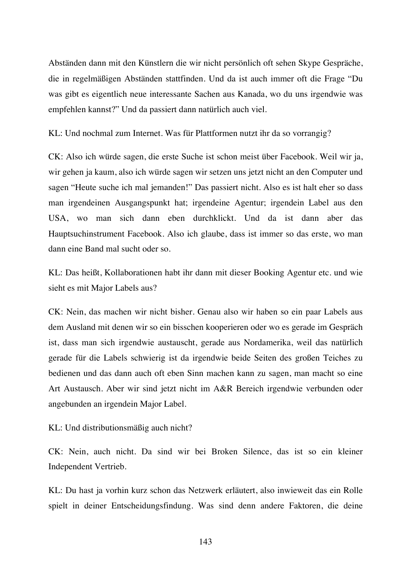Abständen dann mit den Künstlern die wir nicht persönlich oft sehen Skype Gespräche, die in regelmäßigen Abständen stattfinden. Und da ist auch immer oft die Frage "Du was gibt es eigentlich neue interessante Sachen aus Kanada, wo du uns irgendwie was empfehlen kannst?" Und da passiert dann natürlich auch viel.

KL: Und nochmal zum Internet. Was für Plattformen nutzt ihr da so vorrangig?

CK: Also ich würde sagen, die erste Suche ist schon meist über Facebook. Weil wir ja, wir gehen ja kaum, also ich würde sagen wir setzen uns jetzt nicht an den Computer und sagen "Heute suche ich mal jemanden!" Das passiert nicht. Also es ist halt eher so dass man irgendeinen Ausgangspunkt hat; irgendeine Agentur; irgendein Label aus den USA, wo man sich dann eben durchklickt. Und da ist dann aber das Hauptsuchinstrument Facebook. Also ich glaube, dass ist immer so das erste, wo man dann eine Band mal sucht oder so.

KL: Das heißt, Kollaborationen habt ihr dann mit dieser Booking Agentur etc. und wie sieht es mit Major Labels aus?

CK: Nein, das machen wir nicht bisher. Genau also wir haben so ein paar Labels aus dem Ausland mit denen wir so ein bisschen kooperieren oder wo es gerade im Gespräch ist, dass man sich irgendwie austauscht, gerade aus Nordamerika, weil das natürlich gerade für die Labels schwierig ist da irgendwie beide Seiten des großen Teiches zu bedienen und das dann auch oft eben Sinn machen kann zu sagen, man macht so eine Art Austausch. Aber wir sind jetzt nicht im A&R Bereich irgendwie verbunden oder angebunden an irgendein Major Label.

KL: Und distributionsmäßig auch nicht?

CK: Nein, auch nicht. Da sind wir bei Broken Silence, das ist so ein kleiner Independent Vertrieb.

KL: Du hast ja vorhin kurz schon das Netzwerk erläutert, also inwieweit das ein Rolle spielt in deiner Entscheidungsfindung. Was sind denn andere Faktoren, die deine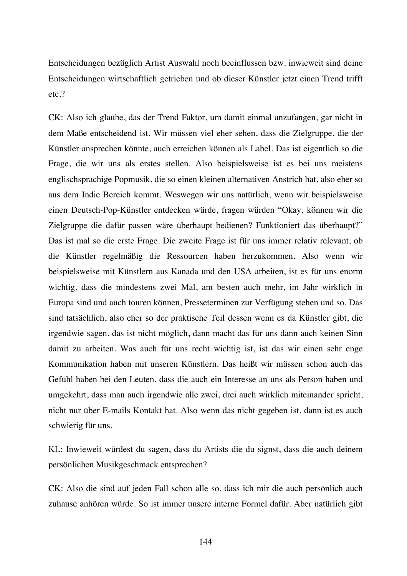Entscheidungen bezüglich Artist Auswahl noch beeinflussen bzw. inwieweit sind deine Entscheidungen wirtschaftlich getrieben und ob dieser Künstler jetzt einen Trend trifft etc.?

CK: Also ich glaube, das der Trend Faktor, um damit einmal anzufangen, gar nicht in dem Maße entscheidend ist. Wir müssen viel eher sehen, dass die Zielgruppe, die der Künstler ansprechen könnte, auch erreichen können als Label. Das ist eigentlich so die Frage, die wir uns als erstes stellen. Also beispielsweise ist es bei uns meistens englischsprachige Popmusik, die so einen kleinen alternativen Anstrich hat, also eher so aus dem Indie Bereich kommt. Weswegen wir uns natürlich, wenn wir beispielsweise einen Deutsch-Pop-Künstler entdecken würde, fragen würden "Okay, können wir die Zielgruppe die dafür passen wäre überhaupt bedienen? Funktioniert das überhaupt?" Das ist mal so die erste Frage. Die zweite Frage ist für uns immer relativ relevant, ob die Künstler regelmäßig die Ressourcen haben herzukommen. Also wenn wir beispielsweise mit Künstlern aus Kanada und den USA arbeiten, ist es für uns enorm wichtig, dass die mindestens zwei Mal, am besten auch mehr, im Jahr wirklich in Europa sind und auch touren können, Presseterminen zur Verfügung stehen und so. Das sind tatsächlich, also eher so der praktische Teil dessen wenn es da Künstler gibt, die irgendwie sagen, das ist nicht möglich, dann macht das für uns dann auch keinen Sinn damit zu arbeiten. Was auch für uns recht wichtig ist, ist das wir einen sehr enge Kommunikation haben mit unseren Künstlern. Das heißt wir müssen schon auch das Gefühl haben bei den Leuten, dass die auch ein Interesse an uns als Person haben und umgekehrt, dass man auch irgendwie alle zwei, drei auch wirklich miteinander spricht, nicht nur über E-mails Kontakt hat. Also wenn das nicht gegeben ist, dann ist es auch schwierig für uns.

KL: Inwieweit würdest du sagen, dass du Artists die du signst, dass die auch deinem persönlichen Musikgeschmack entsprechen?

CK: Also die sind auf jeden Fall schon alle so, dass ich mir die auch persönlich auch zuhause anhören würde. So ist immer unsere interne Formel dafür. Aber natürlich gibt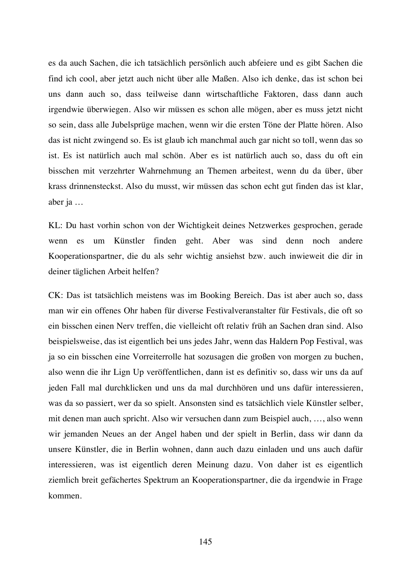es da auch Sachen, die ich tatsächlich persönlich auch abfeiere und es gibt Sachen die find ich cool, aber jetzt auch nicht über alle Maßen. Also ich denke, das ist schon bei uns dann auch so, dass teilweise dann wirtschaftliche Faktoren, dass dann auch irgendwie überwiegen. Also wir müssen es schon alle mögen, aber es muss jetzt nicht so sein, dass alle Jubelsprüge machen, wenn wir die ersten Töne der Platte hören. Also das ist nicht zwingend so. Es ist glaub ich manchmal auch gar nicht so toll, wenn das so ist. Es ist natürlich auch mal schön. Aber es ist natürlich auch so, dass du oft ein bisschen mit verzehrter Wahrnehmung an Themen arbeitest, wenn du da über, über krass drinnensteckst. Also du musst, wir müssen das schon echt gut finden das ist klar, aber ja …

KL: Du hast vorhin schon von der Wichtigkeit deines Netzwerkes gesprochen, gerade wenn es um Künstler finden geht. Aber was sind denn noch andere Kooperationspartner, die du als sehr wichtig ansiehst bzw. auch inwieweit die dir in deiner täglichen Arbeit helfen?

CK: Das ist tatsächlich meistens was im Booking Bereich. Das ist aber auch so, dass man wir ein offenes Ohr haben für diverse Festivalveranstalter für Festivals, die oft so ein bisschen einen Nerv treffen, die vielleicht oft relativ früh an Sachen dran sind. Also beispielsweise, das ist eigentlich bei uns jedes Jahr, wenn das Haldern Pop Festival, was ja so ein bisschen eine Vorreiterrolle hat sozusagen die großen von morgen zu buchen, also wenn die ihr Lign Up veröffentlichen, dann ist es definitiv so, dass wir uns da auf jeden Fall mal durchklicken und uns da mal durchhören und uns dafür interessieren, was da so passiert, wer da so spielt. Ansonsten sind es tatsächlich viele Künstler selber, mit denen man auch spricht. Also wir versuchen dann zum Beispiel auch, …, also wenn wir jemanden Neues an der Angel haben und der spielt in Berlin, dass wir dann da unsere Künstler, die in Berlin wohnen, dann auch dazu einladen und uns auch dafür interessieren, was ist eigentlich deren Meinung dazu. Von daher ist es eigentlich ziemlich breit gefächertes Spektrum an Kooperationspartner, die da irgendwie in Frage kommen.

145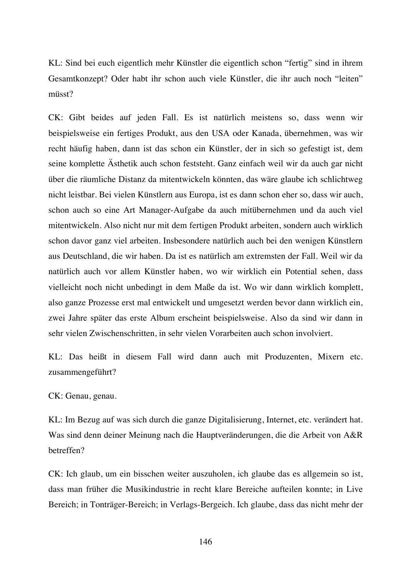KL: Sind bei euch eigentlich mehr Künstler die eigentlich schon "fertig" sind in ihrem Gesamtkonzept? Oder habt ihr schon auch viele Künstler, die ihr auch noch "leiten" müsst?

CK: Gibt beides auf jeden Fall. Es ist natürlich meistens so, dass wenn wir beispielsweise ein fertiges Produkt, aus den USA oder Kanada, übernehmen, was wir recht häufig haben, dann ist das schon ein Künstler, der in sich so gefestigt ist, dem seine komplette Ästhetik auch schon feststeht. Ganz einfach weil wir da auch gar nicht über die räumliche Distanz da mitentwickeln könnten, das wäre glaube ich schlichtweg nicht leistbar. Bei vielen Künstlern aus Europa, ist es dann schon eher so, dass wir auch, schon auch so eine Art Manager-Aufgabe da auch mitübernehmen und da auch viel mitentwickeln. Also nicht nur mit dem fertigen Produkt arbeiten, sondern auch wirklich schon davor ganz viel arbeiten. Insbesondere natürlich auch bei den wenigen Künstlern aus Deutschland, die wir haben. Da ist es natürlich am extremsten der Fall. Weil wir da natürlich auch vor allem Künstler haben, wo wir wirklich ein Potential sehen, dass vielleicht noch nicht unbedingt in dem Maße da ist. Wo wir dann wirklich komplett, also ganze Prozesse erst mal entwickelt und umgesetzt werden bevor dann wirklich ein, zwei Jahre später das erste Album erscheint beispielsweise. Also da sind wir dann in sehr vielen Zwischenschritten, in sehr vielen Vorarbeiten auch schon involviert.

KL: Das heißt in diesem Fall wird dann auch mit Produzenten, Mixern etc. zusammengeführt?

CK: Genau, genau.

KL: Im Bezug auf was sich durch die ganze Digitalisierung, Internet, etc. verändert hat. Was sind denn deiner Meinung nach die Hauptveränderungen, die die Arbeit von A&R betreffen?

CK: Ich glaub, um ein bisschen weiter auszuholen, ich glaube das es allgemein so ist, dass man früher die Musikindustrie in recht klare Bereiche aufteilen konnte; in Live Bereich; in Tonträger-Bereich; in Verlags-Bergeich. Ich glaube, dass das nicht mehr der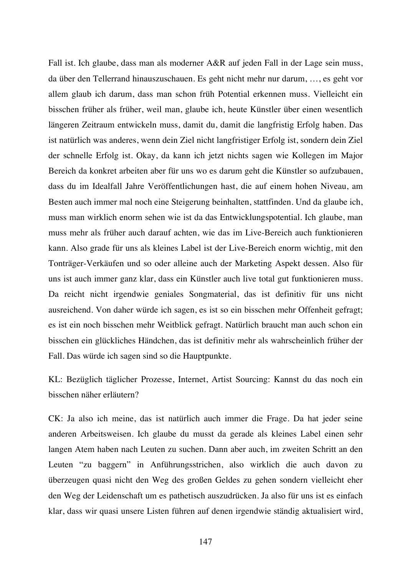Fall ist. Ich glaube, dass man als moderner A&R auf jeden Fall in der Lage sein muss, da über den Tellerrand hinauszuschauen. Es geht nicht mehr nur darum, …, es geht vor allem glaub ich darum, dass man schon früh Potential erkennen muss. Vielleicht ein bisschen früher als früher, weil man, glaube ich, heute Künstler über einen wesentlich längeren Zeitraum entwickeln muss, damit du, damit die langfristig Erfolg haben. Das ist natürlich was anderes, wenn dein Ziel nicht langfristiger Erfolg ist, sondern dein Ziel der schnelle Erfolg ist. Okay, da kann ich jetzt nichts sagen wie Kollegen im Major Bereich da konkret arbeiten aber für uns wo es darum geht die Künstler so aufzubauen, dass du im Idealfall Jahre Veröffentlichungen hast, die auf einem hohen Niveau, am Besten auch immer mal noch eine Steigerung beinhalten, stattfinden. Und da glaube ich, muss man wirklich enorm sehen wie ist da das Entwicklungspotential. Ich glaube, man muss mehr als früher auch darauf achten, wie das im Live-Bereich auch funktionieren kann. Also grade für uns als kleines Label ist der Live-Bereich enorm wichtig, mit den Tonträger-Verkäufen und so oder alleine auch der Marketing Aspekt dessen. Also für uns ist auch immer ganz klar, dass ein Künstler auch live total gut funktionieren muss. Da reicht nicht irgendwie geniales Songmaterial, das ist definitiv für uns nicht ausreichend. Von daher würde ich sagen, es ist so ein bisschen mehr Offenheit gefragt; es ist ein noch bisschen mehr Weitblick gefragt. Natürlich braucht man auch schon ein bisschen ein glückliches Händchen, das ist definitiv mehr als wahrscheinlich früher der Fall. Das würde ich sagen sind so die Hauptpunkte.

KL: Bezüglich täglicher Prozesse, Internet, Artist Sourcing: Kannst du das noch ein bisschen näher erläutern?

CK: Ja also ich meine, das ist natürlich auch immer die Frage. Da hat jeder seine anderen Arbeitsweisen. Ich glaube du musst da gerade als kleines Label einen sehr langen Atem haben nach Leuten zu suchen. Dann aber auch, im zweiten Schritt an den Leuten "zu baggern" in Anführungsstrichen, also wirklich die auch davon zu überzeugen quasi nicht den Weg des großen Geldes zu gehen sondern vielleicht eher den Weg der Leidenschaft um es pathetisch auszudrücken. Ja also für uns ist es einfach klar, dass wir quasi unsere Listen führen auf denen irgendwie ständig aktualisiert wird,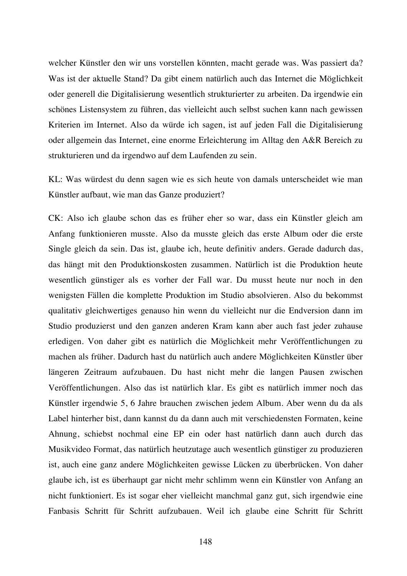welcher Künstler den wir uns vorstellen könnten, macht gerade was. Was passiert da? Was ist der aktuelle Stand? Da gibt einem natürlich auch das Internet die Möglichkeit oder generell die Digitalisierung wesentlich strukturierter zu arbeiten. Da irgendwie ein schönes Listensystem zu führen, das vielleicht auch selbst suchen kann nach gewissen Kriterien im Internet. Also da würde ich sagen, ist auf jeden Fall die Digitalisierung oder allgemein das Internet, eine enorme Erleichterung im Alltag den A&R Bereich zu strukturieren und da irgendwo auf dem Laufenden zu sein.

KL: Was würdest du denn sagen wie es sich heute von damals unterscheidet wie man Künstler aufbaut, wie man das Ganze produziert?

CK: Also ich glaube schon das es früher eher so war, dass ein Künstler gleich am Anfang funktionieren musste. Also da musste gleich das erste Album oder die erste Single gleich da sein. Das ist, glaube ich, heute definitiv anders. Gerade dadurch das, das hängt mit den Produktionskosten zusammen. Natürlich ist die Produktion heute wesentlich günstiger als es vorher der Fall war. Du musst heute nur noch in den wenigsten Fällen die komplette Produktion im Studio absolvieren. Also du bekommst qualitativ gleichwertiges genauso hin wenn du vielleicht nur die Endversion dann im Studio produzierst und den ganzen anderen Kram kann aber auch fast jeder zuhause erledigen. Von daher gibt es natürlich die Möglichkeit mehr Veröffentlichungen zu machen als früher. Dadurch hast du natürlich auch andere Möglichkeiten Künstler über längeren Zeitraum aufzubauen. Du hast nicht mehr die langen Pausen zwischen Veröffentlichungen. Also das ist natürlich klar. Es gibt es natürlich immer noch das Künstler irgendwie 5, 6 Jahre brauchen zwischen jedem Album. Aber wenn du da als Label hinterher bist, dann kannst du da dann auch mit verschiedensten Formaten, keine Ahnung, schiebst nochmal eine EP ein oder hast natürlich dann auch durch das Musikvideo Format, das natürlich heutzutage auch wesentlich günstiger zu produzieren ist, auch eine ganz andere Möglichkeiten gewisse Lücken zu überbrücken. Von daher glaube ich, ist es überhaupt gar nicht mehr schlimm wenn ein Künstler von Anfang an nicht funktioniert. Es ist sogar eher vielleicht manchmal ganz gut, sich irgendwie eine Fanbasis Schritt für Schritt aufzubauen. Weil ich glaube eine Schritt für Schritt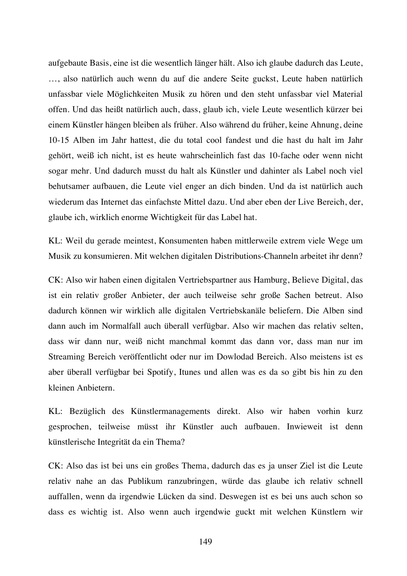aufgebaute Basis, eine ist die wesentlich länger hält. Also ich glaube dadurch das Leute, …, also natürlich auch wenn du auf die andere Seite guckst, Leute haben natürlich unfassbar viele Möglichkeiten Musik zu hören und den steht unfassbar viel Material offen. Und das heißt natürlich auch, dass, glaub ich, viele Leute wesentlich kürzer bei einem Künstler hängen bleiben als früher. Also während du früher, keine Ahnung, deine 10-15 Alben im Jahr hattest, die du total cool fandest und die hast du halt im Jahr gehört, weiß ich nicht, ist es heute wahrscheinlich fast das 10-fache oder wenn nicht sogar mehr. Und dadurch musst du halt als Künstler und dahinter als Label noch viel behutsamer aufbauen, die Leute viel enger an dich binden. Und da ist natürlich auch wiederum das Internet das einfachste Mittel dazu. Und aber eben der Live Bereich, der, glaube ich, wirklich enorme Wichtigkeit für das Label hat.

KL: Weil du gerade meintest, Konsumenten haben mittlerweile extrem viele Wege um Musik zu konsumieren. Mit welchen digitalen Distributions-Channeln arbeitet ihr denn?

CK: Also wir haben einen digitalen Vertriebspartner aus Hamburg, Believe Digital, das ist ein relativ großer Anbieter, der auch teilweise sehr große Sachen betreut. Also dadurch können wir wirklich alle digitalen Vertriebskanäle beliefern. Die Alben sind dann auch im Normalfall auch überall verfügbar. Also wir machen das relativ selten, dass wir dann nur, weiß nicht manchmal kommt das dann vor, dass man nur im Streaming Bereich veröffentlicht oder nur im Dowlodad Bereich. Also meistens ist es aber überall verfügbar bei Spotify, Itunes und allen was es da so gibt bis hin zu den kleinen Anbietern.

KL: Bezüglich des Künstlermanagements direkt. Also wir haben vorhin kurz gesprochen, teilweise müsst ihr Künstler auch aufbauen. Inwieweit ist denn künstlerische Integrität da ein Thema?

CK: Also das ist bei uns ein großes Thema, dadurch das es ja unser Ziel ist die Leute relativ nahe an das Publikum ranzubringen, würde das glaube ich relativ schnell auffallen, wenn da irgendwie Lücken da sind. Deswegen ist es bei uns auch schon so dass es wichtig ist. Also wenn auch irgendwie guckt mit welchen Künstlern wir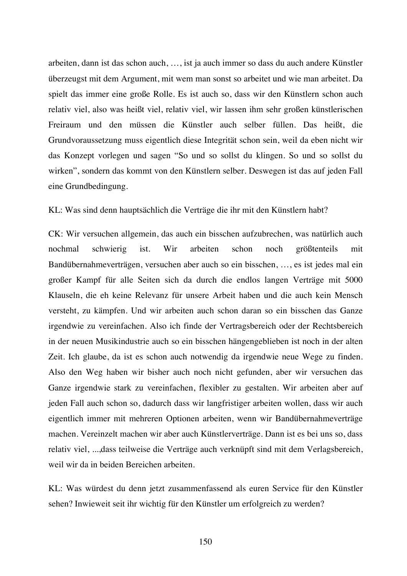arbeiten, dann ist das schon auch, …, ist ja auch immer so dass du auch andere Künstler überzeugst mit dem Argument, mit wem man sonst so arbeitet und wie man arbeitet. Da spielt das immer eine große Rolle. Es ist auch so, dass wir den Künstlern schon auch relativ viel, also was heißt viel, relativ viel, wir lassen ihm sehr großen künstlerischen Freiraum und den müssen die Künstler auch selber füllen. Das heißt, die Grundvoraussetzung muss eigentlich diese Integrität schon sein, weil da eben nicht wir das Konzept vorlegen und sagen "So und so sollst du klingen. So und so sollst du wirken", sondern das kommt von den Künstlern selber. Deswegen ist das auf jeden Fall eine Grundbedingung.

## KL: Was sind denn hauptsächlich die Verträge die ihr mit den Künstlern habt?

CK: Wir versuchen allgemein, das auch ein bisschen aufzubrechen, was natürlich auch nochmal schwierig ist. Wir arbeiten schon noch größtenteils mit Bandübernahmeverträgen, versuchen aber auch so ein bisschen, …, es ist jedes mal ein großer Kampf für alle Seiten sich da durch die endlos langen Verträge mit 5000 Klauseln, die eh keine Relevanz für unsere Arbeit haben und die auch kein Mensch versteht, zu kämpfen. Und wir arbeiten auch schon daran so ein bisschen das Ganze irgendwie zu vereinfachen. Also ich finde der Vertragsbereich oder der Rechtsbereich in der neuen Musikindustrie auch so ein bisschen hängengeblieben ist noch in der alten Zeit. Ich glaube, da ist es schon auch notwendig da irgendwie neue Wege zu finden. Also den Weg haben wir bisher auch noch nicht gefunden, aber wir versuchen das Ganze irgendwie stark zu vereinfachen, flexibler zu gestalten. Wir arbeiten aber auf jeden Fall auch schon so, dadurch dass wir langfristiger arbeiten wollen, dass wir auch eigentlich immer mit mehreren Optionen arbeiten, wenn wir Bandübernahmeverträge machen. Vereinzelt machen wir aber auch Künstlerverträge. Dann ist es bei uns so, dass relativ viel, ...,dass teilweise die Verträge auch verknüpft sind mit dem Verlagsbereich, weil wir da in beiden Bereichen arbeiten.

KL: Was würdest du denn jetzt zusammenfassend als euren Service für den Künstler sehen? Inwieweit seit ihr wichtig für den Künstler um erfolgreich zu werden?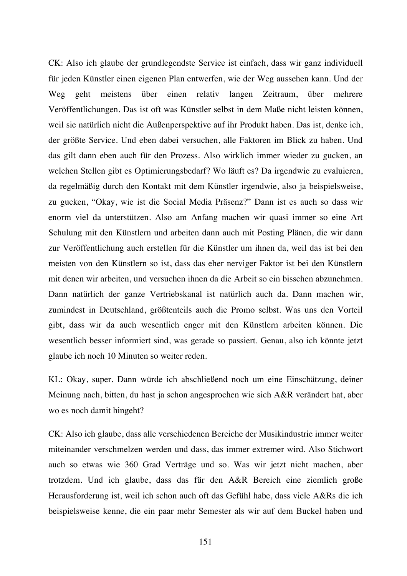CK: Also ich glaube der grundlegendste Service ist einfach, dass wir ganz individuell für jeden Künstler einen eigenen Plan entwerfen, wie der Weg aussehen kann. Und der Weg geht meistens über einen relativ langen Zeitraum, über mehrere Veröffentlichungen. Das ist oft was Künstler selbst in dem Maße nicht leisten können, weil sie natürlich nicht die Außenperspektive auf ihr Produkt haben. Das ist, denke ich, der größte Service. Und eben dabei versuchen, alle Faktoren im Blick zu haben. Und das gilt dann eben auch für den Prozess. Also wirklich immer wieder zu gucken, an welchen Stellen gibt es Optimierungsbedarf? Wo läuft es? Da irgendwie zu evaluieren, da regelmäßig durch den Kontakt mit dem Künstler irgendwie, also ja beispielsweise, zu gucken, "Okay, wie ist die Social Media Präsenz?" Dann ist es auch so dass wir enorm viel da unterstützen. Also am Anfang machen wir quasi immer so eine Art Schulung mit den Künstlern und arbeiten dann auch mit Posting Plänen, die wir dann zur Veröffentlichung auch erstellen für die Künstler um ihnen da, weil das ist bei den meisten von den Künstlern so ist, dass das eher nerviger Faktor ist bei den Künstlern mit denen wir arbeiten, und versuchen ihnen da die Arbeit so ein bisschen abzunehmen. Dann natürlich der ganze Vertriebskanal ist natürlich auch da. Dann machen wir, zumindest in Deutschland, größtenteils auch die Promo selbst. Was uns den Vorteil gibt, dass wir da auch wesentlich enger mit den Künstlern arbeiten können. Die wesentlich besser informiert sind, was gerade so passiert. Genau, also ich könnte jetzt glaube ich noch 10 Minuten so weiter reden.

KL: Okay, super. Dann würde ich abschließend noch um eine Einschätzung, deiner Meinung nach, bitten, du hast ja schon angesprochen wie sich A&R verändert hat, aber wo es noch damit hingeht?

CK: Also ich glaube, dass alle verschiedenen Bereiche der Musikindustrie immer weiter miteinander verschmelzen werden und dass, das immer extremer wird. Also Stichwort auch so etwas wie 360 Grad Verträge und so. Was wir jetzt nicht machen, aber trotzdem. Und ich glaube, dass das für den A&R Bereich eine ziemlich große Herausforderung ist, weil ich schon auch oft das Gefühl habe, dass viele A&Rs die ich beispielsweise kenne, die ein paar mehr Semester als wir auf dem Buckel haben und